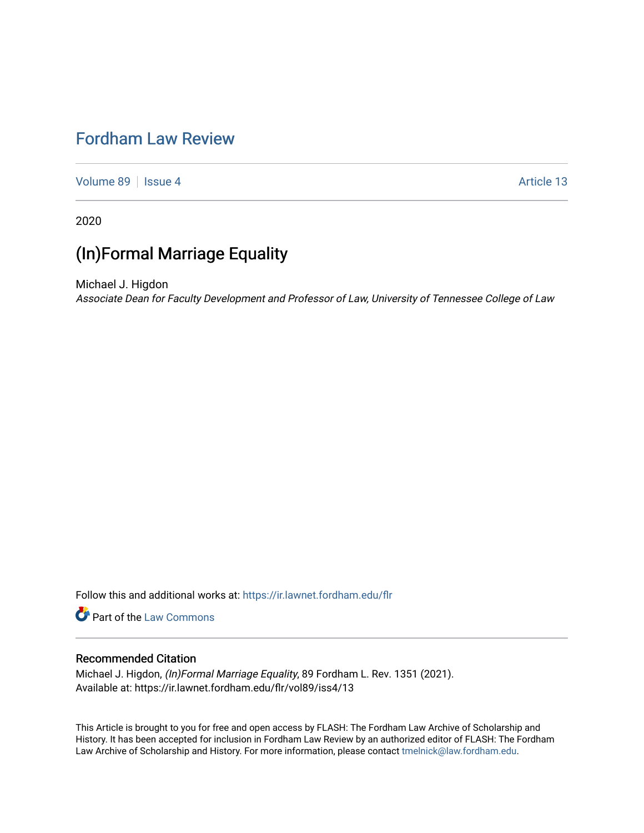# [Fordham Law Review](https://ir.lawnet.fordham.edu/flr)

[Volume 89](https://ir.lawnet.fordham.edu/flr/vol89) | [Issue 4](https://ir.lawnet.fordham.edu/flr/vol89/iss4) Article 13

2020

# (In)Formal Marriage Equality

Michael J. Higdon Associate Dean for Faculty Development and Professor of Law, University of Tennessee College of Law

Follow this and additional works at: [https://ir.lawnet.fordham.edu/flr](https://ir.lawnet.fordham.edu/flr?utm_source=ir.lawnet.fordham.edu%2Fflr%2Fvol89%2Fiss4%2F13&utm_medium=PDF&utm_campaign=PDFCoverPages)

Part of the [Law Commons](http://network.bepress.com/hgg/discipline/578?utm_source=ir.lawnet.fordham.edu%2Fflr%2Fvol89%2Fiss4%2F13&utm_medium=PDF&utm_campaign=PDFCoverPages)

# Recommended Citation

Michael J. Higdon, (In)Formal Marriage Equality, 89 Fordham L. Rev. 1351 (2021). Available at: https://ir.lawnet.fordham.edu/flr/vol89/iss4/13

This Article is brought to you for free and open access by FLASH: The Fordham Law Archive of Scholarship and History. It has been accepted for inclusion in Fordham Law Review by an authorized editor of FLASH: The Fordham Law Archive of Scholarship and History. For more information, please contact [tmelnick@law.fordham.edu](mailto:tmelnick@law.fordham.edu).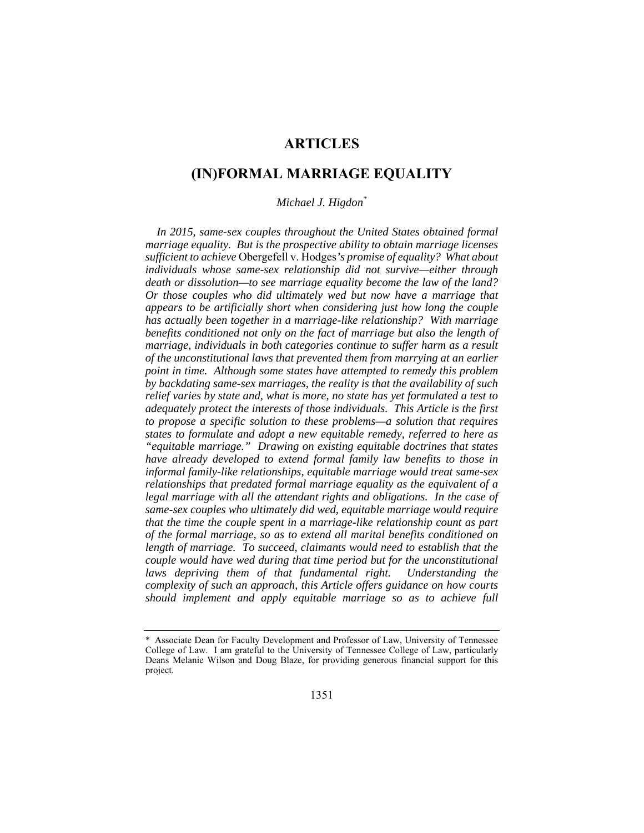# **ARTICLES**

# **(IN)FORMAL MARRIAGE EQUALITY**

# *Michael J. Higdon\**

In 2015, same-sex couples throughout the United States obtained formal *marriage equality. But is the prospective ability to obtain marriage licenses sufficient to achieve* Obergefell v. Hodges*'s promise of equality? What about individuals whose same-sex relationship did not survive—either through death or dissolution—to see marriage equality become the law of the land? Or those couples who did ultimately wed but now have a marriage that appears to be artificially short when considering just how long the couple has actually been together in a marriage-like relationship? With marriage benefits conditioned not only on the fact of marriage but also the length of marriage, individuals in both categories continue to suffer harm as a result of the unconstitutional laws that prevented them from marrying at an earlier point in time. Although some states have attempted to remedy this problem by backdating same-sex marriages, the reality is that the availability of such relief varies by state and, what is more, no state has yet formulated a test to adequately protect the interests of those individuals. This Article is the first to propose a specific solution to these problems—a solution that requires states to formulate and adopt a new equitable remedy, referred to here as "equitable marriage." Drawing on existing equitable doctrines that states have already developed to extend formal family law benefits to those in informal family-like relationships, equitable marriage would treat same-sex relationships that predated formal marriage equality as the equivalent of a legal marriage with all the attendant rights and obligations. In the case of same-sex couples who ultimately did wed, equitable marriage would require that the time the couple spent in a marriage-like relationship count as part of the formal marriage, so as to extend all marital benefits conditioned on length of marriage. To succeed, claimants would need to establish that the couple would have wed during that time period but for the unconstitutional*  laws depriving them of that fundamental right. Understanding the *complexity of such an approach, this Article offers guidance on how courts should implement and apply equitable marriage so as to achieve full* 

<sup>\*</sup> Associate Dean for Faculty Development and Professor of Law, University of Tennessee College of Law. I am grateful to the University of Tennessee College of Law, particularly Deans Melanie Wilson and Doug Blaze, for providing generous financial support for this project.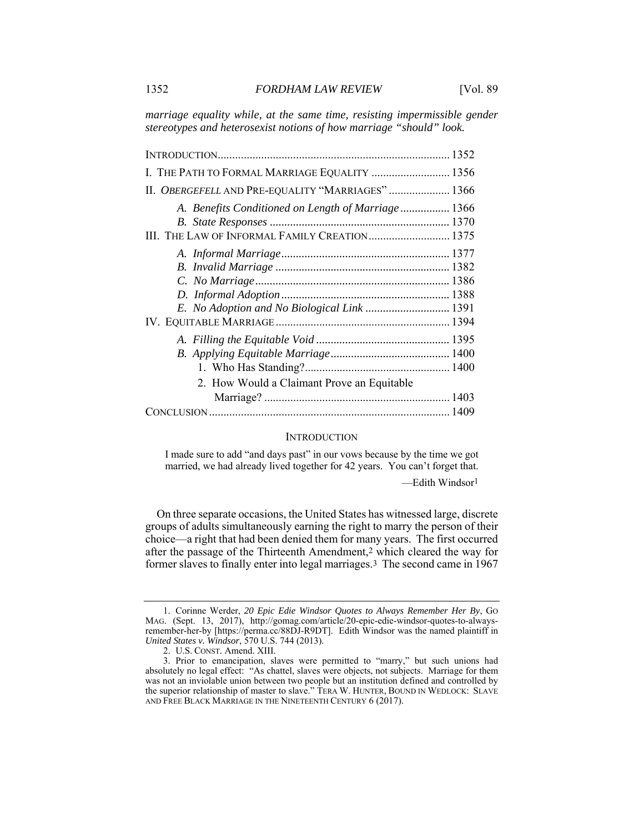*marriage equality while, at the same time, resisting impermissible gender stereotypes and heterosexist notions of how marriage "should" look.* 

| I. THE PATH TO FORMAL MARRIAGE EQUALITY  1356                                                       |  |
|-----------------------------------------------------------------------------------------------------|--|
| II. OBERGEFELL AND PRE-EQUALITY "MARRIAGES"  1366                                                   |  |
| A. Benefits Conditioned on Length of Marriage 1366<br>III. THE LAW OF INFORMAL FAMILY CREATION 1375 |  |
|                                                                                                     |  |
| E. No Adoption and No Biological Link  1391                                                         |  |
|                                                                                                     |  |
| 2. How Would a Claimant Prove an Equitable                                                          |  |
|                                                                                                     |  |

#### **INTRODUCTION**

I made sure to add "and days past" in our vows because by the time we got married, we had already lived together for 42 years. You can't forget that.

—Edith Windsor1

On three separate occasions, the United States has witnessed large, discrete groups of adults simultaneously earning the right to marry the person of their choice—a right that had been denied them for many years. The first occurred after the passage of the Thirteenth Amendment,2 which cleared the way for former slaves to finally enter into legal marriages.3 The second came in 1967

 <sup>1.</sup> Corinne Werder, *20 Epic Edie Windsor Quotes to Always Remember Her By*, GO MAG. (Sept. 13, 2017), http://gomag.com/article/20-epic-edie-windsor-quotes-to-alwaysremember-her-by [https://perma.cc/88DJ-R9DT]. Edith Windsor was the named plaintiff in *United States v. Windsor*, 570 U.S. 744 (2013).

 <sup>2.</sup> U.S. CONST. Amend. XIII.

 <sup>3.</sup> Prior to emancipation, slaves were permitted to "marry," but such unions had absolutely no legal effect: "As chattel, slaves were objects, not subjects. Marriage for them was not an inviolable union between two people but an institution defined and controlled by the superior relationship of master to slave." TERA W. HUNTER, BOUND IN WEDLOCK: SLAVE AND FREE BLACK MARRIAGE IN THE NINETEENTH CENTURY 6 (2017).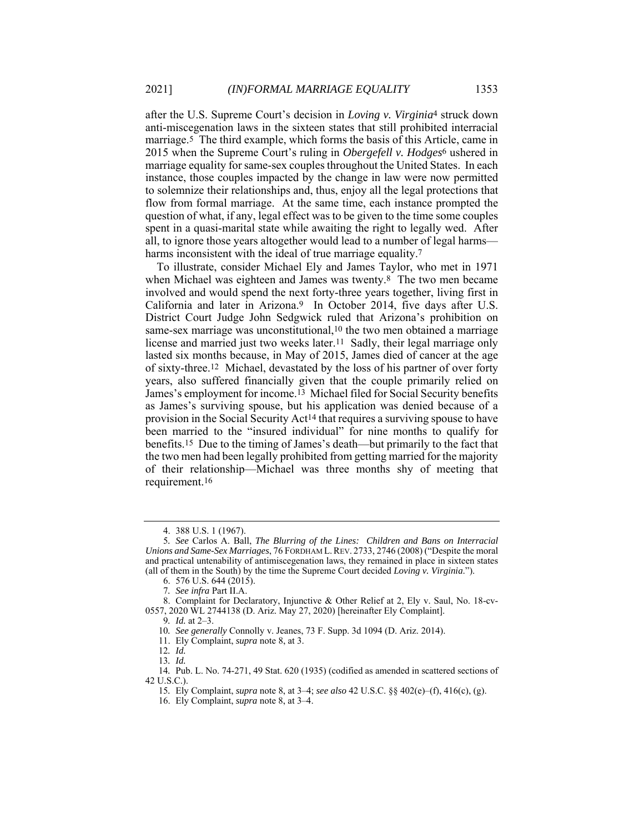after the U.S. Supreme Court's decision in *Loving v. Virginia*4 struck down anti-miscegenation laws in the sixteen states that still prohibited interracial marriage.5 The third example, which forms the basis of this Article, came in 2015 when the Supreme Court's ruling in *Obergefell v. Hodges*6 ushered in marriage equality for same-sex couples throughout the United States. In each instance, those couples impacted by the change in law were now permitted to solemnize their relationships and, thus, enjoy all the legal protections that flow from formal marriage. At the same time, each instance prompted the question of what, if any, legal effect was to be given to the time some couples spent in a quasi-marital state while awaiting the right to legally wed. After all, to ignore those years altogether would lead to a number of legal harms harms inconsistent with the ideal of true marriage equality.<sup>7</sup>

To illustrate, consider Michael Ely and James Taylor, who met in 1971 when Michael was eighteen and James was twenty.8 The two men became involved and would spend the next forty-three years together, living first in California and later in Arizona.9 In October 2014, five days after U.S. District Court Judge John Sedgwick ruled that Arizona's prohibition on same-sex marriage was unconstitutional,10 the two men obtained a marriage license and married just two weeks later.11 Sadly, their legal marriage only lasted six months because, in May of 2015, James died of cancer at the age of sixty-three.12 Michael, devastated by the loss of his partner of over forty years, also suffered financially given that the couple primarily relied on James's employment for income.13 Michael filed for Social Security benefits as James's surviving spouse, but his application was denied because of a provision in the Social Security Act14 that requires a surviving spouse to have been married to the "insured individual" for nine months to qualify for benefits.15 Due to the timing of James's death—but primarily to the fact that the two men had been legally prohibited from getting married for the majority of their relationship—Michael was three months shy of meeting that requirement.16

 <sup>4. 388</sup> U.S. 1 (1967).

<sup>5</sup>*. See* Carlos A. Ball, *The Blurring of the Lines: Children and Bans on Interracial Unions and Same-Sex Marriages*, 76 FORDHAM L.REV. 2733, 2746 (2008) ("Despite the moral and practical untenability of antimiscegenation laws, they remained in place in sixteen states (all of them in the South) by the time the Supreme Court decided *Loving v. Virginia*.").

 <sup>6. 576</sup> U.S. 644 (2015).

<sup>7</sup>*. See infra* Part II.A.

 <sup>8.</sup> Complaint for Declaratory, Injunctive & Other Relief at 2, Ely v. Saul, No. 18-cv-0557, 2020 WL 2744138 (D. Ariz. May 27, 2020) [hereinafter Ely Complaint].

<sup>9</sup>*. Id.* at 2–3. 10*. See generally* Connolly v. Jeanes, 73 F. Supp. 3d 1094 (D. Ariz. 2014).

 <sup>11.</sup> Ely Complaint, *supra* note 8, at 3.

<sup>12</sup>*. Id.*

<sup>13</sup>*. Id.*

<sup>14</sup>*.* Pub. L. No. 74-271, 49 Stat. 620 (1935) (codified as amended in scattered sections of 42 U.S.C.).

<sup>15</sup>*.* Ely Complaint, *supra* note 8, at 3–4; *see also* 42 U.S.C. §§ 402(e)–(f), 416(c), (g).

 <sup>16.</sup> Ely Complaint, *supra* note 8, at 3–4.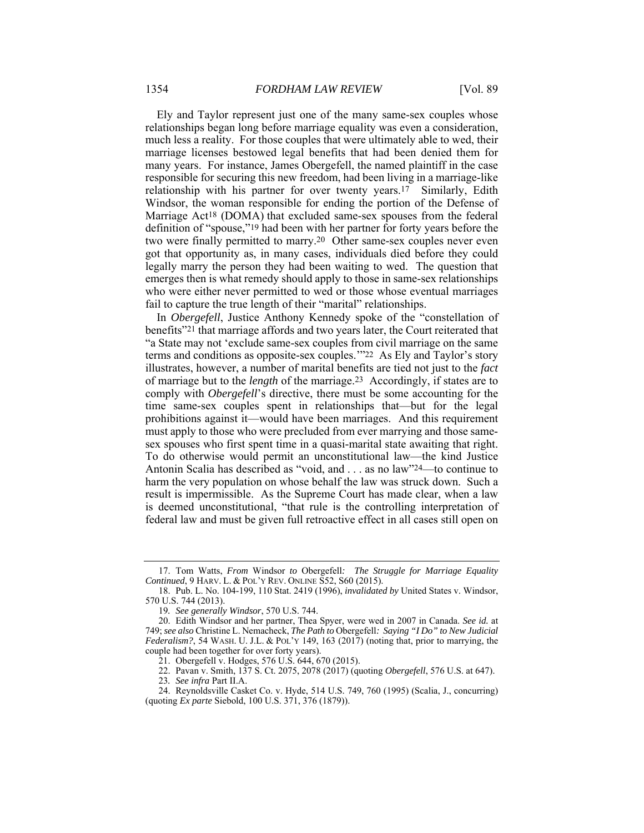Ely and Taylor represent just one of the many same-sex couples whose relationships began long before marriage equality was even a consideration, much less a reality. For those couples that were ultimately able to wed, their marriage licenses bestowed legal benefits that had been denied them for many years. For instance, James Obergefell, the named plaintiff in the case responsible for securing this new freedom, had been living in a marriage-like relationship with his partner for over twenty years.17 Similarly, Edith Windsor, the woman responsible for ending the portion of the Defense of Marriage Act18 (DOMA) that excluded same-sex spouses from the federal definition of "spouse,"19 had been with her partner for forty years before the two were finally permitted to marry.20 Other same-sex couples never even got that opportunity as, in many cases, individuals died before they could legally marry the person they had been waiting to wed. The question that emerges then is what remedy should apply to those in same-sex relationships who were either never permitted to wed or those whose eventual marriages fail to capture the true length of their "marital" relationships.

In *Obergefell*, Justice Anthony Kennedy spoke of the "constellation of benefits"21 that marriage affords and two years later, the Court reiterated that "a State may not 'exclude same-sex couples from civil marriage on the same terms and conditions as opposite-sex couples.'"22 As Ely and Taylor's story illustrates, however, a number of marital benefits are tied not just to the *fact* of marriage but to the *length* of the marriage.23 Accordingly, if states are to comply with *Obergefell*'s directive, there must be some accounting for the time same-sex couples spent in relationships that—but for the legal prohibitions against it—would have been marriages. And this requirement must apply to those who were precluded from ever marrying and those samesex spouses who first spent time in a quasi-marital state awaiting that right. To do otherwise would permit an unconstitutional law—the kind Justice Antonin Scalia has described as "void, and . . . as no law"24—to continue to harm the very population on whose behalf the law was struck down. Such a result is impermissible. As the Supreme Court has made clear, when a law is deemed unconstitutional, "that rule is the controlling interpretation of federal law and must be given full retroactive effect in all cases still open on

 <sup>17.</sup> Tom Watts, *From* Windsor *to* Obergefell*: The Struggle for Marriage Equality Continued*, 9 HARV. L. & POL'Y REV. ONLINE S52, S60 (2015).

 <sup>18.</sup> Pub. L. No. 104-199, 110 Stat. 2419 (1996), *invalidated by* United States v. Windsor, 570 U.S. 744 (2013).

<sup>19</sup>*. See generally Windsor*, 570 U.S. 744.

 <sup>20.</sup> Edith Windsor and her partner, Thea Spyer, were wed in 2007 in Canada. *See id.* at 749; *see also* Christine L. Nemacheck, *The Path to* Obergefell*: Saying "I Do" to New Judicial Federalism?*, 54 WASH. U. J.L. & POL'Y 149, 163 (2017) (noting that, prior to marrying, the couple had been together for over forty years).

 <sup>21.</sup> Obergefell v. Hodges, 576 U.S. 644, 670 (2015).

 <sup>22.</sup> Pavan v. Smith, 137 S. Ct. 2075, 2078 (2017) (quoting *Obergefell*, 576 U.S. at 647).

<sup>23</sup>*. See infra* Part II.A.

 <sup>24.</sup> Reynoldsville Casket Co. v. Hyde, 514 U.S. 749, 760 (1995) (Scalia, J., concurring) (quoting *Ex parte* Siebold, 100 U.S. 371, 376 (1879)).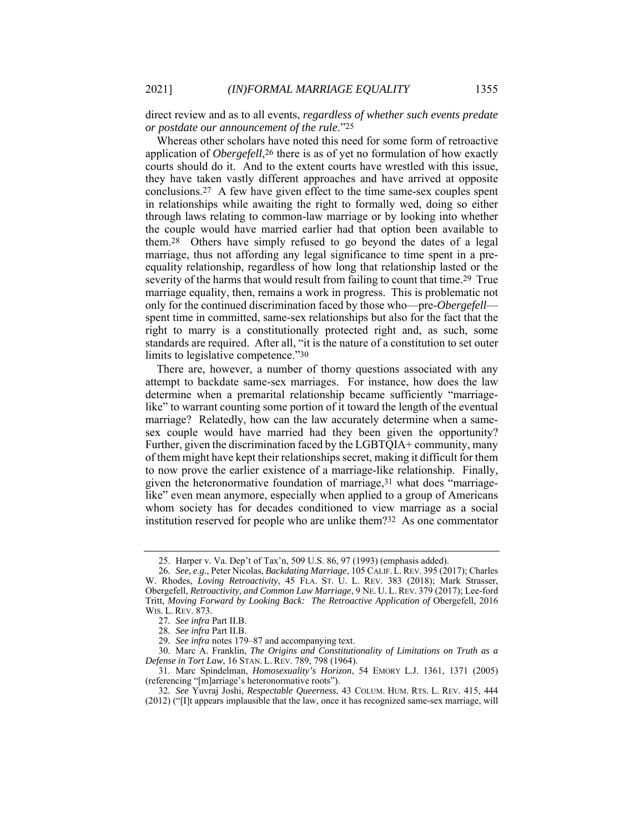direct review and as to all events, *regardless of whether such events predate or postdate our announcement of the rule*."25

Whereas other scholars have noted this need for some form of retroactive application of *Obergefell*,26 there is as of yet no formulation of how exactly courts should do it. And to the extent courts have wrestled with this issue, they have taken vastly different approaches and have arrived at opposite conclusions.27 A few have given effect to the time same-sex couples spent in relationships while awaiting the right to formally wed, doing so either through laws relating to common-law marriage or by looking into whether the couple would have married earlier had that option been available to them.28 Others have simply refused to go beyond the dates of a legal marriage, thus not affording any legal significance to time spent in a preequality relationship, regardless of how long that relationship lasted or the severity of the harms that would result from failing to count that time.29 True marriage equality, then, remains a work in progress. This is problematic not only for the continued discrimination faced by those who—pre-*Obergefell* spent time in committed, same-sex relationships but also for the fact that the right to marry is a constitutionally protected right and, as such, some standards are required. After all, "it is the nature of a constitution to set outer limits to legislative competence."30

There are, however, a number of thorny questions associated with any attempt to backdate same-sex marriages. For instance, how does the law determine when a premarital relationship became sufficiently "marriagelike" to warrant counting some portion of it toward the length of the eventual marriage? Relatedly, how can the law accurately determine when a samesex couple would have married had they been given the opportunity? Further, given the discrimination faced by the LGBTQIA+ community, many of them might have kept their relationships secret, making it difficult for them to now prove the earlier existence of a marriage-like relationship. Finally, given the heteronormative foundation of marriage,  $31$  what does "marriagelike" even mean anymore, especially when applied to a group of Americans whom society has for decades conditioned to view marriage as a social institution reserved for people who are unlike them?32 As one commentator

 <sup>25.</sup> Harper v. Va. Dep't of Tax'n, 509 U.S. 86, 97 (1993) (emphasis added).

<sup>26</sup>*. See, e.g.*, Peter Nicolas, *Backdating Marriage*, 105 CALIF. L.REV. 395 (2017); Charles W. Rhodes, *Loving Retroactivity*, 45 FLA. ST. U. L. REV. 383 (2018); Mark Strasser, Obergefell*, Retroactivity, and Common Law Marriage*, 9 NE. U. L. REV. 379 (2017); Lee-ford Tritt, Moving Forward by Looking Back: The Retroactive Application of Obergefell, 2016 WIS. L. REV. 873.

<sup>27</sup>*. See infra* Part II.B.

<sup>28</sup>*. See infra* Part II.B.

<sup>29</sup>*. See infra* notes 179–87 and accompanying text.

 <sup>30.</sup> Marc A. Franklin, *The Origins and Constitutionality of Limitations on Truth as a Defense in Tort Law*, 16 STAN. L. REV. 789, 798 (1964).

 <sup>31.</sup> Marc Spindelman, *Homosexuality's Horizon*, 54 EMORY L.J. 1361, 1371 (2005) (referencing "[m]arriage's heteronormative roots").

<sup>32</sup>*. See* Yuvraj Joshi, *Respectable Queerness*, 43 COLUM. HUM. RTS. L. REV. 415, 444 (2012) ("[I]t appears implausible that the law, once it has recognized same-sex marriage, will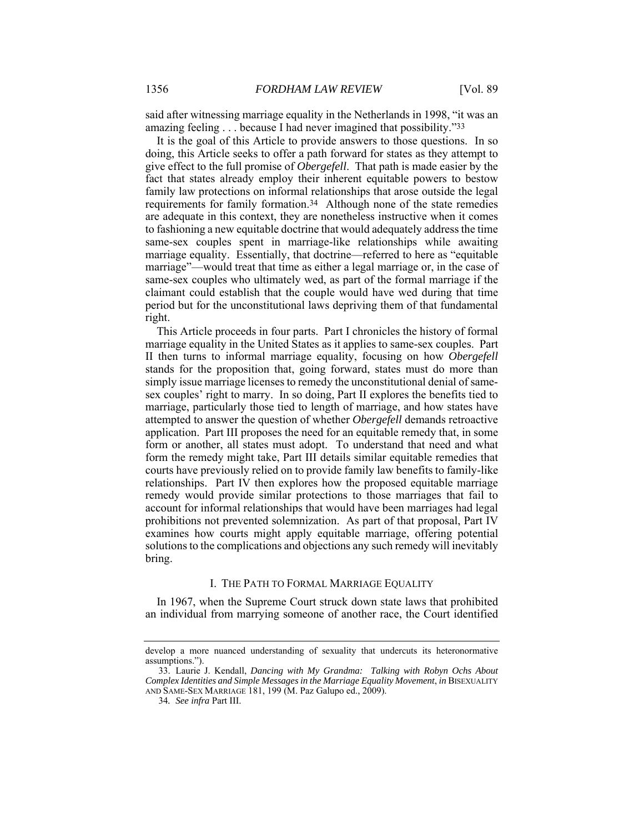said after witnessing marriage equality in the Netherlands in 1998, "it was an amazing feeling . . . because I had never imagined that possibility."33

It is the goal of this Article to provide answers to those questions. In so doing, this Article seeks to offer a path forward for states as they attempt to give effect to the full promise of *Obergefell*. That path is made easier by the fact that states already employ their inherent equitable powers to bestow family law protections on informal relationships that arose outside the legal requirements for family formation.34 Although none of the state remedies are adequate in this context, they are nonetheless instructive when it comes to fashioning a new equitable doctrine that would adequately address the time same-sex couples spent in marriage-like relationships while awaiting marriage equality. Essentially, that doctrine—referred to here as "equitable marriage"—would treat that time as either a legal marriage or, in the case of same-sex couples who ultimately wed, as part of the formal marriage if the claimant could establish that the couple would have wed during that time period but for the unconstitutional laws depriving them of that fundamental right.

This Article proceeds in four parts. Part I chronicles the history of formal marriage equality in the United States as it applies to same-sex couples. Part II then turns to informal marriage equality, focusing on how *Obergefell* stands for the proposition that, going forward, states must do more than simply issue marriage licenses to remedy the unconstitutional denial of samesex couples' right to marry. In so doing, Part II explores the benefits tied to marriage, particularly those tied to length of marriage, and how states have attempted to answer the question of whether *Obergefell* demands retroactive application. Part III proposes the need for an equitable remedy that, in some form or another, all states must adopt. To understand that need and what form the remedy might take, Part III details similar equitable remedies that courts have previously relied on to provide family law benefits to family-like relationships. Part IV then explores how the proposed equitable marriage remedy would provide similar protections to those marriages that fail to account for informal relationships that would have been marriages had legal prohibitions not prevented solemnization. As part of that proposal, Part IV examines how courts might apply equitable marriage, offering potential solutions to the complications and objections any such remedy will inevitably bring.

## I. THE PATH TO FORMAL MARRIAGE EQUALITY

In 1967, when the Supreme Court struck down state laws that prohibited an individual from marrying someone of another race, the Court identified

develop a more nuanced understanding of sexuality that undercuts its heteronormative assumptions.").

 <sup>33.</sup> Laurie J. Kendall, *Dancing with My Grandma: Talking with Robyn Ochs About Complex Identities and Simple Messages in the Marriage Equality Movement*, *in* BISEXUALITY AND SAME-SEX MARRIAGE 181, 199 (M. Paz Galupo ed., 2009).

<sup>34</sup>*. See infra* Part III.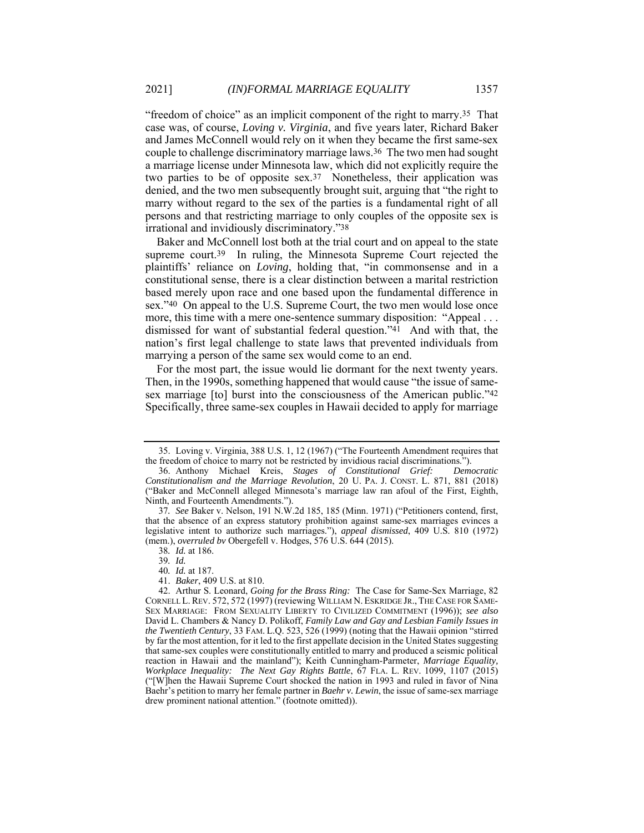"freedom of choice" as an implicit component of the right to marry.35 That case was, of course, *Loving v. Virginia*, and five years later, Richard Baker and James McConnell would rely on it when they became the first same-sex couple to challenge discriminatory marriage laws.36 The two men had sought a marriage license under Minnesota law, which did not explicitly require the two parties to be of opposite sex.37 Nonetheless, their application was denied, and the two men subsequently brought suit, arguing that "the right to marry without regard to the sex of the parties is a fundamental right of all persons and that restricting marriage to only couples of the opposite sex is irrational and invidiously discriminatory."38

Baker and McConnell lost both at the trial court and on appeal to the state supreme court.<sup>39</sup> In ruling, the Minnesota Supreme Court rejected the plaintiffs' reliance on *Loving*, holding that, "in commonsense and in a constitutional sense, there is a clear distinction between a marital restriction based merely upon race and one based upon the fundamental difference in sex."40 On appeal to the U.S. Supreme Court, the two men would lose once more, this time with a mere one-sentence summary disposition: "Appeal . . . dismissed for want of substantial federal question."41 And with that, the nation's first legal challenge to state laws that prevented individuals from marrying a person of the same sex would come to an end.

For the most part, the issue would lie dormant for the next twenty years. Then, in the 1990s, something happened that would cause "the issue of samesex marriage [to] burst into the consciousness of the American public."42 Specifically, three same-sex couples in Hawaii decided to apply for marriage

40*. Id.* at 187.

 <sup>35.</sup> Loving v. Virginia, 388 U.S. 1, 12 (1967) ("The Fourteenth Amendment requires that the freedom of choice to marry not be restricted by invidious racial discriminations.").

 <sup>36.</sup> Anthony Michael Kreis, *Stages of Constitutional Grief: Democratic Constitutionalism and the Marriage Revolution*, 20 U. PA. J. CONST. L. 871, 881 (2018) ("Baker and McConnell alleged Minnesota's marriage law ran afoul of the First, Eighth, Ninth, and Fourteenth Amendments.").

<sup>37</sup>*. See* Baker v. Nelson, 191 N.W.2d 185, 185 (Minn. 1971) ("Petitioners contend, first, that the absence of an express statutory prohibition against same-sex marriages evinces a legislative intent to authorize such marriages."), *appeal dismissed*, 409 U.S. 810 (1972) (mem.), *overruled bv* Obergefell v. Hodges, 576 U.S. 644 (2015).

<sup>38</sup>*. Id.* at 186.

<sup>39</sup>*. Id.*

 <sup>41.</sup> *Baker*, 409 U.S. at 810.

 <sup>42.</sup> Arthur S. Leonard, *Going for the Brass Ring:* The Case for Same-Sex Marriage, 82 CORNELL L. REV. 572, 572 (1997) (reviewing WILLIAM N. ESKRIDGE JR., THE CASE FOR SAME-SEX MARRIAGE: FROM SEXUALITY LIBERTY TO CIVILIZED COMMITMENT (1996)); *see also* David L. Chambers & Nancy D. Polikoff, *Family Law and Gay and Lesbian Family Issues in the Twentieth Century*, 33 FAM. L.Q. 523, 526 (1999) (noting that the Hawaii opinion "stirred by far the most attention, for it led to the first appellate decision in the United States suggesting that same-sex couples were constitutionally entitled to marry and produced a seismic political reaction in Hawaii and the mainland"); Keith Cunningham-Parmeter, *Marriage Equality, Workplace Inequality: The Next Gay Rights Battle*, 67 FLA. L. REV. 1099, 1107 (2015) ("[W]hen the Hawaii Supreme Court shocked the nation in 1993 and ruled in favor of Nina Baehr's petition to marry her female partner in *Baehr v. Lewin*, the issue of same-sex marriage drew prominent national attention." (footnote omitted)).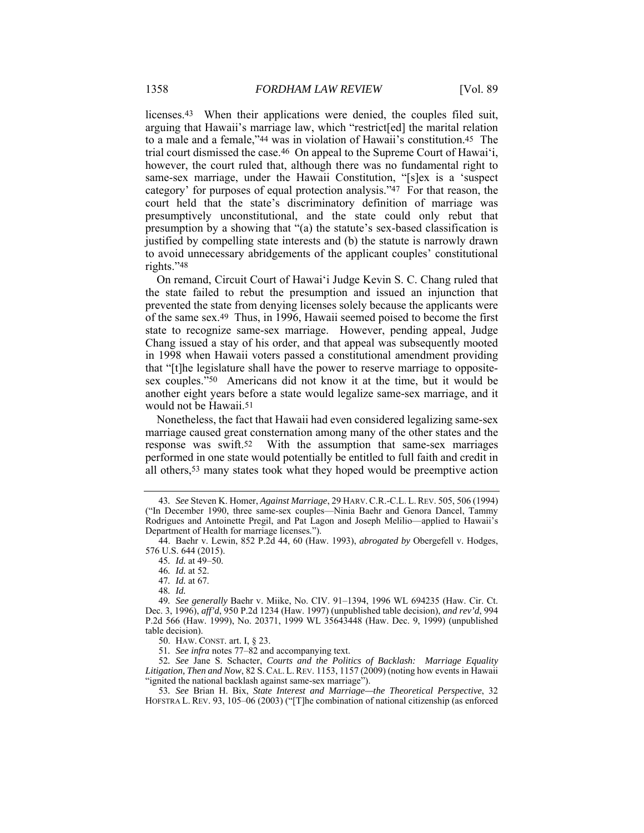licenses.43 When their applications were denied, the couples filed suit, arguing that Hawaii's marriage law, which "restrict[ed] the marital relation to a male and a female,"44 was in violation of Hawaii's constitution.45 The trial court dismissed the case.46 On appeal to the Supreme Court of Hawai'i, however, the court ruled that, although there was no fundamental right to same-sex marriage, under the Hawaii Constitution, "[s]ex is a 'suspect category' for purposes of equal protection analysis."47 For that reason, the court held that the state's discriminatory definition of marriage was presumptively unconstitutional, and the state could only rebut that presumption by a showing that "(a) the statute's sex-based classification is justified by compelling state interests and (b) the statute is narrowly drawn to avoid unnecessary abridgements of the applicant couples' constitutional rights."48

On remand, Circuit Court of Hawai'i Judge Kevin S. C. Chang ruled that the state failed to rebut the presumption and issued an injunction that prevented the state from denying licenses solely because the applicants were of the same sex.49 Thus, in 1996, Hawaii seemed poised to become the first state to recognize same-sex marriage. However, pending appeal, Judge Chang issued a stay of his order, and that appeal was subsequently mooted in 1998 when Hawaii voters passed a constitutional amendment providing that "[t]he legislature shall have the power to reserve marriage to oppositesex couples."50 Americans did not know it at the time, but it would be another eight years before a state would legalize same-sex marriage, and it would not be Hawaii.51

Nonetheless, the fact that Hawaii had even considered legalizing same-sex marriage caused great consternation among many of the other states and the response was swift.52 With the assumption that same-sex marriages performed in one state would potentially be entitled to full faith and credit in all others,53 many states took what they hoped would be preemptive action

50. HAW. CONST. art. I, § 23.

51*. See infra* notes 77–82 and accompanying text.

52*. See* Jane S. Schacter, *Courts and the Politics of Backlash: Marriage Equality Litigation, Then and Now*, 82 S.CAL. L.REV. 1153, 1157 (2009) (noting how events in Hawaii "ignited the national backlash against same-sex marriage").

53*. See* Brian H. Bix, *State Interest and Marriage—the Theoretical Perspective*, 32 HOFSTRA L. REV. 93, 105–06 (2003) ("[T]he combination of national citizenship (as enforced

<sup>43</sup>*. See* Steven K. Homer, *Against Marriage*, 29 HARV.C.R.-C.L. L.REV. 505, 506 (1994) ("In December 1990, three same-sex couples—Ninia Baehr and Genora Dancel, Tammy Rodrigues and Antoinette Pregil, and Pat Lagon and Joseph Melilio—applied to Hawaii's Department of Health for marriage licenses.").

 <sup>44.</sup> Baehr v. Lewin, 852 P.2d 44, 60 (Haw. 1993), *abrogated by* Obergefell v. Hodges, 576 U.S. 644 (2015).

<sup>45</sup>*. Id.* at 49–50.

<sup>46</sup>*. Id.* at 52.

<sup>47</sup>*. Id.* at 67.

<sup>48</sup>*. Id.* 

<sup>49</sup>*. See generally* Baehr v. Miike, No. CIV. 91–1394, 1996 WL 694235 (Haw. Cir. Ct. Dec. 3, 1996), *aff'd*, 950 P.2d 1234 (Haw. 1997) (unpublished table decision), *and rev'd*, 994 P.2d 566 (Haw. 1999), No. 20371, 1999 WL 35643448 (Haw. Dec. 9, 1999) (unpublished table decision).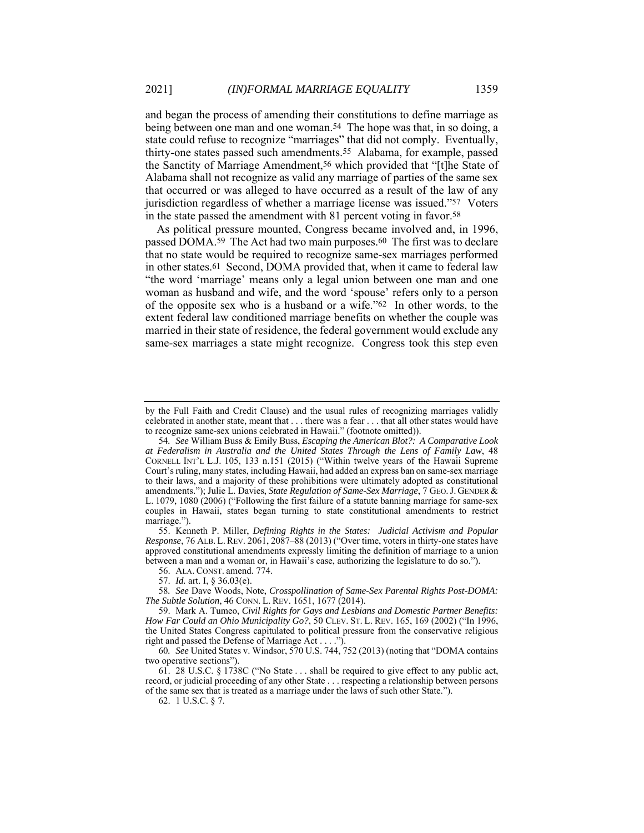and began the process of amending their constitutions to define marriage as being between one man and one woman.<sup>54</sup> The hope was that, in so doing, a state could refuse to recognize "marriages" that did not comply. Eventually, thirty-one states passed such amendments.55 Alabama, for example, passed the Sanctity of Marriage Amendment,56 which provided that "[t]he State of Alabama shall not recognize as valid any marriage of parties of the same sex that occurred or was alleged to have occurred as a result of the law of any jurisdiction regardless of whether a marriage license was issued."57 Voters in the state passed the amendment with 81 percent voting in favor.58

As political pressure mounted, Congress became involved and, in 1996, passed DOMA.59 The Act had two main purposes.60 The first was to declare that no state would be required to recognize same-sex marriages performed in other states.61 Second, DOMA provided that, when it came to federal law "the word 'marriage' means only a legal union between one man and one woman as husband and wife, and the word 'spouse' refers only to a person of the opposite sex who is a husband or a wife."62 In other words, to the extent federal law conditioned marriage benefits on whether the couple was married in their state of residence, the federal government would exclude any same-sex marriages a state might recognize. Congress took this step even

 55. Kenneth P. Miller, *Defining Rights in the States: Judicial Activism and Popular Response*, 76 ALB. L. REV. 2061, 2087–88 (2013) ("Over time, voters in thirty-one states have approved constitutional amendments expressly limiting the definition of marriage to a union between a man and a woman or, in Hawaii's case, authorizing the legislature to do so.").

56. ALA. CONST. amend. 774.

60*. See* United States v. Windsor, 570 U.S. 744, 752 (2013) (noting that "DOMA contains two operative sections").

 61. 28 U.S.C. § 1738C ("No State . . . shall be required to give effect to any public act, record, or judicial proceeding of any other State . . . respecting a relationship between persons of the same sex that is treated as a marriage under the laws of such other State.").

62. 1 U.S.C. § 7.

by the Full Faith and Credit Clause) and the usual rules of recognizing marriages validly celebrated in another state, meant that . . . there was a fear . . . that all other states would have to recognize same-sex unions celebrated in Hawaii." (footnote omitted)).

<sup>54</sup>*. See* William Buss & Emily Buss, *Escaping the American Blot?: A Comparative Look at Federalism in Australia and the United States Through the Lens of Family Law*, 48 CORNELL INT'L L.J. 105, 133 n.151 (2015) ("Within twelve years of the Hawaii Supreme Court's ruling, many states, including Hawaii, had added an express ban on same-sex marriage to their laws, and a majority of these prohibitions were ultimately adopted as constitutional amendments."); Julie L. Davies, *State Regulation of Same-Sex Marriage*, 7 GEO.J. GENDER & L. 1079, 1080 (2006) ("Following the first failure of a statute banning marriage for same-sex couples in Hawaii, states began turning to state constitutional amendments to restrict marriage.").

 <sup>57.</sup> *Id.* art. I, § 36.03(e).

<sup>58</sup>*. See* Dave Woods, Note, *Crosspollination of Same-Sex Parental Rights Post-DOMA: The Subtle Solution*, 46 CONN. L. REV. 1651, 1677 (2014).

 <sup>59.</sup> Mark A. Tumeo, *Civil Rights for Gays and Lesbians and Domestic Partner Benefits: How Far Could an Ohio Municipality Go?*, 50 CLEV. ST. L. REV. 165, 169 (2002) ("In 1996, the United States Congress capitulated to political pressure from the conservative religious right and passed the Defense of Marriage Act . . . .").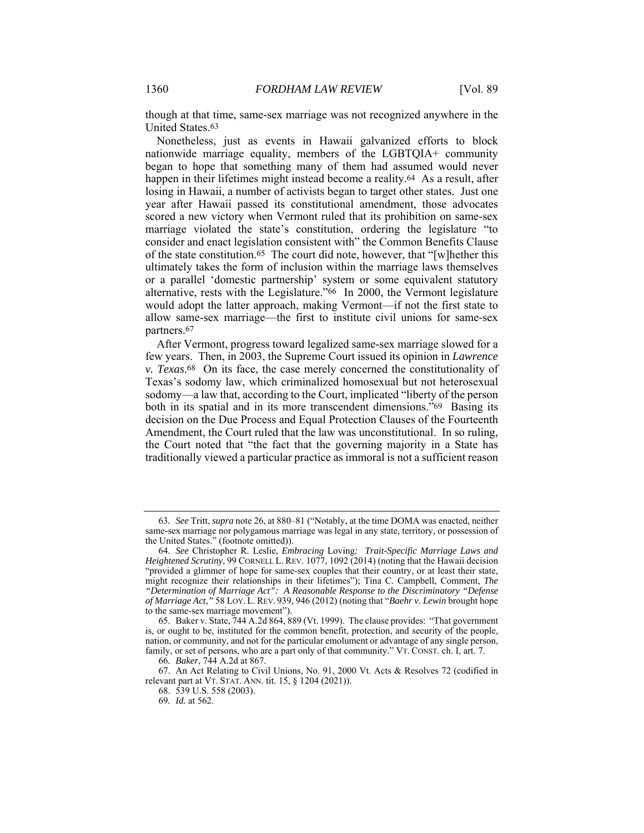though at that time, same-sex marriage was not recognized anywhere in the United States.63

Nonetheless, just as events in Hawaii galvanized efforts to block nationwide marriage equality, members of the LGBTQIA+ community began to hope that something many of them had assumed would never happen in their lifetimes might instead become a reality.64 As a result, after losing in Hawaii, a number of activists began to target other states. Just one year after Hawaii passed its constitutional amendment, those advocates scored a new victory when Vermont ruled that its prohibition on same-sex marriage violated the state's constitution, ordering the legislature "to consider and enact legislation consistent with" the Common Benefits Clause of the state constitution.65 The court did note, however, that "[w]hether this ultimately takes the form of inclusion within the marriage laws themselves or a parallel 'domestic partnership' system or some equivalent statutory alternative, rests with the Legislature."66 In 2000, the Vermont legislature would adopt the latter approach, making Vermont—if not the first state to allow same-sex marriage—the first to institute civil unions for same-sex partners.67

After Vermont, progress toward legalized same-sex marriage slowed for a few years. Then, in 2003, the Supreme Court issued its opinion in *Lawrence v. Texas*.68 On its face, the case merely concerned the constitutionality of Texas's sodomy law, which criminalized homosexual but not heterosexual sodomy—a law that, according to the Court, implicated "liberty of the person both in its spatial and in its more transcendent dimensions."<sup>69</sup> Basing its decision on the Due Process and Equal Protection Clauses of the Fourteenth Amendment, the Court ruled that the law was unconstitutional. In so ruling, the Court noted that "the fact that the governing majority in a State has traditionally viewed a particular practice as immoral is not a sufficient reason

<sup>63</sup>*. See* Tritt, *supra* note 26, at 880–81 ("Notably, at the time DOMA was enacted, neither same-sex marriage nor polygamous marriage was legal in any state, territory, or possession of the United States." (footnote omitted)).

<sup>64</sup>*. See* Christopher R. Leslie, *Embracing* Loving*: Trait-Specific Marriage Laws and Heightened Scrutiny*, 99 CORNELL L. REV. 1077, 1092 (2014) (noting that the Hawaii decision "provided a glimmer of hope for same-sex couples that their country, or at least their state, might recognize their relationships in their lifetimes"); Tina C. Campbell, Comment, *The "Determination of Marriage Act": A Reasonable Response to the Discriminatory "Defense of Marriage Act*,*"* 58 LOY. L. REV. 939, 946 (2012) (noting that "*Baehr v. Lewin* brought hope to the same-sex marriage movement").

 <sup>65.</sup> Baker v. State, 744 A.2d 864, 889 (Vt. 1999). The clause provides: "That government is, or ought to be, instituted for the common benefit, protection, and security of the people, nation, or community, and not for the particular emolument or advantage of any single person, family, or set of persons, who are a part only of that community." VT. CONST. ch. I, art. 7.

<sup>66</sup>*. Baker*, 744 A.2d at 867.

 <sup>67.</sup> An Act Relating to Civil Unions, No. 91, 2000 Vt. Acts & Resolves 72 (codified in relevant part at VT. STAT. ANN. tit. 15, § 1204 (2021)).

 <sup>68. 539</sup> U.S. 558 (2003).

<sup>69</sup>*. Id.* at 562.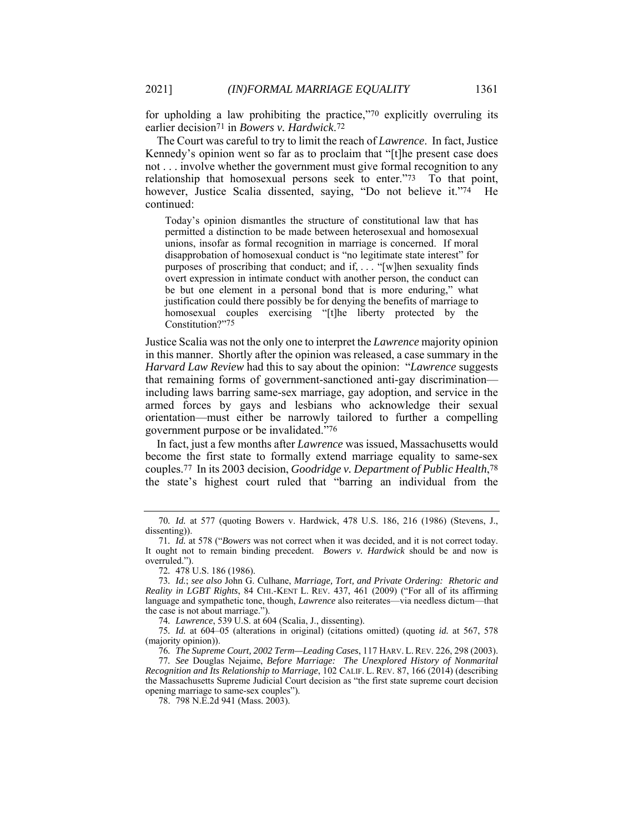for upholding a law prohibiting the practice,"70 explicitly overruling its earlier decision71 in *Bowers v. Hardwick*.72

The Court was careful to try to limit the reach of *Lawrence*.In fact, Justice Kennedy's opinion went so far as to proclaim that "[t]he present case does not . . . involve whether the government must give formal recognition to any relationship that homosexual persons seek to enter."73 To that point, however, Justice Scalia dissented, saying, "Do not believe it."74 He continued:

Today's opinion dismantles the structure of constitutional law that has permitted a distinction to be made between heterosexual and homosexual unions, insofar as formal recognition in marriage is concerned. If moral disapprobation of homosexual conduct is "no legitimate state interest" for purposes of proscribing that conduct; and if, . . . "[w]hen sexuality finds overt expression in intimate conduct with another person, the conduct can be but one element in a personal bond that is more enduring," what justification could there possibly be for denying the benefits of marriage to homosexual couples exercising "[t]he liberty protected by the Constitution?"75

Justice Scalia was not the only one to interpret the *Lawrence* majority opinion in this manner. Shortly after the opinion was released, a case summary in the *Harvard Law Review* had this to say about the opinion: "*Lawrence* suggests that remaining forms of government-sanctioned anti-gay discrimination including laws barring same-sex marriage, gay adoption, and service in the armed forces by gays and lesbians who acknowledge their sexual orientation—must either be narrowly tailored to further a compelling government purpose or be invalidated."76

In fact, just a few months after *Lawrence* was issued, Massachusetts would become the first state to formally extend marriage equality to same-sex couples.77 In its 2003 decision, *Goodridge v. Department of Public Health*,78 the state's highest court ruled that "barring an individual from the

74*. Lawrence*, 539 U.S. at 604 (Scalia, J., dissenting).

75*. Id.* at 604–05 (alterations in original) (citations omitted) (quoting *id.* at 567, 578 (majority opinion)).

76*. The Supreme Court, 2002 Term—Leading Cases*, 117 HARV. L. REV. 226, 298 (2003).

77*. See* Douglas Nejaime, *Before Marriage: The Unexplored History of Nonmarital Recognition and Its Relationship to Marriage*, 102 CALIF. L. REV. 87, 166 (2014) (describing the Massachusetts Supreme Judicial Court decision as "the first state supreme court decision opening marriage to same-sex couples").

78. 798 N.E.2d 941 (Mass. 2003).

<sup>70</sup>*. Id.* at 577 (quoting Bowers v. Hardwick, 478 U.S. 186, 216 (1986) (Stevens, J., dissenting)).

<sup>71</sup>*. Id.* at 578 ("*Bowers* was not correct when it was decided, and it is not correct today. It ought not to remain binding precedent. *Bowers v. Hardwick* should be and now is overruled.").

<sup>72</sup>*.* 478 U.S. 186 (1986).

<sup>73</sup>*. Id.*; *see also* John G. Culhane, *Marriage, Tort, and Private Ordering: Rhetoric and Reality in LGBT Rights*, 84 CHI.-KENT L. REV. 437, 461 (2009) ("For all of its affirming language and sympathetic tone, though, *Lawrence* also reiterates—via needless dictum—that the case is not about marriage.").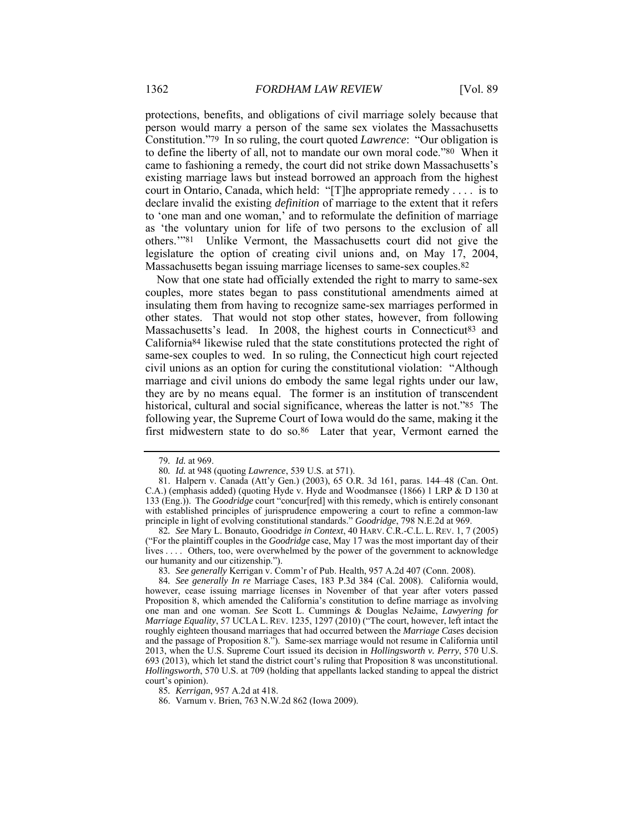protections, benefits, and obligations of civil marriage solely because that person would marry a person of the same sex violates the Massachusetts Constitution."79 In so ruling, the court quoted *Lawrence*: "Our obligation is to define the liberty of all, not to mandate our own moral code."80 When it came to fashioning a remedy, the court did not strike down Massachusetts's existing marriage laws but instead borrowed an approach from the highest court in Ontario, Canada, which held: "[T]he appropriate remedy . . . . is to declare invalid the existing *definition* of marriage to the extent that it refers to 'one man and one woman,' and to reformulate the definition of marriage as 'the voluntary union for life of two persons to the exclusion of all others.'"81 Unlike Vermont, the Massachusetts court did not give the legislature the option of creating civil unions and, on May 17, 2004, Massachusetts began issuing marriage licenses to same-sex couples.82

Now that one state had officially extended the right to marry to same-sex couples, more states began to pass constitutional amendments aimed at insulating them from having to recognize same-sex marriages performed in other states. That would not stop other states, however, from following Massachusetts's lead. In 2008, the highest courts in Connecticut<sup>83</sup> and California84 likewise ruled that the state constitutions protected the right of same-sex couples to wed. In so ruling, the Connecticut high court rejected civil unions as an option for curing the constitutional violation: "Although marriage and civil unions do embody the same legal rights under our law, they are by no means equal. The former is an institution of transcendent historical, cultural and social significance, whereas the latter is not."85 The following year, the Supreme Court of Iowa would do the same, making it the first midwestern state to do so.86 Later that year, Vermont earned the

82*. See* Mary L. Bonauto, Goodridge *in Context*, 40 HARV. C.R.-C.L. L. REV. 1, 7 (2005) ("For the plaintiff couples in the *Goodridge* case, May 17 was the most important day of their lives . . . . Others, too, were overwhelmed by the power of the government to acknowledge our humanity and our citizenship.").

83*. See generally* Kerrigan v. Comm'r of Pub. Health, 957 A.2d 407 (Conn. 2008).

85*. Kerrigan*, 957 A.2d at 418.

86. Varnum v. Brien, 763 N.W.2d 862 (Iowa 2009).

<sup>79</sup>*. Id.* at 969.

<sup>80</sup>*. Id.* at 948 (quoting *Lawrence*, 539 U.S. at 571).

 <sup>81.</sup> Halpern v. Canada (Att'y Gen.) (2003), 65 O.R. 3d 161, paras. 144–48 (Can. Ont. C.A.) (emphasis added) (quoting Hyde v. Hyde and Woodmansee (1866) 1 LRP & D 130 at 133 (Eng.)). The *Goodridge* court "concur[red] with this remedy, which is entirely consonant with established principles of jurisprudence empowering a court to refine a common-law principle in light of evolving constitutional standards." *Goodridge*, 798 N.E.2d at 969.

<sup>84</sup>*. See generally In re* Marriage Cases, 183 P.3d 384 (Cal. 2008). California would, however, cease issuing marriage licenses in November of that year after voters passed Proposition 8, which amended the California's constitution to define marriage as involving one man and one woman. *See* Scott L. Cummings & Douglas NeJaime, *Lawyering for Marriage Equality*, 57 UCLA L. REV. 1235, 1297 (2010) ("The court, however, left intact the roughly eighteen thousand marriages that had occurred between the *Marriage Cases* decision and the passage of Proposition 8."). Same-sex marriage would not resume in California until 2013, when the U.S. Supreme Court issued its decision in *Hollingsworth v. Perry*, 570 U.S. 693 (2013), which let stand the district court's ruling that Proposition 8 was unconstitutional. *Hollingsworth*, 570 U.S. at 709 (holding that appellants lacked standing to appeal the district court's opinion).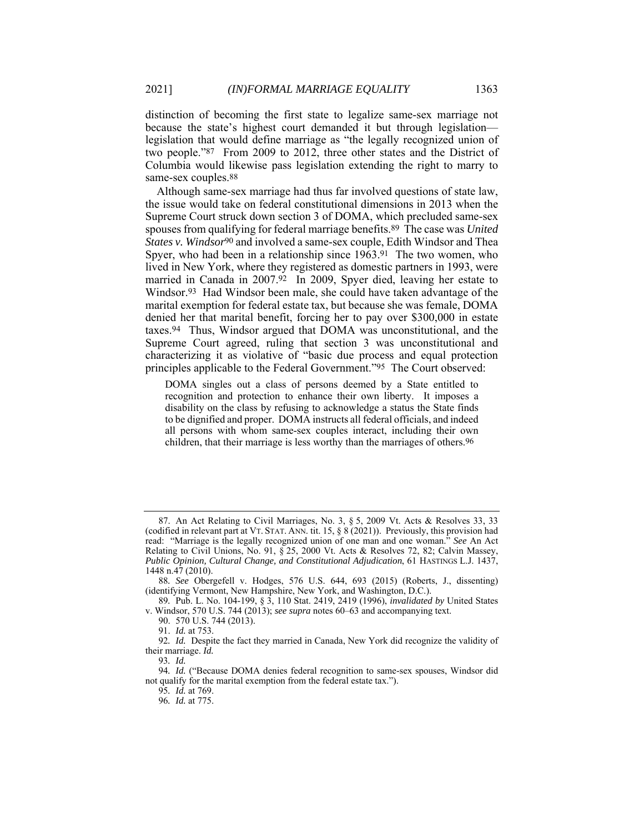distinction of becoming the first state to legalize same-sex marriage not because the state's highest court demanded it but through legislation legislation that would define marriage as "the legally recognized union of two people."87 From 2009 to 2012, three other states and the District of Columbia would likewise pass legislation extending the right to marry to same-sex couples.88

Although same-sex marriage had thus far involved questions of state law, the issue would take on federal constitutional dimensions in 2013 when the Supreme Court struck down section 3 of DOMA, which precluded same-sex spouses from qualifying for federal marriage benefits.89 The case was *United States v. Windsor*90 and involved a same-sex couple, Edith Windsor and Thea Spyer, who had been in a relationship since 1963.91 The two women, who lived in New York, where they registered as domestic partners in 1993, were married in Canada in 2007.92 In 2009, Spyer died, leaving her estate to Windsor.93 Had Windsor been male, she could have taken advantage of the marital exemption for federal estate tax, but because she was female, DOMA denied her that marital benefit, forcing her to pay over \$300,000 in estate taxes.94 Thus, Windsor argued that DOMA was unconstitutional, and the Supreme Court agreed, ruling that section 3 was unconstitutional and characterizing it as violative of "basic due process and equal protection principles applicable to the Federal Government."95 The Court observed:

DOMA singles out a class of persons deemed by a State entitled to recognition and protection to enhance their own liberty. It imposes a disability on the class by refusing to acknowledge a status the State finds to be dignified and proper. DOMA instructs all federal officials, and indeed all persons with whom same-sex couples interact, including their own children, that their marriage is less worthy than the marriages of others.96

 <sup>87.</sup> An Act Relating to Civil Marriages, No. 3, § 5, 2009 Vt. Acts & Resolves 33, 33 (codified in relevant part at VT. STAT. ANN. tit. 15, § 8 (2021)). Previously, this provision had read: "Marriage is the legally recognized union of one man and one woman." *See* An Act Relating to Civil Unions, No. 91, § 25, 2000 Vt. Acts & Resolves 72, 82; Calvin Massey, *Public Opinion, Cultural Change, and Constitutional Adjudication*, 61 HASTINGS L.J. 1437, 1448 n.47 (2010).

<sup>88</sup>*. See* Obergefell v. Hodges, 576 U.S. 644, 693 (2015) (Roberts, J., dissenting) (identifying Vermont, New Hampshire, New York, and Washington, D.C.).

<sup>89</sup>*.* Pub. L. No. 104-199, § 3, 110 Stat. 2419, 2419 (1996), *invalidated by* United States v. Windsor, 570 U.S. 744 (2013); *see supra* notes 60–63 and accompanying text.

 <sup>90. 570</sup> U.S. 744 (2013).

 <sup>91.</sup> *Id.* at 753.

<sup>92</sup>*. Id.* Despite the fact they married in Canada, New York did recognize the validity of their marriage. *Id.* 

<sup>93</sup>*. Id.* 

<sup>94</sup>*. Id.* ("Because DOMA denies federal recognition to same-sex spouses, Windsor did not qualify for the marital exemption from the federal estate tax.").

<sup>95</sup>*. Id.* at 769.

<sup>96</sup>*. Id.* at 775.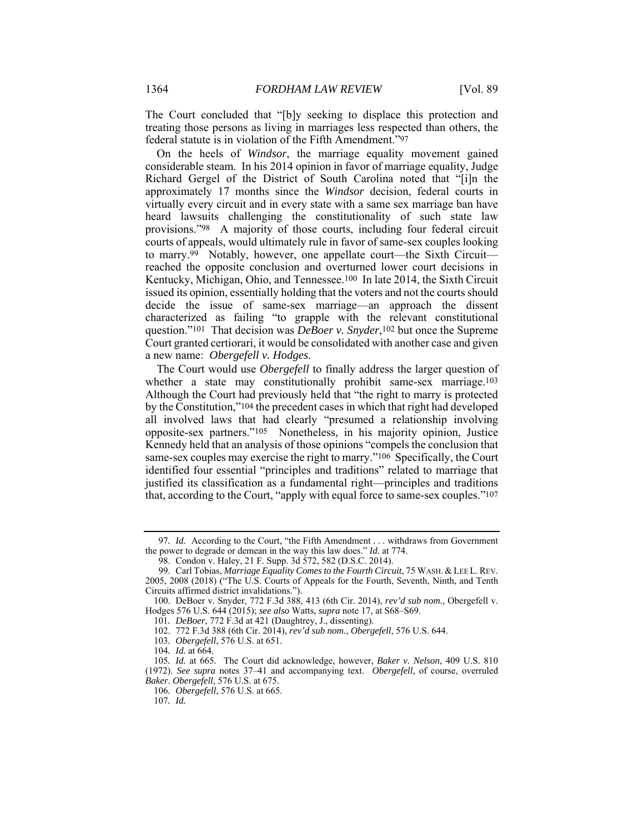The Court concluded that "[b]y seeking to displace this protection and treating those persons as living in marriages less respected than others, the federal statute is in violation of the Fifth Amendment."97

On the heels of *Windsor*, the marriage equality movement gained considerable steam. In his 2014 opinion in favor of marriage equality, Judge Richard Gergel of the District of South Carolina noted that "[i]n the approximately 17 months since the *Windsor* decision, federal courts in virtually every circuit and in every state with a same sex marriage ban have heard lawsuits challenging the constitutionality of such state law provisions."98 A majority of those courts, including four federal circuit courts of appeals, would ultimately rule in favor of same-sex couples looking to marry.<sup>99</sup> Notably, however, one appellate court—the Sixth Circuit reached the opposite conclusion and overturned lower court decisions in Kentucky, Michigan, Ohio, and Tennessee.100 In late 2014, the Sixth Circuit issued its opinion, essentially holding that the voters and not the courts should decide the issue of same-sex marriage—an approach the dissent characterized as failing "to grapple with the relevant constitutional question."101 That decision was *DeBoer v. Snyder*,102 but once the Supreme Court granted certiorari, it would be consolidated with another case and given a new name: *Obergefell v. Hodges*.

The Court would use *Obergefell* to finally address the larger question of whether a state may constitutionally prohibit same-sex marriage.<sup>103</sup> Although the Court had previously held that "the right to marry is protected by the Constitution,"104 the precedent cases in which that right had developed all involved laws that had clearly "presumed a relationship involving opposite-sex partners."105 Nonetheless, in his majority opinion, Justice Kennedy held that an analysis of those opinions "compels the conclusion that same-sex couples may exercise the right to marry."106 Specifically, the Court identified four essential "principles and traditions" related to marriage that justified its classification as a fundamental right—principles and traditions that, according to the Court, "apply with equal force to same-sex couples."107

 99. Carl Tobias, *Marriage Equality Comes to the Fourth Circuit*, 75 WASH. & LEE L.REV. 2005, 2008 (2018) ("The U.S. Courts of Appeals for the Fourth, Seventh, Ninth, and Tenth Circuits affirmed district invalidations.").

<sup>97</sup>*. Id.* According to the Court, "the Fifth Amendment . . . withdraws from Government the power to degrade or demean in the way this law does." *Id.* at 774.

 <sup>98.</sup> Condon v. Haley, 21 F. Supp. 3d 572, 582 (D.S.C. 2014).

 <sup>100.</sup> DeBoer v. Snyder, 772 F.3d 388, 413 (6th Cir. 2014), *rev'd sub nom.*, Obergefell v. Hodges 576 U.S. 644 (2015); *see also* Watts, *supra* note 17, at S68–S69.

<sup>101</sup>*. DeBoer*, 772 F.3d at 421 (Daughtrey, J., dissenting).

 <sup>102. 772</sup> F.3d 388 (6th Cir. 2014), *rev'd sub nom.*, *Obergefell*, 576 U.S. 644.

<sup>103</sup>*. Obergefell*, 576 U.S. at 651.

<sup>104</sup>*. Id.* at 664.

<sup>105</sup>*. Id.* at 665*.* The Court did acknowledge, however, *Baker v. Nelson*, 409 U.S. 810 (1972). *See supra* notes 37–41 and accompanying text. *Obergefell*, of course, overruled *Baker*. *Obergefell*, 576 U.S. at 675.

<sup>106</sup>*. Obergefell*, 576 U.S. at 665.

<sup>107</sup>*. Id.*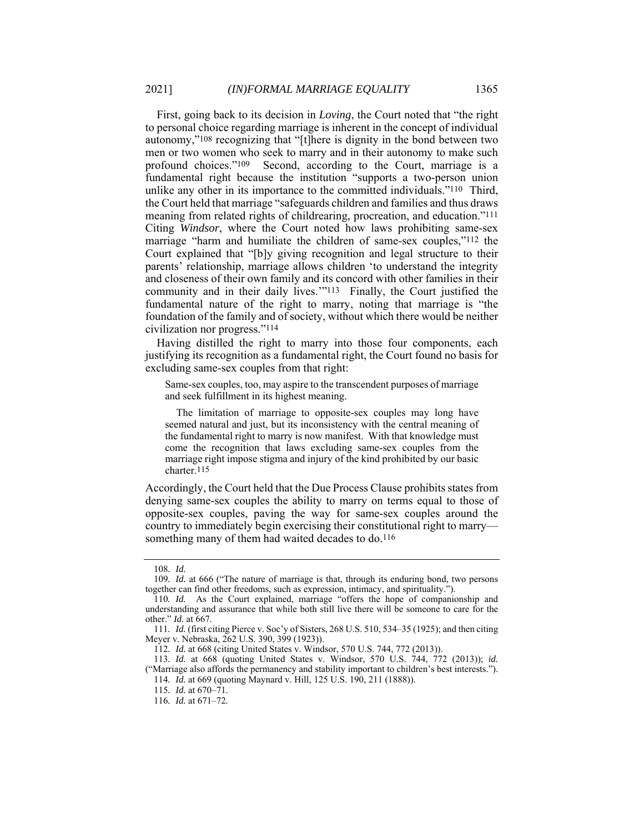First, going back to its decision in *Loving*, the Court noted that "the right to personal choice regarding marriage is inherent in the concept of individual autonomy,"108 recognizing that "[t]here is dignity in the bond between two men or two women who seek to marry and in their autonomy to make such profound choices."109 Second, according to the Court, marriage is a fundamental right because the institution "supports a two-person union unlike any other in its importance to the committed individuals."110 Third, the Court held that marriage "safeguards children and families and thus draws meaning from related rights of childrearing, procreation, and education."111 Citing *Windsor*, where the Court noted how laws prohibiting same-sex marriage "harm and humiliate the children of same-sex couples,"112 the Court explained that "[b]y giving recognition and legal structure to their parents' relationship, marriage allows children 'to understand the integrity and closeness of their own family and its concord with other families in their community and in their daily lives.'"113 Finally, the Court justified the fundamental nature of the right to marry, noting that marriage is "the foundation of the family and of society, without which there would be neither civilization nor progress."114

Having distilled the right to marry into those four components, each justifying its recognition as a fundamental right, the Court found no basis for excluding same-sex couples from that right:

Same-sex couples, too, may aspire to the transcendent purposes of marriage and seek fulfillment in its highest meaning.

The limitation of marriage to opposite-sex couples may long have seemed natural and just, but its inconsistency with the central meaning of the fundamental right to marry is now manifest. With that knowledge must come the recognition that laws excluding same-sex couples from the marriage right impose stigma and injury of the kind prohibited by our basic charter.115

Accordingly, the Court held that the Due Process Clause prohibits states from denying same-sex couples the ability to marry on terms equal to those of opposite-sex couples, paving the way for same-sex couples around the country to immediately begin exercising their constitutional right to marry something many of them had waited decades to do.116

<sup>108</sup>*. Id.*

<sup>109</sup>*. Id.* at 666 ("The nature of marriage is that, through its enduring bond, two persons together can find other freedoms, such as expression, intimacy, and spirituality.").

<sup>110</sup>*. Id.* As the Court explained, marriage "offers the hope of companionship and understanding and assurance that while both still live there will be someone to care for the other." *Id.* at 667.

<sup>111</sup>*. Id.* (first citing Pierce v. Soc'y of Sisters, 268 U.S. 510, 534–35 (1925); and then citing Meyer v. Nebraska, 262 U.S. 390, 399 (1923)).

<sup>112</sup>*. Id.* at 668 (citing United States v. Windsor, 570 U.S. 744, 772 (2013)).

<sup>113</sup>*. Id.* at 668 (quoting United States v. Windsor, 570 U.S. 744, 772 (2013)); *id.* ("Marriage also affords the permanency and stability important to children's best interests.").

<sup>114</sup>*. Id.* at 669 (quoting Maynard v. Hill, 125 U.S. 190, 211 (1888)).

<sup>115</sup>*. Id.* at 670–71.

<sup>116</sup>*. Id.* at 671–72*.*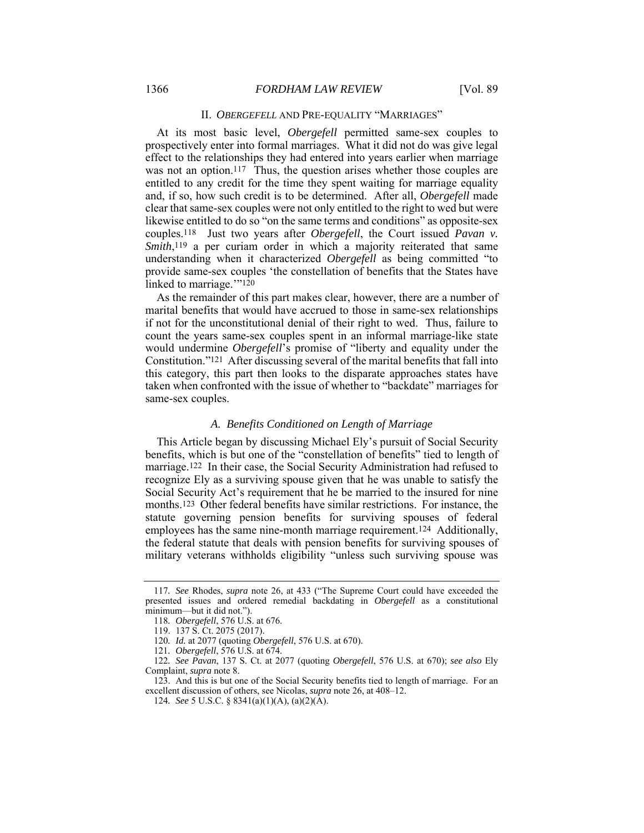### II. OBERGEFELL AND PRE-EQUALITY "MARRIAGES"

At its most basic level, *Obergefell* permitted same-sex couples to prospectively enter into formal marriages. What it did not do was give legal effect to the relationships they had entered into years earlier when marriage was not an option.<sup>117</sup> Thus, the question arises whether those couples are entitled to any credit for the time they spent waiting for marriage equality and, if so, how such credit is to be determined. After all, *Obergefell* made clear that same-sex couples were not only entitled to the right to wed but were likewise entitled to do so "on the same terms and conditions" as opposite-sex couples.118 Just two years after *Obergefell*, the Court issued *Pavan v. Smith*,<sup>119</sup> a per curiam order in which a majority reiterated that same understanding when it characterized *Obergefell* as being committed "to provide same-sex couples 'the constellation of benefits that the States have linked to marriage."<sup>120</sup>

As the remainder of this part makes clear, however, there are a number of marital benefits that would have accrued to those in same-sex relationships if not for the unconstitutional denial of their right to wed. Thus, failure to count the years same-sex couples spent in an informal marriage-like state would undermine *Obergefell*'s promise of "liberty and equality under the Constitution."121 After discussing several of the marital benefits that fall into this category, this part then looks to the disparate approaches states have taken when confronted with the issue of whether to "backdate" marriages for same-sex couples.

#### *A. Benefits Conditioned on Length of Marriage*

This Article began by discussing Michael Ely's pursuit of Social Security benefits, which is but one of the "constellation of benefits" tied to length of marriage.122 In their case, the Social Security Administration had refused to recognize Ely as a surviving spouse given that he was unable to satisfy the Social Security Act's requirement that he be married to the insured for nine months.123 Other federal benefits have similar restrictions. For instance, the statute governing pension benefits for surviving spouses of federal employees has the same nine-month marriage requirement.124 Additionally, the federal statute that deals with pension benefits for surviving spouses of military veterans withholds eligibility "unless such surviving spouse was

<sup>117</sup>*. See* Rhodes, *supra* note 26, at 433 ("The Supreme Court could have exceeded the presented issues and ordered remedial backdating in *Obergefell* as a constitutional minimum—but it did not.").

<sup>118</sup>*. Obergefell*, 576 U.S. at 676.

 <sup>119. 137</sup> S. Ct. 2075 (2017).

<sup>120</sup>*. Id.* at 2077 (quoting *Obergefell*, 576 U.S. at 670).

<sup>121</sup>*. Obergefell*, 576 U.S. at 674.

<sup>122</sup>*. See Pavan*, 137 S. Ct. at 2077 (quoting *Obergefell*, 576 U.S. at 670); *see also* Ely Complaint, *supra* note 8.

 <sup>123.</sup> And this is but one of the Social Security benefits tied to length of marriage. For an excellent discussion of others, see Nicolas, *supra* note 26, at 408–12.

<sup>124</sup>*. See* 5 U.S.C. § 8341(a)(1)(A), (a)(2)(A).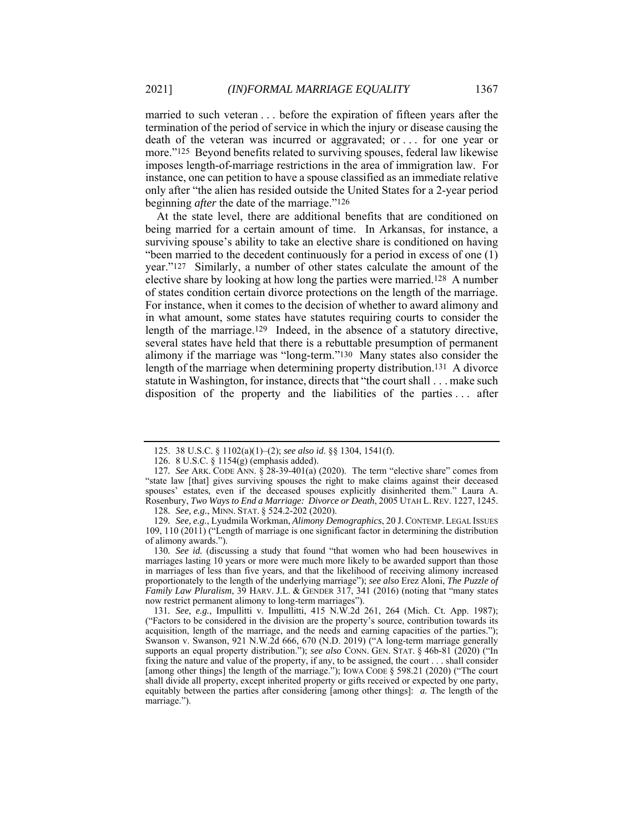married to such veteran . . . before the expiration of fifteen years after the termination of the period of service in which the injury or disease causing the death of the veteran was incurred or aggravated; or . . . for one year or more."125 Beyond benefits related to surviving spouses, federal law likewise imposes length-of-marriage restrictions in the area of immigration law. For instance, one can petition to have a spouse classified as an immediate relative only after "the alien has resided outside the United States for a 2-year period beginning *after* the date of the marriage."126

At the state level, there are additional benefits that are conditioned on being married for a certain amount of time. In Arkansas, for instance, a surviving spouse's ability to take an elective share is conditioned on having "been married to the decedent continuously for a period in excess of one (1) year."127 Similarly, a number of other states calculate the amount of the elective share by looking at how long the parties were married.128 A number of states condition certain divorce protections on the length of the marriage. For instance, when it comes to the decision of whether to award alimony and in what amount, some states have statutes requiring courts to consider the length of the marriage.129 Indeed, in the absence of a statutory directive, several states have held that there is a rebuttable presumption of permanent alimony if the marriage was "long-term."130 Many states also consider the length of the marriage when determining property distribution.131 A divorce statute in Washington, for instance, directs that "the court shall . . . make such disposition of the property and the liabilities of the parties . . . after

130*. See id.* (discussing a study that found "that women who had been housewives in marriages lasting 10 years or more were much more likely to be awarded support than those in marriages of less than five years, and that the likelihood of receiving alimony increased proportionately to the length of the underlying marriage"); *see also* Erez Aloni, *The Puzzle of Family Law Pluralism*, 39 HARV. J.L. & GENDER 317, 341 (2016) (noting that "many states now restrict permanent alimony to long-term marriages").

 <sup>125. 38</sup> U.S.C. § 1102(a)(1)–(2); *see also id*. §§ 1304, 1541(f).

 <sup>126. 8</sup> U.S.C. § 1154(g) (emphasis added).

<sup>127</sup>*. See* ARK. CODE ANN. § 28-39-401(a) (2020). The term "elective share" comes from "state law [that] gives surviving spouses the right to make claims against their deceased spouses' estates, even if the deceased spouses explicitly disinherited them." Laura A. Rosenbury, *Two Ways to End a Marriage: Divorce or Death*, 2005 UTAH L. REV. 1227, 1245. 128*. See, e.g.*, MINN. STAT. § 524.2-202 (2020).

<sup>129</sup>*. See, e.g.*, Lyudmila Workman, *Alimony Demographics*, 20 J. CONTEMP. LEGAL ISSUES 109, 110 (2011) ("Length of marriage is one significant factor in determining the distribution of alimony awards.").

<sup>131</sup>*. See, e.g.*, Impullitti v. Impullitti, 415 N.W.2d 261, 264 (Mich. Ct. App. 1987); ("Factors to be considered in the division are the property's source, contribution towards its acquisition, length of the marriage, and the needs and earning capacities of the parties."); Swanson v. Swanson, 921 N.W.2d 666, 670 (N.D. 2019) ("A long-term marriage generally supports an equal property distribution."); *see also* CONN. GEN. STAT. § 46b-81 (2020) ("In fixing the nature and value of the property, if any, to be assigned, the court . . . shall consider [among other things] the length of the marriage."); IOWA CODE § 598.21 (2020) ("The court shall divide all property, except inherited property or gifts received or expected by one party, equitably between the parties after considering [among other things]: *a.* The length of the marriage.").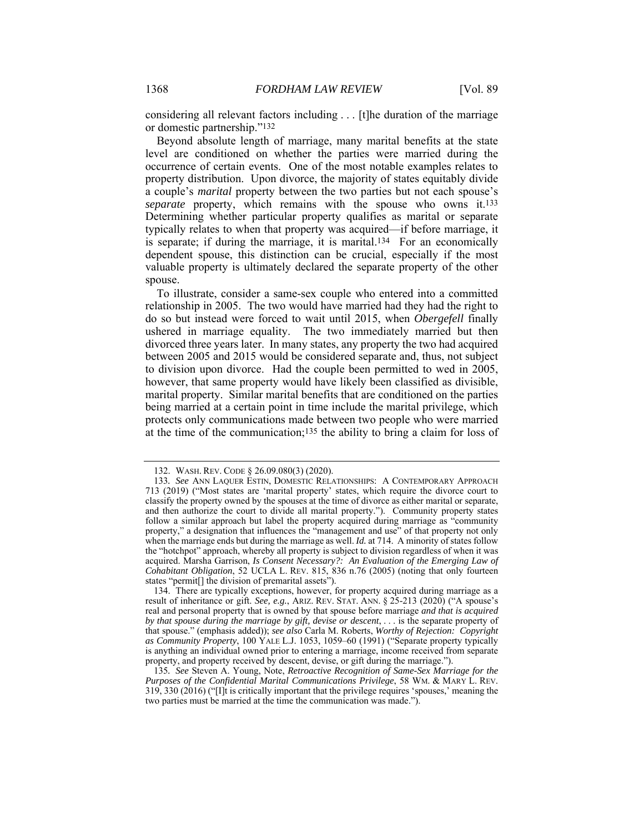considering all relevant factors including . . . [t]he duration of the marriage or domestic partnership."132

Beyond absolute length of marriage, many marital benefits at the state level are conditioned on whether the parties were married during the occurrence of certain events. One of the most notable examples relates to property distribution. Upon divorce, the majority of states equitably divide a couple's *marital* property between the two parties but not each spouse's *separate* property, which remains with the spouse who owns it.133 Determining whether particular property qualifies as marital or separate typically relates to when that property was acquired—if before marriage, it is separate; if during the marriage, it is marital.134 For an economically dependent spouse, this distinction can be crucial, especially if the most valuable property is ultimately declared the separate property of the other spouse.

To illustrate, consider a same-sex couple who entered into a committed relationship in 2005. The two would have married had they had the right to do so but instead were forced to wait until 2015, when *Obergefell* finally ushered in marriage equality. The two immediately married but then divorced three years later. In many states, any property the two had acquired between 2005 and 2015 would be considered separate and, thus, not subject to division upon divorce. Had the couple been permitted to wed in 2005, however, that same property would have likely been classified as divisible, marital property. Similar marital benefits that are conditioned on the parties being married at a certain point in time include the marital privilege, which protects only communications made between two people who were married at the time of the communication;135 the ability to bring a claim for loss of

 <sup>132.</sup> WASH. REV. CODE § 26.09.080(3) (2020).

<sup>133</sup>*. See* ANN LAQUER ESTIN, DOMESTIC RELATIONSHIPS: A CONTEMPORARY APPROACH 713 (2019) ("Most states are 'marital property' states, which require the divorce court to classify the property owned by the spouses at the time of divorce as either marital or separate, and then authorize the court to divide all marital property."). Community property states follow a similar approach but label the property acquired during marriage as "community property," a designation that influences the "management and use" of that property not only when the marriage ends but during the marriage as well. *Id.* at 714. A minority of states follow the "hotchpot" approach, whereby all property is subject to division regardless of when it was acquired. Marsha Garrison, *Is Consent Necessary?: An Evaluation of the Emerging Law of Cohabitant Obligation*, 52 UCLA L. REV. 815, 836 n.76 (2005) (noting that only fourteen states "permit[] the division of premarital assets").

 <sup>134.</sup> There are typically exceptions, however, for property acquired during marriage as a result of inheritance or gift. *See, e.g.*, ARIZ. REV. STAT. ANN. § 25-213 (2020) ("A spouse's real and personal property that is owned by that spouse before marriage *and that is acquired by that spouse during the marriage by gift, devise or descent*, . . . is the separate property of that spouse." (emphasis added)); *see also* Carla M. Roberts, *Worthy of Rejection: Copyright as Community Property*, 100 YALE L.J. 1053, 1059–60 (1991) ("Separate property typically is anything an individual owned prior to entering a marriage, income received from separate property, and property received by descent, devise, or gift during the marriage.").

<sup>135</sup>*. See* Steven A. Young, Note, *Retroactive Recognition of Same-Sex Marriage for the Purposes of the Confidential Marital Communications Privilege*, 58 WM. & MARY L. REV. 319, 330 (2016) ("[I]t is critically important that the privilege requires 'spouses,' meaning the two parties must be married at the time the communication was made.").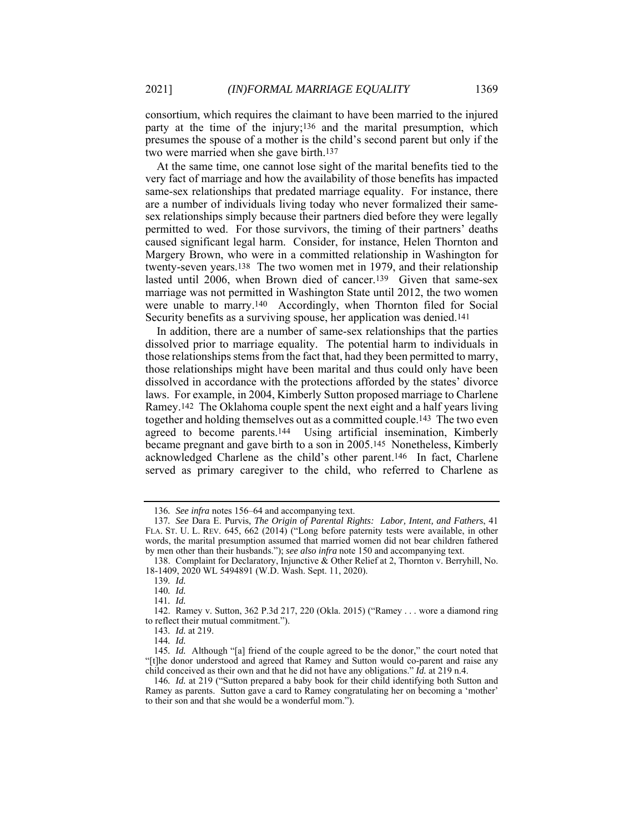consortium, which requires the claimant to have been married to the injured party at the time of the injury;136 and the marital presumption, which presumes the spouse of a mother is the child's second parent but only if the two were married when she gave birth.137

At the same time, one cannot lose sight of the marital benefits tied to the very fact of marriage and how the availability of those benefits has impacted same-sex relationships that predated marriage equality. For instance, there are a number of individuals living today who never formalized their samesex relationships simply because their partners died before they were legally permitted to wed. For those survivors, the timing of their partners' deaths caused significant legal harm. Consider, for instance, Helen Thornton and Margery Brown, who were in a committed relationship in Washington for twenty-seven years.138 The two women met in 1979, and their relationship lasted until 2006, when Brown died of cancer.139 Given that same-sex marriage was not permitted in Washington State until 2012, the two women were unable to marry.140 Accordingly, when Thornton filed for Social Security benefits as a surviving spouse, her application was denied.141

In addition, there are a number of same-sex relationships that the parties dissolved prior to marriage equality. The potential harm to individuals in those relationships stems from the fact that, had they been permitted to marry, those relationships might have been marital and thus could only have been dissolved in accordance with the protections afforded by the states' divorce laws. For example, in 2004, Kimberly Sutton proposed marriage to Charlene Ramey.142 The Oklahoma couple spent the next eight and a half years living together and holding themselves out as a committed couple.143 The two even agreed to become parents.144 Using artificial insemination, Kimberly became pregnant and gave birth to a son in 2005.145 Nonetheless, Kimberly acknowledged Charlene as the child's other parent.146 In fact, Charlene served as primary caregiver to the child, who referred to Charlene as

<sup>136</sup>*. See infra* notes 156–64 and accompanying text.

<sup>137</sup>*. See* Dara E. Purvis, *The Origin of Parental Rights: Labor, Intent, and Fathers*, 41 FLA. ST. U. L. REV. 645, 662 (2014) ("Long before paternity tests were available, in other words, the marital presumption assumed that married women did not bear children fathered by men other than their husbands."); *see also infra* note 150 and accompanying text.

 <sup>138.</sup> Complaint for Declaratory, Injunctive & Other Relief at 2, Thornton v. Berryhill, No. 18-1409, 2020 WL 5494891 (W.D. Wash. Sept. 11, 2020).

<sup>139</sup>*. Id.* 

<sup>140</sup>*. Id.* 

<sup>141</sup>*. Id.* 

 <sup>142.</sup> Ramey v. Sutton, 362 P.3d 217, 220 (Okla. 2015) ("Ramey . . . wore a diamond ring to reflect their mutual commitment.").

<sup>143</sup>*. Id.* at 219.

<sup>144</sup>*. Id.* 

<sup>145</sup>*. Id.* Although "[a] friend of the couple agreed to be the donor," the court noted that "[t]he donor understood and agreed that Ramey and Sutton would co-parent and raise any child conceived as their own and that he did not have any obligations." *Id.* at 219 n.4.

<sup>146</sup>*. Id.* at 219 ("Sutton prepared a baby book for their child identifying both Sutton and Ramey as parents. Sutton gave a card to Ramey congratulating her on becoming a 'mother' to their son and that she would be a wonderful mom.").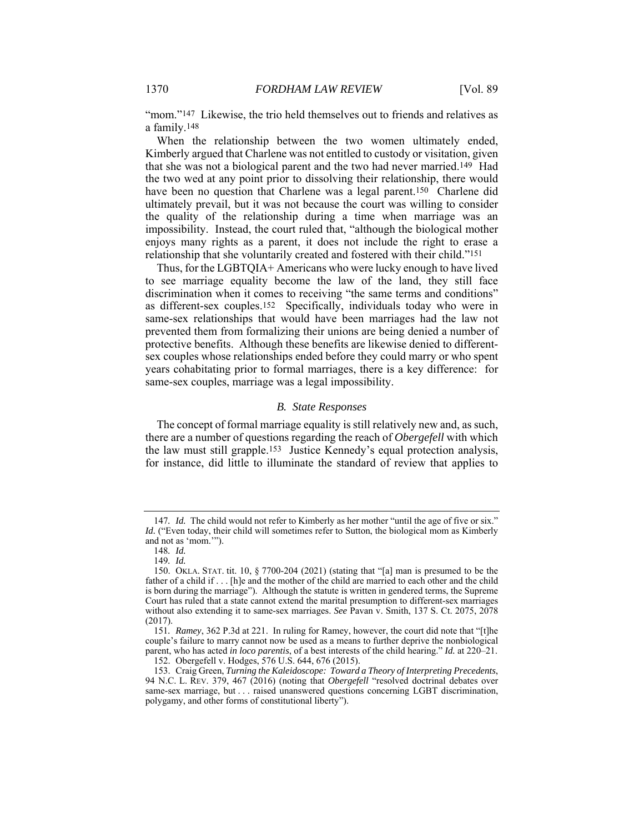"mom."<sup>147</sup> Likewise, the trio held themselves out to friends and relatives as a family.148

When the relationship between the two women ultimately ended, Kimberly argued that Charlene was not entitled to custody or visitation, given that she was not a biological parent and the two had never married.149 Had the two wed at any point prior to dissolving their relationship, there would have been no question that Charlene was a legal parent.<sup>150</sup> Charlene did ultimately prevail, but it was not because the court was willing to consider the quality of the relationship during a time when marriage was an impossibility. Instead, the court ruled that, "although the biological mother enjoys many rights as a parent, it does not include the right to erase a relationship that she voluntarily created and fostered with their child."151

Thus, for the LGBTQIA+ Americans who were lucky enough to have lived to see marriage equality become the law of the land, they still face discrimination when it comes to receiving "the same terms and conditions" as different-sex couples.152 Specifically, individuals today who were in same-sex relationships that would have been marriages had the law not prevented them from formalizing their unions are being denied a number of protective benefits. Although these benefits are likewise denied to differentsex couples whose relationships ended before they could marry or who spent years cohabitating prior to formal marriages, there is a key difference: for same-sex couples, marriage was a legal impossibility.

#### *B. State Responses*

The concept of formal marriage equality is still relatively new and, as such, there are a number of questions regarding the reach of *Obergefell* with which the law must still grapple.153 Justice Kennedy's equal protection analysis, for instance, did little to illuminate the standard of review that applies to

<sup>147</sup>*. Id.* The child would not refer to Kimberly as her mother "until the age of five or six." *Id.* ("Even today, their child will sometimes refer to Sutton, the biological mom as Kimberly and not as 'mom.'").

<sup>148</sup>*. Id.* 

<sup>149</sup>*. Id.* 

 <sup>150.</sup> OKLA. STAT. tit. 10, § 7700-204 (2021) (stating that "[a] man is presumed to be the father of a child if . . . [h]e and the mother of the child are married to each other and the child is born during the marriage"). Although the statute is written in gendered terms, the Supreme Court has ruled that a state cannot extend the marital presumption to different-sex marriages without also extending it to same-sex marriages. *See* Pavan v. Smith, 137 S. Ct. 2075, 2078 (2017).

<sup>151</sup>*. Ramey*, 362 P.3d at 221. In ruling for Ramey, however, the court did note that "[t]he couple's failure to marry cannot now be used as a means to further deprive the nonbiological parent, who has acted *in loco parentis*, of a best interests of the child hearing." *Id.* at 220–21.

 <sup>152.</sup> Obergefell v. Hodges, 576 U.S. 644, 676 (2015).

 <sup>153.</sup> Craig Green, *Turning the Kaleidoscope: Toward a Theory of Interpreting Precedents*, 94 N.C. L. REV. 379, 467 (2016) (noting that *Obergefell* "resolved doctrinal debates over same-sex marriage, but . . . raised unanswered questions concerning LGBT discrimination, polygamy, and other forms of constitutional liberty").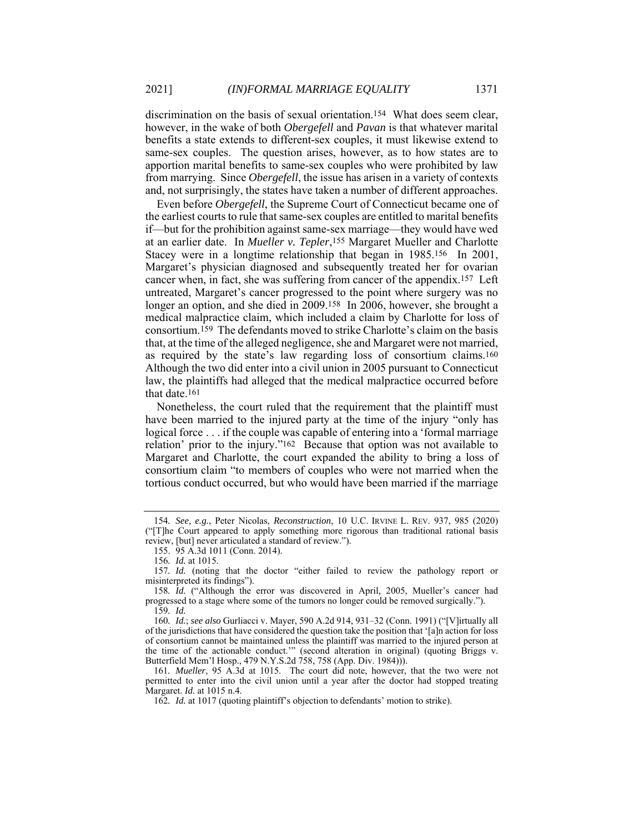discrimination on the basis of sexual orientation.154 What does seem clear, however, in the wake of both *Obergefell* and *Pavan* is that whatever marital benefits a state extends to different-sex couples, it must likewise extend to same-sex couples. The question arises, however, as to how states are to apportion marital benefits to same-sex couples who were prohibited by law from marrying. Since *Obergefell*, the issue has arisen in a variety of contexts and, not surprisingly, the states have taken a number of different approaches.

Even before *Obergefell*, the Supreme Court of Connecticut became one of the earliest courts to rule that same-sex couples are entitled to marital benefits if—but for the prohibition against same-sex marriage—they would have wed at an earlier date. In *Mueller v. Tepler*,155 Margaret Mueller and Charlotte Stacey were in a longtime relationship that began in 1985.156 In 2001, Margaret's physician diagnosed and subsequently treated her for ovarian cancer when, in fact, she was suffering from cancer of the appendix.157 Left untreated, Margaret's cancer progressed to the point where surgery was no longer an option, and she died in 2009.158 In 2006, however, she brought a medical malpractice claim, which included a claim by Charlotte for loss of consortium.159 The defendants moved to strike Charlotte's claim on the basis that, at the time of the alleged negligence, she and Margaret were not married, as required by the state's law regarding loss of consortium claims.160 Although the two did enter into a civil union in 2005 pursuant to Connecticut law, the plaintiffs had alleged that the medical malpractice occurred before that date.161

Nonetheless, the court ruled that the requirement that the plaintiff must have been married to the injured party at the time of the injury "only has logical force . . . if the couple was capable of entering into a 'formal marriage relation' prior to the injury."162 Because that option was not available to Margaret and Charlotte, the court expanded the ability to bring a loss of consortium claim "to members of couples who were not married when the tortious conduct occurred, but who would have been married if the marriage

<sup>154</sup>*. See, e.g.*, Peter Nicolas, *Reconstruction*, 10 U.C. IRVINE L. REV. 937, 985 (2020) ("[T]he Court appeared to apply something more rigorous than traditional rational basis review, [but] never articulated a standard of review.").

 <sup>155. 95</sup> A.3d 1011 (Conn. 2014).

<sup>156</sup>*. Id.* at 1015.

<sup>157</sup>*. Id.* (noting that the doctor "either failed to review the pathology report or misinterpreted its findings").

<sup>158</sup>*. Id.* ("Although the error was discovered in April, 2005, Mueller's cancer had progressed to a stage where some of the tumors no longer could be removed surgically."). 159*. Id.* 

<sup>160</sup>*. Id.*; *see also* Gurliacci v. Mayer, 590 A.2d 914, 931–32 (Conn. 1991) ("[V]irtually all of the jurisdictions that have considered the question take the position that '[a]n action for loss of consortium cannot be maintained unless the plaintiff was married to the injured person at the time of the actionable conduct.'" (second alteration in original) (quoting Briggs v. Butterfield Mem'l Hosp., 479 N.Y.S.2d 758, 758 (App. Div. 1984))).

<sup>161</sup>*. Mueller*, 95 A.3d at 1015. The court did note, however, that the two were not permitted to enter into the civil union until a year after the doctor had stopped treating Margaret. *Id.* at 1015 n.4.

<sup>162</sup>*. Id.* at 1017 (quoting plaintiff's objection to defendants' motion to strike).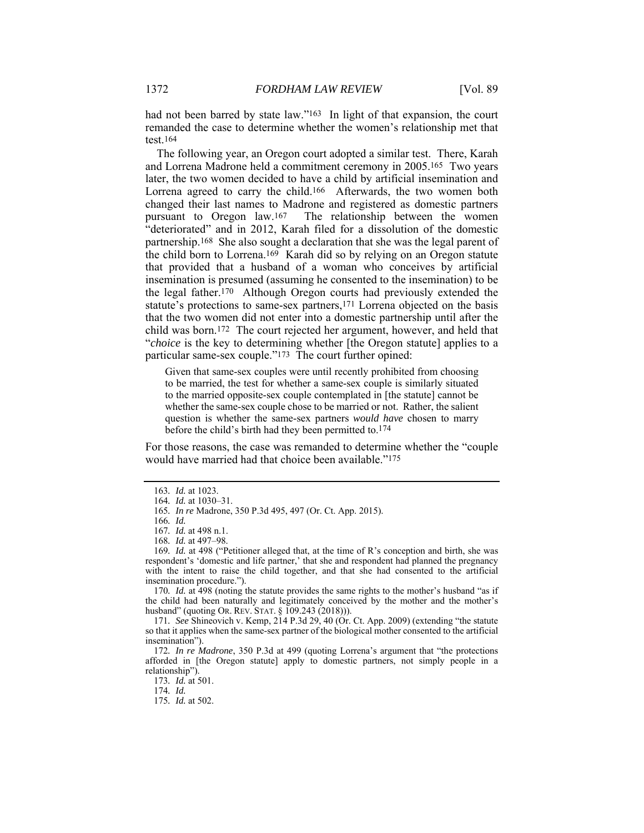had not been barred by state law."<sup>163</sup> In light of that expansion, the court remanded the case to determine whether the women's relationship met that test.164

The following year, an Oregon court adopted a similar test. There, Karah and Lorrena Madrone held a commitment ceremony in 2005.165 Two years later, the two women decided to have a child by artificial insemination and Lorrena agreed to carry the child.166 Afterwards, the two women both changed their last names to Madrone and registered as domestic partners pursuant to Oregon law.167 The relationship between the women "deteriorated" and in 2012, Karah filed for a dissolution of the domestic partnership.168 She also sought a declaration that she was the legal parent of the child born to Lorrena.169 Karah did so by relying on an Oregon statute that provided that a husband of a woman who conceives by artificial insemination is presumed (assuming he consented to the insemination) to be the legal father.170 Although Oregon courts had previously extended the statute's protections to same-sex partners,171 Lorrena objected on the basis that the two women did not enter into a domestic partnership until after the child was born.172 The court rejected her argument, however, and held that "*choice* is the key to determining whether [the Oregon statute] applies to a particular same-sex couple."173 The court further opined:

Given that same-sex couples were until recently prohibited from choosing to be married, the test for whether a same-sex couple is similarly situated to the married opposite-sex couple contemplated in [the statute] cannot be whether the same-sex couple chose to be married or not. Rather, the salient question is whether the same-sex partners *would have* chosen to marry before the child's birth had they been permitted to.174

For those reasons, the case was remanded to determine whether the "couple would have married had that choice been available."175

170*. Id.* at 498 (noting the statute provides the same rights to the mother's husband "as if the child had been naturally and legitimately conceived by the mother and the mother's husband" (quoting OR. REV. STAT. § 109.243 (2018))).

172*. In re Madrone*, 350 P.3d at 499 (quoting Lorrena's argument that "the protections afforded in [the Oregon statute] apply to domestic partners, not simply people in a relationship").

173*. Id.* at 501.

174*. Id.*

175*. Id.* at 502.

<sup>163</sup>*. Id.* at 1023.

<sup>164</sup>*. Id.* at 1030–31.

<sup>165</sup>*. In re* Madrone, 350 P.3d 495, 497 (Or. Ct. App. 2015).

<sup>166</sup>*. Id.* 

<sup>167</sup>*. Id.* at 498 n.1.

<sup>168</sup>*. Id.* at 497–98.

<sup>169</sup>*. Id.* at 498 ("Petitioner alleged that, at the time of R's conception and birth, she was respondent's 'domestic and life partner,' that she and respondent had planned the pregnancy with the intent to raise the child together, and that she had consented to the artificial insemination procedure.").

<sup>171</sup>*. See* Shineovich v. Kemp, 214 P.3d 29, 40 (Or. Ct. App. 2009) (extending "the statute so that it applies when the same-sex partner of the biological mother consented to the artificial insemination").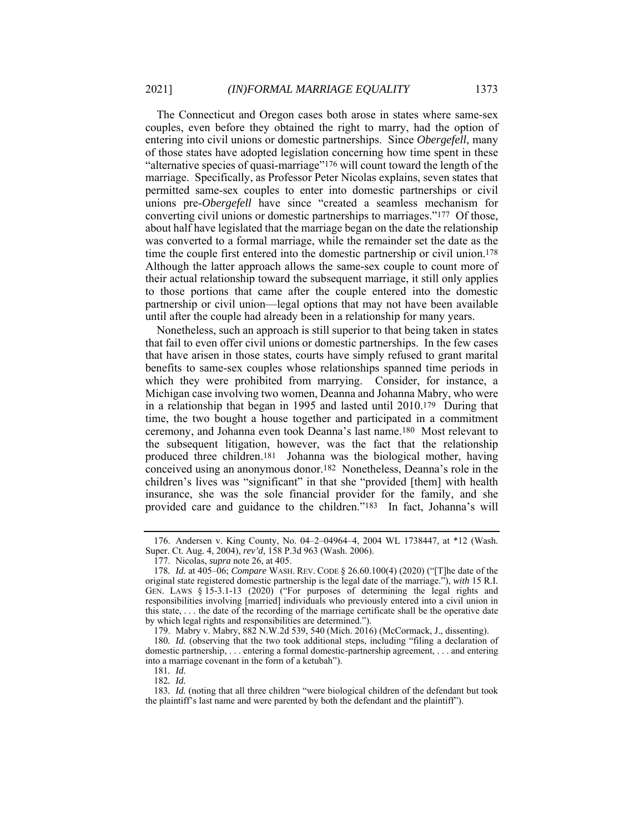The Connecticut and Oregon cases both arose in states where same-sex couples, even before they obtained the right to marry, had the option of entering into civil unions or domestic partnerships. Since *Obergefell*, many of those states have adopted legislation concerning how time spent in these "alternative species of quasi-marriage"176 will count toward the length of the marriage. Specifically, as Professor Peter Nicolas explains, seven states that permitted same-sex couples to enter into domestic partnerships or civil unions pre-*Obergefell* have since "created a seamless mechanism for converting civil unions or domestic partnerships to marriages."177 Of those, about half have legislated that the marriage began on the date the relationship was converted to a formal marriage, while the remainder set the date as the time the couple first entered into the domestic partnership or civil union.178 Although the latter approach allows the same-sex couple to count more of their actual relationship toward the subsequent marriage, it still only applies to those portions that came after the couple entered into the domestic partnership or civil union—legal options that may not have been available until after the couple had already been in a relationship for many years.

Nonetheless, such an approach is still superior to that being taken in states that fail to even offer civil unions or domestic partnerships. In the few cases that have arisen in those states, courts have simply refused to grant marital benefits to same-sex couples whose relationships spanned time periods in which they were prohibited from marrying. Consider, for instance, a Michigan case involving two women, Deanna and Johanna Mabry, who were in a relationship that began in 1995 and lasted until 2010.179 During that time, the two bought a house together and participated in a commitment ceremony, and Johanna even took Deanna's last name.180 Most relevant to the subsequent litigation, however, was the fact that the relationship produced three children.181 Johanna was the biological mother, having conceived using an anonymous donor.182 Nonetheless, Deanna's role in the children's lives was "significant" in that she "provided [them] with health insurance, she was the sole financial provider for the family, and she provided care and guidance to the children."183 In fact, Johanna's will

 <sup>176.</sup> Andersen v. King County, No. 04–2–04964–4, 2004 WL 1738447, at \*12 (Wash. Super. Ct. Aug. 4, 2004), rev'd, 158 P.3d 963 (Wash. 2006).

 <sup>177.</sup> Nicolas, *supra* note 26, at 405.

<sup>178</sup>*. Id.* at 405–06; *Compare* WASH. REV. CODE § 26.60.100(4) (2020) ("[T]he date of the original state registered domestic partnership is the legal date of the marriage."), *with* 15 R.I. GEN. LAWS § 15-3.1-13 (2020) ("For purposes of determining the legal rights and responsibilities involving [married] individuals who previously entered into a civil union in this state, . . . the date of the recording of the marriage certificate shall be the operative date by which legal rights and responsibilities are determined.").

 <sup>179.</sup> Mabry v. Mabry, 882 N.W.2d 539, 540 (Mich. 2016) (McCormack, J., dissenting).

<sup>180</sup>*. Id.* (observing that the two took additional steps, including "filing a declaration of domestic partnership, . . . entering a formal domestic-partnership agreement, . . . and entering into a marriage covenant in the form of a ketubah").

<sup>181</sup>*. Id.*  182*. Id.* 

<sup>183</sup>*. Id.* (noting that all three children "were biological children of the defendant but took the plaintiff's last name and were parented by both the defendant and the plaintiff").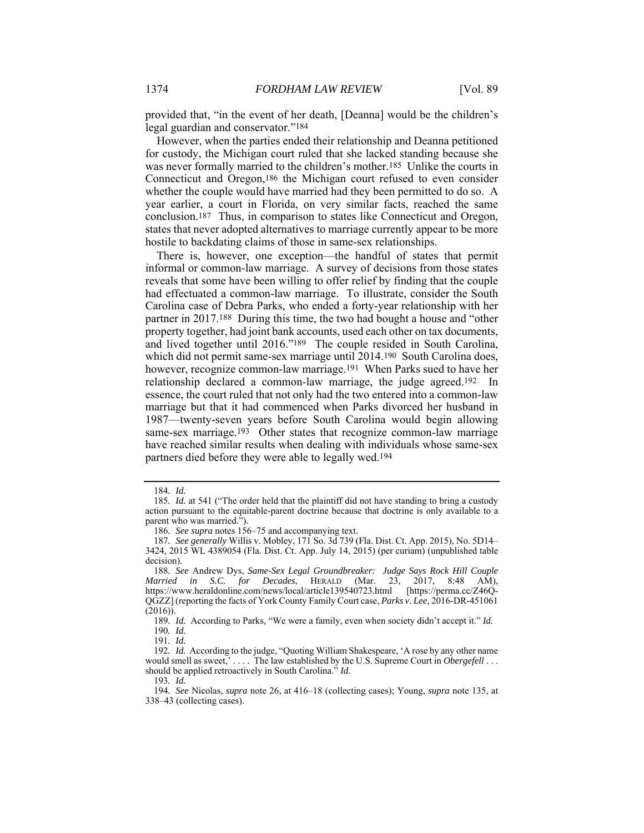provided that, "in the event of her death, [Deanna] would be the children's legal guardian and conservator."184

However, when the parties ended their relationship and Deanna petitioned for custody, the Michigan court ruled that she lacked standing because she was never formally married to the children's mother.185 Unlike the courts in Connecticut and Oregon,186 the Michigan court refused to even consider whether the couple would have married had they been permitted to do so. A year earlier, a court in Florida, on very similar facts, reached the same conclusion.187 Thus, in comparison to states like Connecticut and Oregon, states that never adopted alternatives to marriage currently appear to be more hostile to backdating claims of those in same-sex relationships.

There is, however, one exception—the handful of states that permit informal or common-law marriage. A survey of decisions from those states reveals that some have been willing to offer relief by finding that the couple had effectuated a common-law marriage. To illustrate, consider the South Carolina case of Debra Parks, who ended a forty-year relationship with her partner in 2017.188 During this time, the two had bought a house and "other property together, had joint bank accounts, used each other on tax documents, and lived together until 2016."189 The couple resided in South Carolina, which did not permit same-sex marriage until 2014.190 South Carolina does, however, recognize common-law marriage.191 When Parks sued to have her relationship declared a common-law marriage, the judge agreed.192 In essence, the court ruled that not only had the two entered into a common-law marriage but that it had commenced when Parks divorced her husband in 1987—twenty-seven years before South Carolina would begin allowing same-sex marriage.<sup>193</sup> Other states that recognize common-law marriage have reached similar results when dealing with individuals whose same-sex partners died before they were able to legally wed.194

<sup>184</sup>*. Id.* 

<sup>185</sup>*. Id.* at 541 ("The order held that the plaintiff did not have standing to bring a custody action pursuant to the equitable-parent doctrine because that doctrine is only available to a parent who was married.").

<sup>186</sup>*. See supra* notes 156–75 and accompanying text.

<sup>187</sup>*. See generally* Willis v. Mobley, 171 So. 3d 739 (Fla. Dist. Ct. App. 2015), No. 5D14– 3424, 2015 WL 4389054 (Fla. Dist. Ct. App. July 14, 2015) (per curiam) (unpublished table decision).

<sup>188</sup>*. See* Andrew Dys, *Same-Sex Legal Groundbreaker: Judge Says Rock Hill Couple Married in S.C. for Decades*, HERALD (Mar. 23, 2017, 8:48 AM), https://www.heraldonline.com/news/local/article139540723.html [https://perma.cc/Z46Q-QGZZ] (reporting the facts of York County Family Court case, *Parks v. Lee*, 2016-DR-451061 (2016)).

<sup>189</sup>*. Id.* According to Parks, "We were a family, even when society didn't accept it." *Id.*  190*. Id.* 

<sup>191</sup>*. Id.* 

<sup>192</sup>*. Id.* According to the judge, "Quoting William Shakespeare, 'A rose by any other name would smell as sweet,' . . . . The law established by the U.S. Supreme Court in *Obergefell* . . . should be applied retroactively in South Carolina." *Id.* 

<sup>193</sup>*. Id.* 

<sup>194</sup>*. See* Nicolas, *supra* note 26, at 416–18 (collecting cases); Young, *supra* note 135, at 338–43 (collecting cases).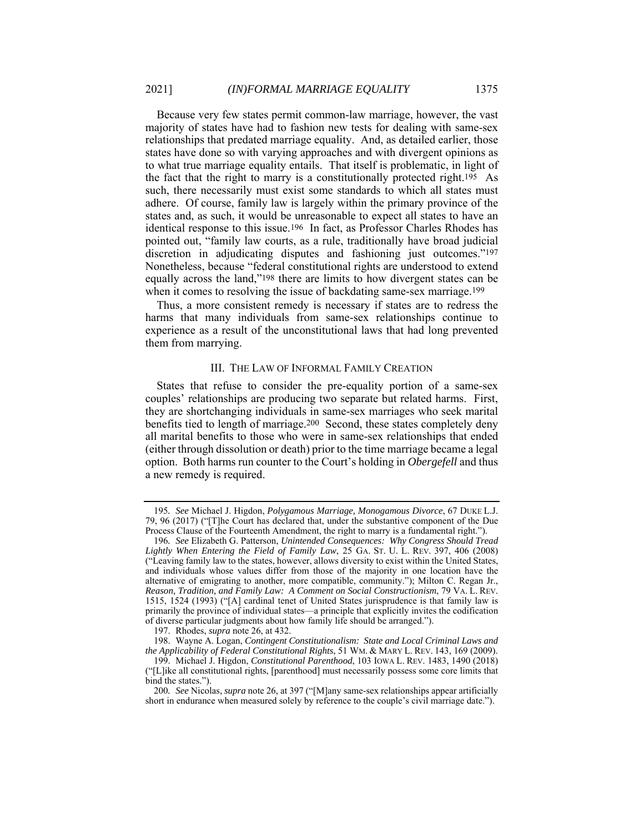Because very few states permit common-law marriage, however, the vast majority of states have had to fashion new tests for dealing with same-sex relationships that predated marriage equality. And, as detailed earlier, those states have done so with varying approaches and with divergent opinions as to what true marriage equality entails. That itself is problematic, in light of the fact that the right to marry is a constitutionally protected right.195 As such, there necessarily must exist some standards to which all states must adhere. Of course, family law is largely within the primary province of the states and, as such, it would be unreasonable to expect all states to have an identical response to this issue.196 In fact, as Professor Charles Rhodes has pointed out, "family law courts, as a rule, traditionally have broad judicial discretion in adjudicating disputes and fashioning just outcomes."197 Nonetheless, because "federal constitutional rights are understood to extend equally across the land,"198 there are limits to how divergent states can be when it comes to resolving the issue of backdating same-sex marriage.199

Thus, a more consistent remedy is necessary if states are to redress the harms that many individuals from same-sex relationships continue to experience as a result of the unconstitutional laws that had long prevented them from marrying.

#### III. THE LAW OF INFORMAL FAMILY CREATION

States that refuse to consider the pre-equality portion of a same-sex couples' relationships are producing two separate but related harms. First, they are shortchanging individuals in same-sex marriages who seek marital benefits tied to length of marriage.200 Second, these states completely deny all marital benefits to those who were in same-sex relationships that ended (either through dissolution or death) prior to the time marriage became a legal option. Both harms run counter to the Court's holding in *Obergefell* and thus a new remedy is required.

<sup>195</sup>*. See* Michael J. Higdon, *Polygamous Marriage, Monogamous Divorce*, 67 DUKE L.J. 79, 96 (2017) ("[T]he Court has declared that, under the substantive component of the Due Process Clause of the Fourteenth Amendment, the right to marry is a fundamental right.").

<sup>196</sup>*. See* Elizabeth G. Patterson, *Unintended Consequences: Why Congress Should Tread Lightly When Entering the Field of Family Law*, 25 GA. ST. U. L. REV. 397, 406 (2008) ("Leaving family law to the states, however, allows diversity to exist within the United States, and individuals whose values differ from those of the majority in one location have the alternative of emigrating to another, more compatible, community."); Milton C. Regan Jr., *Reason, Tradition, and Family Law: A Comment on Social Constructionism*, 79 VA. L. REV. 1515, 1524 (1993) ("[A] cardinal tenet of United States jurisprudence is that family law is primarily the province of individual states—a principle that explicitly invites the codification of diverse particular judgments about how family life should be arranged.").

 <sup>197.</sup> Rhodes, *supra* note 26, at 432.

 <sup>198.</sup> Wayne A. Logan, *Contingent Constitutionalism: State and Local Criminal Laws and the Applicability of Federal Constitutional Rights*, 51 WM. & MARY L. REV. 143, 169 (2009).

 <sup>199.</sup> Michael J. Higdon, *Constitutional Parenthood*, 103 IOWA L. REV. 1483, 1490 (2018) ("[L]ike all constitutional rights, [parenthood] must necessarily possess some core limits that bind the states.").

<sup>200</sup>*. See* Nicolas, *supra* note 26, at 397 ("[M]any same-sex relationships appear artificially short in endurance when measured solely by reference to the couple's civil marriage date.").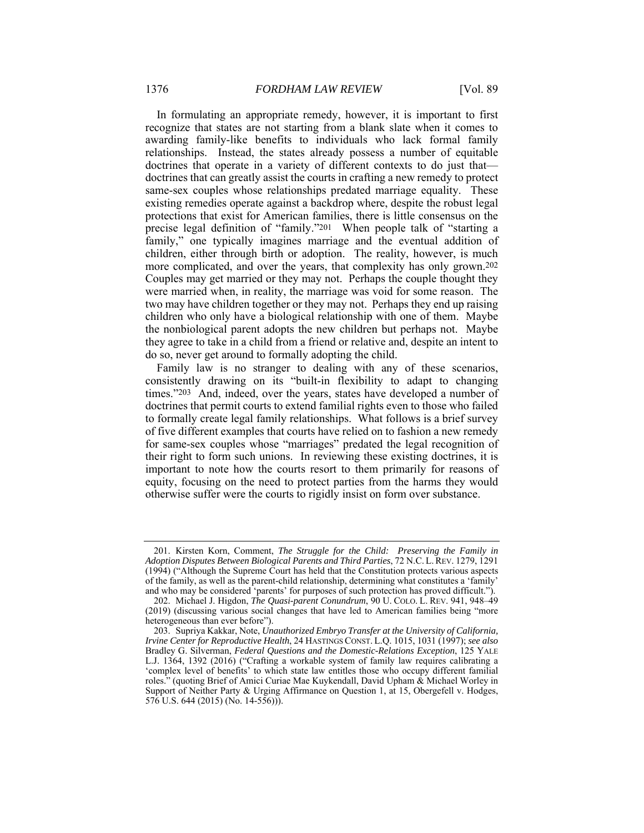In formulating an appropriate remedy, however, it is important to first recognize that states are not starting from a blank slate when it comes to awarding family-like benefits to individuals who lack formal family relationships. Instead, the states already possess a number of equitable doctrines that operate in a variety of different contexts to do just that doctrines that can greatly assist the courts in crafting a new remedy to protect same-sex couples whose relationships predated marriage equality. These existing remedies operate against a backdrop where, despite the robust legal protections that exist for American families, there is little consensus on the precise legal definition of "family."201 When people talk of "starting a family," one typically imagines marriage and the eventual addition of children, either through birth or adoption. The reality, however, is much more complicated, and over the years, that complexity has only grown.202 Couples may get married or they may not. Perhaps the couple thought they were married when, in reality, the marriage was void for some reason. The two may have children together or they may not. Perhaps they end up raising children who only have a biological relationship with one of them. Maybe the nonbiological parent adopts the new children but perhaps not. Maybe they agree to take in a child from a friend or relative and, despite an intent to do so, never get around to formally adopting the child.

Family law is no stranger to dealing with any of these scenarios, consistently drawing on its "built-in flexibility to adapt to changing times."203 And, indeed, over the years, states have developed a number of doctrines that permit courts to extend familial rights even to those who failed to formally create legal family relationships. What follows is a brief survey of five different examples that courts have relied on to fashion a new remedy for same-sex couples whose "marriages" predated the legal recognition of their right to form such unions. In reviewing these existing doctrines, it is important to note how the courts resort to them primarily for reasons of equity, focusing on the need to protect parties from the harms they would otherwise suffer were the courts to rigidly insist on form over substance.

 <sup>201.</sup> Kirsten Korn, Comment, *The Struggle for the Child: Preserving the Family in Adoption Disputes Between Biological Parents and Third Parties*, 72 N.C. L.REV. 1279, 1291 (1994) ("Although the Supreme Court has held that the Constitution protects various aspects of the family, as well as the parent-child relationship, determining what constitutes a 'family' and who may be considered 'parents' for purposes of such protection has proved difficult.").

 <sup>202.</sup> Michael J. Higdon, *The Quasi-parent Conundrum*, 90 U. COLO. L. REV. 941, 948–49 (2019) (discussing various social changes that have led to American families being "more heterogeneous than ever before").

 <sup>203.</sup> Supriya Kakkar, Note, *Unauthorized Embryo Transfer at the University of California, Irvine Center for Reproductive Health*, 24 HASTINGS CONST. L.Q. 1015, 1031 (1997); *see also* Bradley G. Silverman, *Federal Questions and the Domestic-Relations Exception*, 125 YALE L.J. 1364, 1392 (2016) ("Crafting a workable system of family law requires calibrating a 'complex level of benefits' to which state law entitles those who occupy different familial roles." (quoting Brief of Amici Curiae Mae Kuykendall, David Upham & Michael Worley in Support of Neither Party & Urging Affirmance on Question 1, at 15, Obergefell v. Hodges,  $576$  U.S. 644 (2015) (No. 14-556)).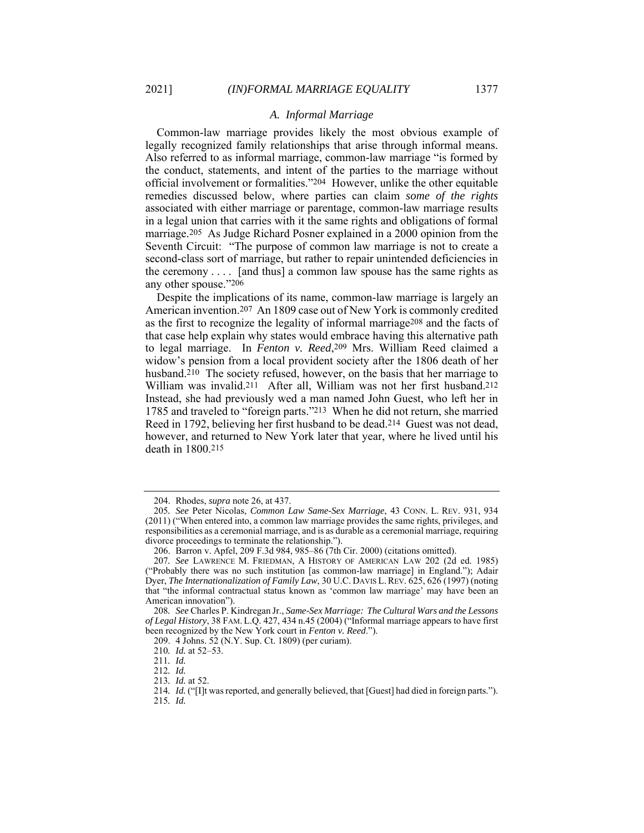# *A. Informal Marriage*

Common-law marriage provides likely the most obvious example of legally recognized family relationships that arise through informal means. Also referred to as informal marriage, common-law marriage "is formed by the conduct, statements, and intent of the parties to the marriage without official involvement or formalities."204 However, unlike the other equitable remedies discussed below, where parties can claim *some of the rights* associated with either marriage or parentage, common-law marriage results in a legal union that carries with it the same rights and obligations of formal marriage.205 As Judge Richard Posner explained in a 2000 opinion from the Seventh Circuit: "The purpose of common law marriage is not to create a second-class sort of marriage, but rather to repair unintended deficiencies in the ceremony  $\dots$  [and thus] a common law spouse has the same rights as any other spouse."206

Despite the implications of its name, common-law marriage is largely an American invention.207 An 1809 case out of New York is commonly credited as the first to recognize the legality of informal marriage208 and the facts of that case help explain why states would embrace having this alternative path to legal marriage. In *Fenton v. Reed*,209 Mrs. William Reed claimed a widow's pension from a local provident society after the 1806 death of her husband.<sup>210</sup> The society refused, however, on the basis that her marriage to William was invalid.211 After all, William was not her first husband.212 Instead, she had previously wed a man named John Guest, who left her in 1785 and traveled to "foreign parts."213 When he did not return, she married Reed in 1792, believing her first husband to be dead.214 Guest was not dead, however, and returned to New York later that year, where he lived until his death in 1800.215

 <sup>204.</sup> Rhodes, *supra* note 26, at 437.

<sup>205</sup>*. See* Peter Nicolas, *Common Law Same-Sex Marriage*, 43 CONN. L. REV. 931, 934 (2011) ("When entered into, a common law marriage provides the same rights, privileges, and responsibilities as a ceremonial marriage, and is as durable as a ceremonial marriage, requiring divorce proceedings to terminate the relationship.").

 <sup>206.</sup> Barron v. Apfel, 209 F.3d 984, 985–86 (7th Cir. 2000) (citations omitted).

<sup>207</sup>*. See* LAWRENCE M. FRIEDMAN, A HISTORY OF AMERICAN LAW 202 (2d ed. 1985) ("Probably there was no such institution [as common-law marriage] in England."); Adair Dyer, *The Internationalization of Family Law*, 30 U.C. DAVIS L. REV. 625, 626 (1997) (noting that "the informal contractual status known as 'common law marriage' may have been an American innovation").

<sup>208</sup>*. See* Charles P. Kindregan Jr., *Same-Sex Marriage: The Cultural Wars and the Lessons of Legal History*, 38 FAM. L.Q. 427, 434 n.45 (2004) ("Informal marriage appears to have first been recognized by the New York court in *Fenton v. Reed*.").

 <sup>209. 4</sup> Johns. 52 (N.Y. Sup. Ct. 1809) (per curiam).

<sup>210</sup>*. Id.* at 52–53.

<sup>211</sup>*. Id.*

<sup>212</sup>*. Id.*

<sup>213</sup>*. Id.* at 52.

<sup>214</sup>*. Id.* ("[I]t was reported, and generally believed, that [Guest] had died in foreign parts."). 215*. Id.*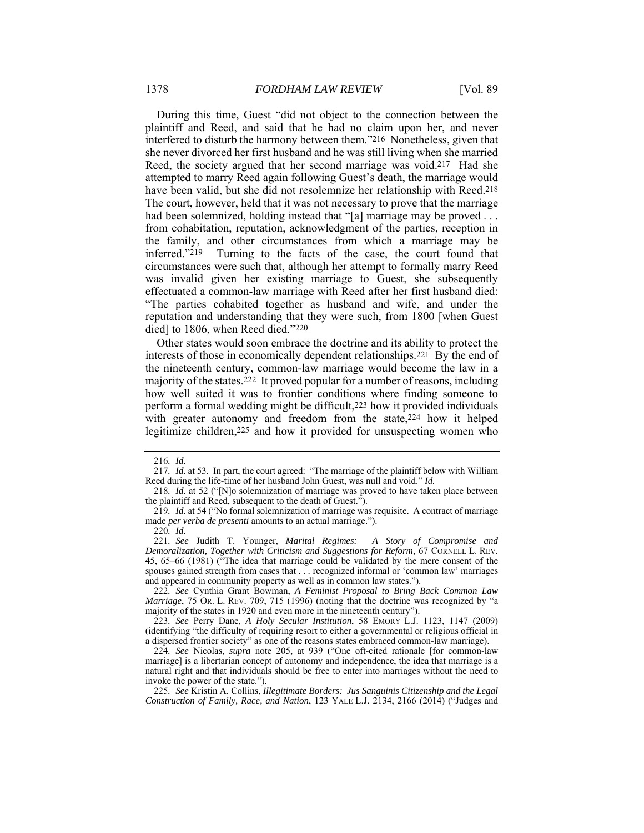During this time, Guest "did not object to the connection between the plaintiff and Reed, and said that he had no claim upon her, and never interfered to disturb the harmony between them."216 Nonetheless, given that she never divorced her first husband and he was still living when she married Reed, the society argued that her second marriage was void.217 Had she attempted to marry Reed again following Guest's death, the marriage would have been valid, but she did not resolemnize her relationship with Reed.218 The court, however, held that it was not necessary to prove that the marriage had been solemnized, holding instead that "[a] marriage may be proved ... from cohabitation, reputation, acknowledgment of the parties, reception in the family, and other circumstances from which a marriage may be inferred."219 Turning to the facts of the case, the court found that circumstances were such that, although her attempt to formally marry Reed was invalid given her existing marriage to Guest, she subsequently effectuated a common-law marriage with Reed after her first husband died: "The parties cohabited together as husband and wife, and under the reputation and understanding that they were such, from 1800 [when Guest died] to 1806, when Reed died."220

Other states would soon embrace the doctrine and its ability to protect the interests of those in economically dependent relationships.221 By the end of the nineteenth century, common-law marriage would become the law in a majority of the states.222 It proved popular for a number of reasons, including how well suited it was to frontier conditions where finding someone to perform a formal wedding might be difficult,223 how it provided individuals with greater autonomy and freedom from the state, 224 how it helped legitimize children,225 and how it provided for unsuspecting women who

223*. See* Perry Dane, *A Holy Secular Institution*, 58 EMORY L.J. 1123, 1147 (2009) (identifying "the difficulty of requiring resort to either a governmental or religious official in a dispersed frontier society" as one of the reasons states embraced common-law marriage).

<sup>216</sup>*. Id.* 

<sup>217</sup>*. Id.* at 53. In part, the court agreed: "The marriage of the plaintiff below with William Reed during the life-time of her husband John Guest, was null and void." *Id.* 

<sup>218</sup>*. Id.* at 52 ("[N]o solemnization of marriage was proved to have taken place between the plaintiff and Reed, subsequent to the death of Guest.").

<sup>219</sup>*. Id.* at 54 ("No formal solemnization of marriage was requisite. A contract of marriage made *per verba de presenti* amounts to an actual marriage.").

<sup>220</sup>*. Id.* 

<sup>221</sup>*. See* Judith T. Younger, *Marital Regimes: A Story of Compromise and Demoralization, Together with Criticism and Suggestions for Reform*, 67 CORNELL L. REV. 45, 65–66 (1981) ("The idea that marriage could be validated by the mere consent of the spouses gained strength from cases that . . . recognized informal or 'common law' marriages and appeared in community property as well as in common law states.").

<sup>222</sup>*. See* Cynthia Grant Bowman, *A Feminist Proposal to Bring Back Common Law Marriage*, 75 OR. L. REV. 709, 715 (1996) (noting that the doctrine was recognized by "a majority of the states in 1920 and even more in the nineteenth century").

<sup>224</sup>*. See* Nicolas, *supra* note 205, at 939 ("One oft-cited rationale [for common-law marriage] is a libertarian concept of autonomy and independence, the idea that marriage is a natural right and that individuals should be free to enter into marriages without the need to invoke the power of the state.").

<sup>225</sup>*. See* Kristin A. Collins, *Illegitimate Borders: Jus Sanguinis Citizenship and the Legal Construction of Family, Race, and Nation*, 123 YALE L.J. 2134, 2166 (2014) ("Judges and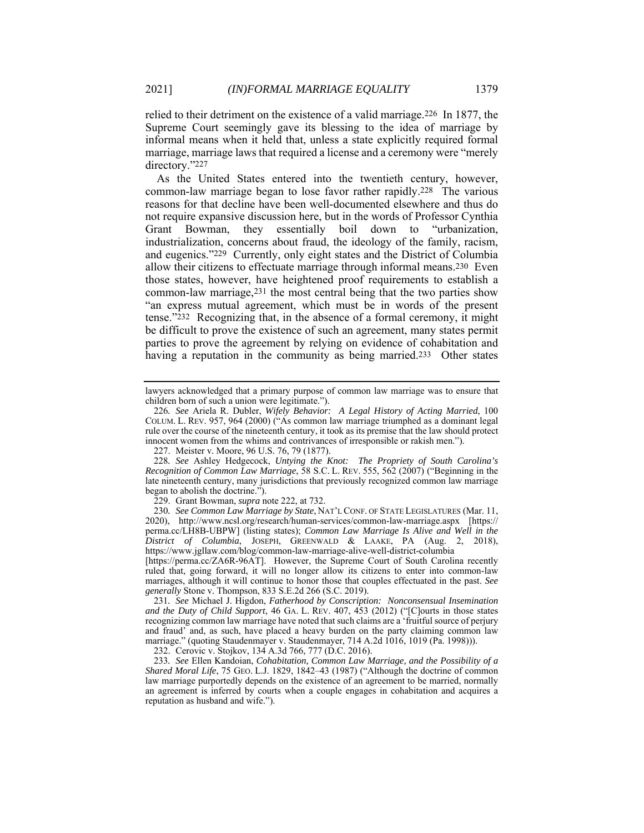relied to their detriment on the existence of a valid marriage.226 In 1877, the Supreme Court seemingly gave its blessing to the idea of marriage by informal means when it held that, unless a state explicitly required formal marriage, marriage laws that required a license and a ceremony were "merely directory."227

As the United States entered into the twentieth century, however, common-law marriage began to lose favor rather rapidly.228 The various reasons for that decline have been well-documented elsewhere and thus do not require expansive discussion here, but in the words of Professor Cynthia Grant Bowman, they essentially boil down to "urbanization, industrialization, concerns about fraud, the ideology of the family, racism, and eugenics."229 Currently, only eight states and the District of Columbia allow their citizens to effectuate marriage through informal means.230 Even those states, however, have heightened proof requirements to establish a common-law marriage,231 the most central being that the two parties show "an express mutual agreement, which must be in words of the present tense."232 Recognizing that, in the absence of a formal ceremony, it might be difficult to prove the existence of such an agreement, many states permit parties to prove the agreement by relying on evidence of cohabitation and having a reputation in the community as being married.<sup>233</sup> Other states

228*. See* Ashley Hedgecock, *Untying the Knot: The Propriety of South Carolina's Recognition of Common Law Marriage*, 58 S.C. L. REV. 555, 562 (2007) ("Beginning in the late nineteenth century, many jurisdictions that previously recognized common law marriage began to abolish the doctrine.").

229. Grant Bowman, *supra* note 222, at 732.

230*. See Common Law Marriage by State*, NAT'L CONF. OF STATE LEGISLATURES (Mar. 11, 2020), http://www.ncsl.org/research/human-services/common-law-marriage.aspx [https:// perma.cc/LH8B-UBPW] (listing states); *Common Law Marriage Is Alive and Well in the District of Columbia*, JOSEPH, GREENWALD & LAAKE, PA (Aug. 2, 2018), https://www.jgllaw.com/blog/common-law-marriage-alive-well-district-columbia

[https://perma.cc/ZA6R-96AT]. However, the Supreme Court of South Carolina recently ruled that, going forward, it will no longer allow its citizens to enter into common-law marriages, although it will continue to honor those that couples effectuated in the past. *See generally* Stone v. Thompson, 833 S.E.2d 266 (S.C. 2019).

231*. See* Michael J. Higdon, *Fatherhood by Conscription: Nonconsensual Insemination and the Duty of Child Support*, 46 GA. L. REV. 407, 453 (2012) ("[C]ourts in those states recognizing common law marriage have noted that such claims are a 'fruitful source of perjury and fraud' and, as such, have placed a heavy burden on the party claiming common law marriage." (quoting Staudenmayer v. Staudenmayer, 714 A.2d 1016, 1019 (Pa. 1998))).

232. Cerovic v. Stojkov, 134 A.3d 766, 777 (D.C. 2016).

233*. See* Ellen Kandoian, *Cohabitation, Common Law Marriage, and the Possibility of a Shared Moral Life*, 75 GEO. L.J. 1829, 1842–43 (1987) ("Although the doctrine of common law marriage purportedly depends on the existence of an agreement to be married, normally an agreement is inferred by courts when a couple engages in cohabitation and acquires a reputation as husband and wife.").

lawyers acknowledged that a primary purpose of common law marriage was to ensure that children born of such a union were legitimate.").

<sup>226</sup>*. See* Ariela R. Dubler, *Wifely Behavior: A Legal History of Acting Married*, 100 COLUM. L. REV. 957, 964 (2000) ("As common law marriage triumphed as a dominant legal rule over the course of the nineteenth century, it took as its premise that the law should protect innocent women from the whims and contrivances of irresponsible or rakish men.").

 <sup>227.</sup> Meister v. Moore, 96 U.S. 76, 79 (1877).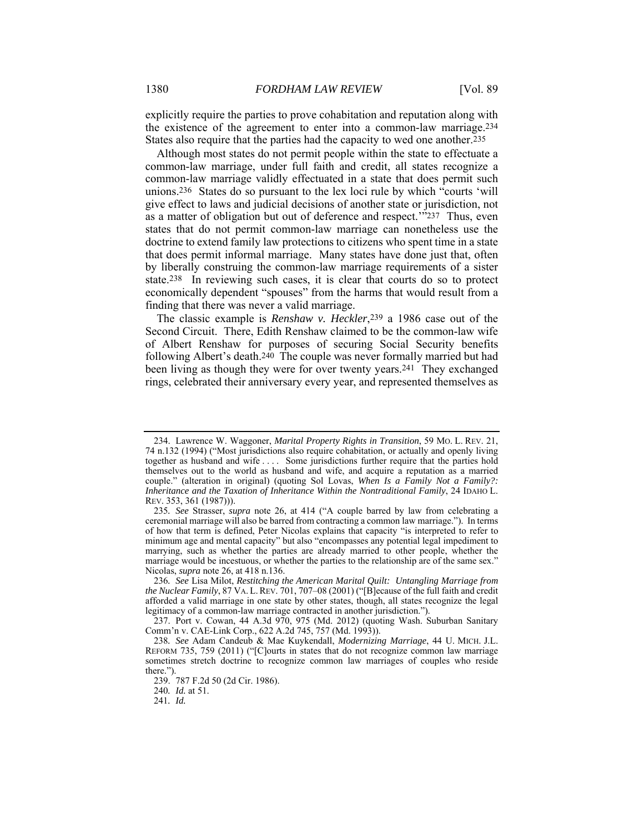explicitly require the parties to prove cohabitation and reputation along with the existence of the agreement to enter into a common-law marriage.234 States also require that the parties had the capacity to wed one another.235

Although most states do not permit people within the state to effectuate a common-law marriage, under full faith and credit, all states recognize a common-law marriage validly effectuated in a state that does permit such unions.236 States do so pursuant to the lex loci rule by which "courts 'will give effect to laws and judicial decisions of another state or jurisdiction, not as a matter of obligation but out of deference and respect.'"237 Thus, even states that do not permit common-law marriage can nonetheless use the doctrine to extend family law protections to citizens who spent time in a state that does permit informal marriage. Many states have done just that, often by liberally construing the common-law marriage requirements of a sister state.238 In reviewing such cases, it is clear that courts do so to protect economically dependent "spouses" from the harms that would result from a finding that there was never a valid marriage.

The classic example is *Renshaw v. Heckler*,239 a 1986 case out of the Second Circuit. There, Edith Renshaw claimed to be the common-law wife of Albert Renshaw for purposes of securing Social Security benefits following Albert's death.<sup>240</sup> The couple was never formally married but had been living as though they were for over twenty years.241 They exchanged rings, celebrated their anniversary every year, and represented themselves as

 <sup>234.</sup> Lawrence W. Waggoner, *Marital Property Rights in Transition*, 59 MO. L. REV. 21, 74 n.132 (1994) ("Most jurisdictions also require cohabitation, or actually and openly living together as husband and wife . . . . Some jurisdictions further require that the parties hold themselves out to the world as husband and wife, and acquire a reputation as a married couple." (alteration in original) (quoting Sol Lovas, *When Is a Family Not a Family?: Inheritance and the Taxation of Inheritance Within the Nontraditional Family*, 24 IDAHO L. REV. 353, 361 (1987))).

<sup>235</sup>*. See* Strasser, *supra* note 26, at 414 ("A couple barred by law from celebrating a ceremonial marriage will also be barred from contracting a common law marriage."). In terms of how that term is defined, Peter Nicolas explains that capacity "is interpreted to refer to minimum age and mental capacity" but also "encompasses any potential legal impediment to marrying, such as whether the parties are already married to other people, whether the marriage would be incestuous, or whether the parties to the relationship are of the same sex." Nicolas, *supra* note 26, at 418 n.136.

<sup>236</sup>*. See* Lisa Milot, *Restitching the American Marital Quilt: Untangling Marriage from the Nuclear Family*, 87 VA. L.REV. 701, 707–08 (2001) ("[B]ecause of the full faith and credit afforded a valid marriage in one state by other states, though, all states recognize the legal legitimacy of a common-law marriage contracted in another jurisdiction.").

 <sup>237.</sup> Port v. Cowan, 44 A.3d 970, 975 (Md. 2012) (quoting Wash. Suburban Sanitary Comm'n v. CAE-Link Corp., 622 A.2d 745, 757 (Md. 1993)).

<sup>238</sup>*. See* Adam Candeub & Mae Kuykendall, *Modernizing Marriage*, 44 U. MICH. J.L. REFORM 735, 759 (2011) ("[C]ourts in states that do not recognize common law marriage sometimes stretch doctrine to recognize common law marriages of couples who reside there.").

 <sup>239. 787</sup> F.2d 50 (2d Cir. 1986).

<sup>240</sup>*. Id.* at 51.

<sup>241</sup>*. Id.*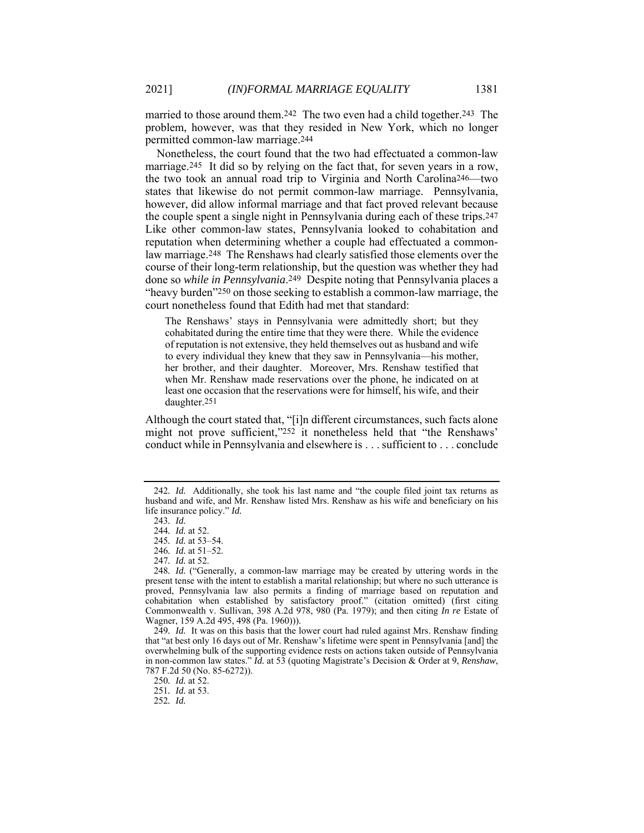married to those around them.<sup>242</sup> The two even had a child together.<sup>243</sup> The problem, however, was that they resided in New York, which no longer permitted common-law marriage.244

Nonetheless, the court found that the two had effectuated a common-law marriage.<sup>245</sup> It did so by relying on the fact that, for seven years in a row, the two took an annual road trip to Virginia and North Carolina246—two states that likewise do not permit common-law marriage. Pennsylvania, however, did allow informal marriage and that fact proved relevant because the couple spent a single night in Pennsylvania during each of these trips.247 Like other common-law states, Pennsylvania looked to cohabitation and reputation when determining whether a couple had effectuated a commonlaw marriage.248 The Renshaws had clearly satisfied those elements over the course of their long-term relationship, but the question was whether they had done so *while in Pennsylvania*.249 Despite noting that Pennsylvania places a "heavy burden"250 on those seeking to establish a common-law marriage, the court nonetheless found that Edith had met that standard:

The Renshaws' stays in Pennsylvania were admittedly short; but they cohabitated during the entire time that they were there. While the evidence of reputation is not extensive, they held themselves out as husband and wife to every individual they knew that they saw in Pennsylvania—his mother, her brother, and their daughter. Moreover, Mrs. Renshaw testified that when Mr. Renshaw made reservations over the phone, he indicated on at least one occasion that the reservations were for himself, his wife, and their daughter.251

Although the court stated that, "[i]n different circumstances, such facts alone might not prove sufficient,"252 it nonetheless held that "the Renshaws' conduct while in Pennsylvania and elsewhere is . . . sufficient to . . . conclude

<sup>242</sup>*. Id.* Additionally, she took his last name and "the couple filed joint tax returns as husband and wife, and Mr. Renshaw listed Mrs. Renshaw as his wife and beneficiary on his life insurance policy." *Id.* 

<sup>243</sup>*. Id.* 

<sup>244</sup>*. Id.* at 52.

<sup>245</sup>*. Id.* at 53–54.

<sup>246</sup>*. Id.* at 51–52.

<sup>247</sup>*. Id.* at 52.

<sup>248</sup>*. Id.* ("Generally, a common-law marriage may be created by uttering words in the present tense with the intent to establish a marital relationship; but where no such utterance is proved, Pennsylvania law also permits a finding of marriage based on reputation and cohabitation when established by satisfactory proof." (citation omitted) (first citing Commonwealth v. Sullivan, 398 A.2d 978, 980 (Pa. 1979); and then citing *In re* Estate of Wagner, 159 A.2d 495, 498 (Pa. 1960))).

<sup>249</sup>*. Id.* It was on this basis that the lower court had ruled against Mrs. Renshaw finding that "at best only 16 days out of Mr. Renshaw's lifetime were spent in Pennsylvania [and] the overwhelming bulk of the supporting evidence rests on actions taken outside of Pennsylvania in non-common law states." *Id.* at 53 (quoting Magistrate's Decision & Order at 9, *Renshaw*, 787 F.2d 50 (No. 85-6272)).

<sup>250</sup>*. Id.* at 52.

<sup>251</sup>*. Id.* at 53.

<sup>252</sup>*. Id.*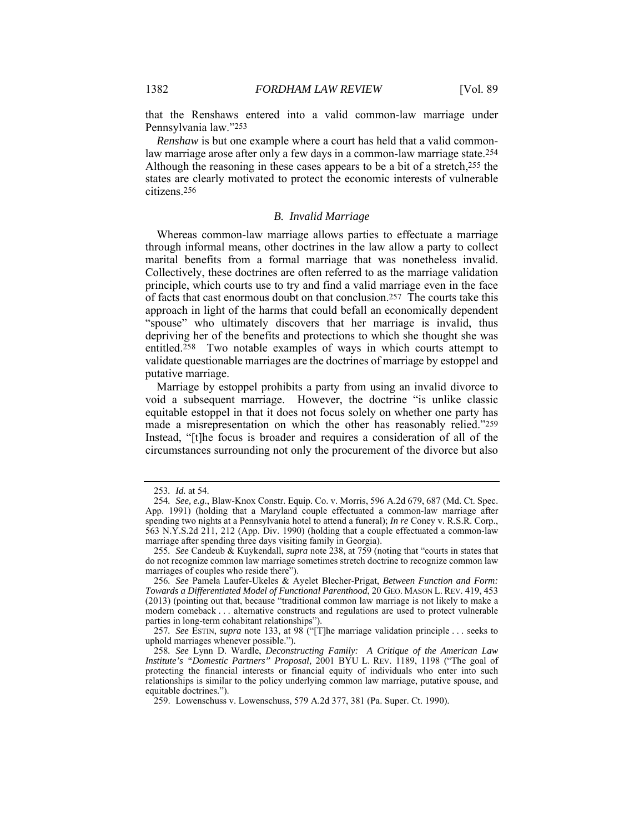that the Renshaws entered into a valid common-law marriage under Pennsylvania law."253

*Renshaw* is but one example where a court has held that a valid commonlaw marriage arose after only a few days in a common-law marriage state.254 Although the reasoning in these cases appears to be a bit of a stretch,255 the states are clearly motivated to protect the economic interests of vulnerable citizens.256

#### *B. Invalid Marriage*

Whereas common-law marriage allows parties to effectuate a marriage through informal means, other doctrines in the law allow a party to collect marital benefits from a formal marriage that was nonetheless invalid. Collectively, these doctrines are often referred to as the marriage validation principle, which courts use to try and find a valid marriage even in the face of facts that cast enormous doubt on that conclusion.257 The courts take this approach in light of the harms that could befall an economically dependent "spouse" who ultimately discovers that her marriage is invalid, thus depriving her of the benefits and protections to which she thought she was entitled.258 Two notable examples of ways in which courts attempt to validate questionable marriages are the doctrines of marriage by estoppel and putative marriage.

Marriage by estoppel prohibits a party from using an invalid divorce to void a subsequent marriage. However, the doctrine "is unlike classic equitable estoppel in that it does not focus solely on whether one party has made a misrepresentation on which the other has reasonably relied."259 Instead, "[t]he focus is broader and requires a consideration of all of the circumstances surrounding not only the procurement of the divorce but also

<sup>253</sup>*. Id.* at 54.

<sup>254</sup>*. See, e.g.*, Blaw-Knox Constr. Equip. Co. v. Morris, 596 A.2d 679, 687 (Md. Ct. Spec. App. 1991) (holding that a Maryland couple effectuated a common-law marriage after spending two nights at a Pennsylvania hotel to attend a funeral); *In re* Coney v. R.S.R. Corp., 563 N.Y.S.2d 211, 212 (App. Div. 1990) (holding that a couple effectuated a common-law marriage after spending three days visiting family in Georgia).

<sup>255</sup>*. See* Candeub & Kuykendall, *supra* note 238, at 759 (noting that "courts in states that do not recognize common law marriage sometimes stretch doctrine to recognize common law marriages of couples who reside there").

<sup>256</sup>*. See* Pamela Laufer-Ukeles & Ayelet Blecher-Prigat, *Between Function and Form: Towards a Differentiated Model of Functional Parenthood*, 20 GEO. MASON L. REV. 419, 453 (2013) (pointing out that, because "traditional common law marriage is not likely to make a modern comeback . . . alternative constructs and regulations are used to protect vulnerable parties in long-term cohabitant relationships").

<sup>257</sup>*. See* ESTIN, *supra* note 133, at 98 ("[T]he marriage validation principle . . . seeks to uphold marriages whenever possible.").

<sup>258</sup>*. See* Lynn D. Wardle, *Deconstructing Family: A Critique of the American Law Institute's "Domestic Partners" Proposal*, 2001 BYU L. REV. 1189, 1198 ("The goal of protecting the financial interests or financial equity of individuals who enter into such relationships is similar to the policy underlying common law marriage, putative spouse, and equitable doctrines.").

 <sup>259.</sup> Lowenschuss v. Lowenschuss, 579 A.2d 377, 381 (Pa. Super. Ct. 1990).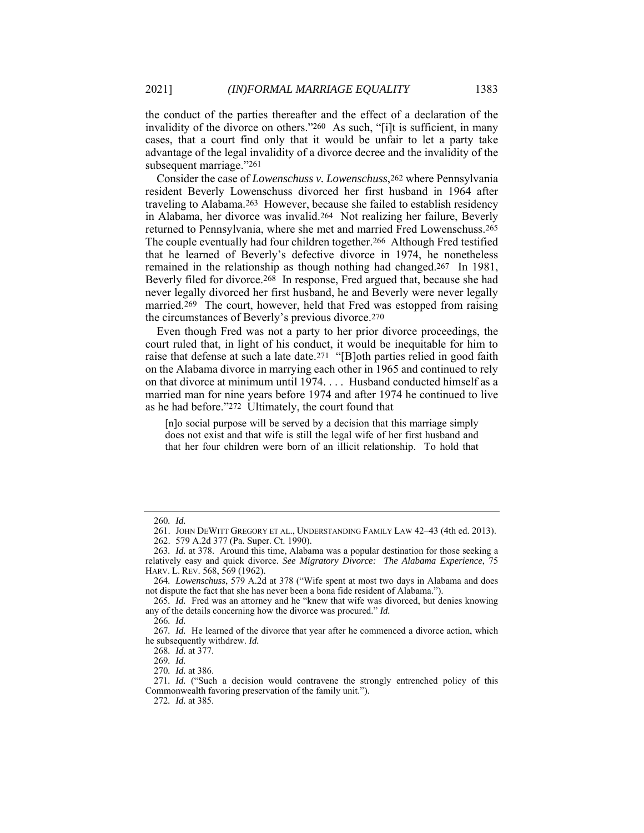the conduct of the parties thereafter and the effect of a declaration of the invalidity of the divorce on others."260 As such, "[i]t is sufficient, in many cases, that a court find only that it would be unfair to let a party take advantage of the legal invalidity of a divorce decree and the invalidity of the subsequent marriage."261

Consider the case of *Lowenschuss v. Lowenschuss*,<sup>262</sup> where Pennsylvania resident Beverly Lowenschuss divorced her first husband in 1964 after traveling to Alabama.263 However, because she failed to establish residency in Alabama, her divorce was invalid.264 Not realizing her failure, Beverly returned to Pennsylvania, where she met and married Fred Lowenschuss.265 The couple eventually had four children together.266 Although Fred testified that he learned of Beverly's defective divorce in 1974, he nonetheless remained in the relationship as though nothing had changed.267 In 1981, Beverly filed for divorce.268 In response, Fred argued that, because she had never legally divorced her first husband, he and Beverly were never legally married.269 The court, however, held that Fred was estopped from raising the circumstances of Beverly's previous divorce.270

Even though Fred was not a party to her prior divorce proceedings, the court ruled that, in light of his conduct, it would be inequitable for him to raise that defense at such a late date.271 "[B]oth parties relied in good faith on the Alabama divorce in marrying each other in 1965 and continued to rely on that divorce at minimum until 1974. . . . Husband conducted himself as a married man for nine years before 1974 and after 1974 he continued to live as he had before."272 Ultimately, the court found that

[n]o social purpose will be served by a decision that this marriage simply does not exist and that wife is still the legal wife of her first husband and that her four children were born of an illicit relationship. To hold that

<sup>260</sup>*. Id.* 

 <sup>261.</sup> JOHN DEWITT GREGORY ET AL., UNDERSTANDING FAMILY LAW 42–43 (4th ed. 2013).

 <sup>262. 579</sup> A.2d 377 (Pa. Super. Ct. 1990).

<sup>263</sup>*. Id.* at 378. Around this time, Alabama was a popular destination for those seeking a relatively easy and quick divorce. *See Migratory Divorce: The Alabama Experience*, 75 HARV. L. REV. 568, 569 (1962).

<sup>264</sup>*. Lowenschuss*, 579 A.2d at 378 ("Wife spent at most two days in Alabama and does not dispute the fact that she has never been a bona fide resident of Alabama.").

<sup>265</sup>*. Id.* Fred was an attorney and he "knew that wife was divorced, but denies knowing any of the details concerning how the divorce was procured." *Id.*

<sup>266</sup>*. Id.*

<sup>267</sup>*. Id.* He learned of the divorce that year after he commenced a divorce action, which he subsequently withdrew. *Id.* 

<sup>268</sup>*. Id.* at 377.

<sup>269</sup>*. Id.* 

<sup>270</sup>*. Id.* at 386.

<sup>271</sup>*. Id.* ("Such a decision would contravene the strongly entrenched policy of this Commonwealth favoring preservation of the family unit.").

<sup>272</sup>*. Id.* at 385.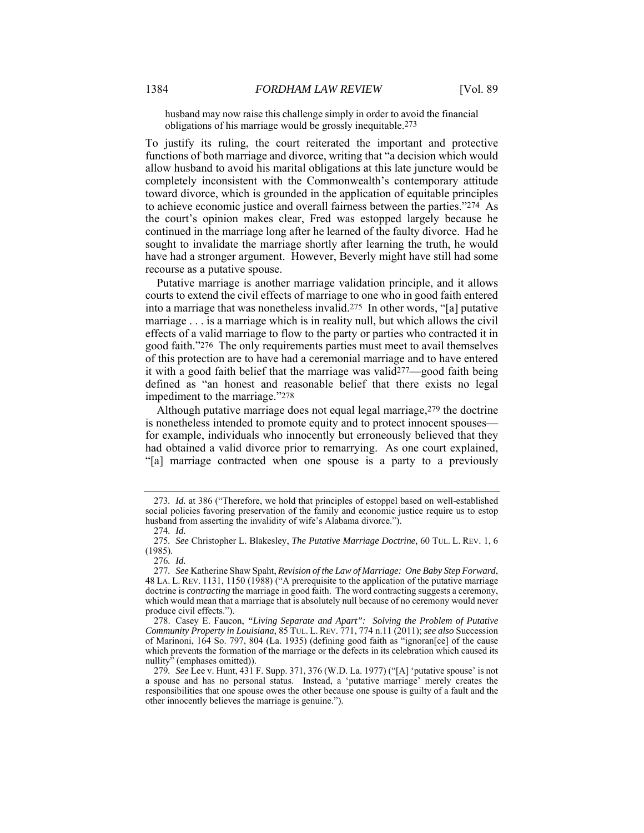husband may now raise this challenge simply in order to avoid the financial obligations of his marriage would be grossly inequitable.273

To justify its ruling, the court reiterated the important and protective functions of both marriage and divorce, writing that "a decision which would allow husband to avoid his marital obligations at this late juncture would be completely inconsistent with the Commonwealth's contemporary attitude toward divorce, which is grounded in the application of equitable principles to achieve economic justice and overall fairness between the parties."274 As the court's opinion makes clear, Fred was estopped largely because he continued in the marriage long after he learned of the faulty divorce. Had he sought to invalidate the marriage shortly after learning the truth, he would have had a stronger argument. However, Beverly might have still had some recourse as a putative spouse.

Putative marriage is another marriage validation principle, and it allows courts to extend the civil effects of marriage to one who in good faith entered into a marriage that was nonetheless invalid.275 In other words, "[a] putative marriage . . . is a marriage which is in reality null, but which allows the civil effects of a valid marriage to flow to the party or parties who contracted it in good faith."276 The only requirements parties must meet to avail themselves of this protection are to have had a ceremonial marriage and to have entered it with a good faith belief that the marriage was valid277—good faith being defined as "an honest and reasonable belief that there exists no legal impediment to the marriage."278

Although putative marriage does not equal legal marriage,279 the doctrine is nonetheless intended to promote equity and to protect innocent spouses for example, individuals who innocently but erroneously believed that they had obtained a valid divorce prior to remarrying. As one court explained, "[a] marriage contracted when one spouse is a party to a previously

<sup>273</sup>*. Id.* at 386 ("Therefore, we hold that principles of estoppel based on well-established social policies favoring preservation of the family and economic justice require us to estop husband from asserting the invalidity of wife's Alabama divorce.").

<sup>274</sup>*. Id.*

<sup>275</sup>*. See* Christopher L. Blakesley, *The Putative Marriage Doctrine*, 60 TUL. L. REV. 1, 6 (1985).

<sup>276</sup>*. Id.*

<sup>277</sup>*. See* Katherine Shaw Spaht, *Revision of the Law of Marriage: One Baby Step Forward*, 48 LA. L. REV. 1131, 1150 (1988) ("A prerequisite to the application of the putative marriage doctrine is *contracting* the marriage in good faith. The word contracting suggests a ceremony, which would mean that a marriage that is absolutely null because of no ceremony would never produce civil effects.").

 <sup>278.</sup> Casey E. Faucon, *"Living Separate and Apart": Solving the Problem of Putative Community Property in Louisiana*, 85 TUL. L. REV. 771, 774 n.11 (2011); *see also* Succession of Marinoni, 164 So. 797, 804 (La. 1935) (defining good faith as "ignoran[ce] of the cause which prevents the formation of the marriage or the defects in its celebration which caused its nullity" (emphases omitted)).

<sup>279</sup>*. See* Lee v. Hunt, 431 F. Supp. 371, 376 (W.D. La. 1977) ("[A] 'putative spouse' is not a spouse and has no personal status. Instead, a 'putative marriage' merely creates the responsibilities that one spouse owes the other because one spouse is guilty of a fault and the other innocently believes the marriage is genuine.").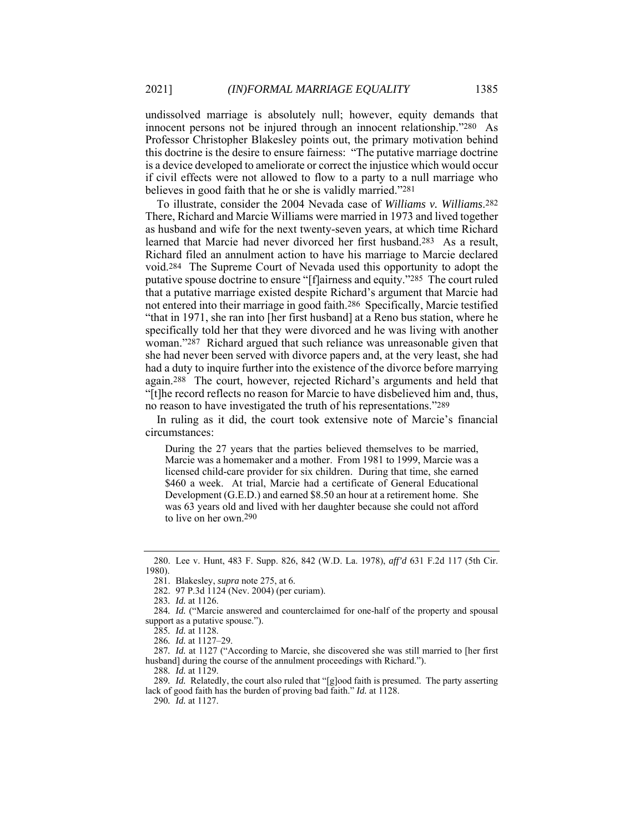undissolved marriage is absolutely null; however, equity demands that innocent persons not be injured through an innocent relationship."280 As Professor Christopher Blakesley points out, the primary motivation behind this doctrine is the desire to ensure fairness: "The putative marriage doctrine is a device developed to ameliorate or correct the injustice which would occur if civil effects were not allowed to flow to a party to a null marriage who believes in good faith that he or she is validly married."281

To illustrate, consider the 2004 Nevada case of *Williams v. Williams*.282 There, Richard and Marcie Williams were married in 1973 and lived together as husband and wife for the next twenty-seven years, at which time Richard learned that Marcie had never divorced her first husband.283 As a result, Richard filed an annulment action to have his marriage to Marcie declared void.284 The Supreme Court of Nevada used this opportunity to adopt the putative spouse doctrine to ensure "[f]airness and equity."285 The court ruled that a putative marriage existed despite Richard's argument that Marcie had not entered into their marriage in good faith.286 Specifically, Marcie testified "that in 1971, she ran into [her first husband] at a Reno bus station, where he specifically told her that they were divorced and he was living with another woman."287 Richard argued that such reliance was unreasonable given that she had never been served with divorce papers and, at the very least, she had had a duty to inquire further into the existence of the divorce before marrying again.288 The court, however, rejected Richard's arguments and held that "[t]he record reflects no reason for Marcie to have disbelieved him and, thus, no reason to have investigated the truth of his representations."289

In ruling as it did, the court took extensive note of Marcie's financial circumstances:

During the 27 years that the parties believed themselves to be married, Marcie was a homemaker and a mother. From 1981 to 1999, Marcie was a licensed child-care provider for six children. During that time, she earned \$460 a week. At trial, Marcie had a certificate of General Educational Development (G.E.D.) and earned \$8.50 an hour at a retirement home. She was 63 years old and lived with her daughter because she could not afford to live on her own.290

288*. Id.* at 1129.

 <sup>280.</sup> Lee v. Hunt, 483 F. Supp. 826, 842 (W.D. La. 1978), *aff'd* 631 F.2d 117 (5th Cir. 1980).

 <sup>281.</sup> Blakesley, *supra* note 275, at 6.

 <sup>282. 97</sup> P.3d 1124 (Nev. 2004) (per curiam).

<sup>283</sup>*. Id.* at 1126.

<sup>284</sup>*. Id.* ("Marcie answered and counterclaimed for one-half of the property and spousal support as a putative spouse.").

<sup>285</sup>*. Id.* at 1128.

<sup>286</sup>*. Id.* at 1127–29.

<sup>287</sup>*. Id.* at 1127 ("According to Marcie, she discovered she was still married to [her first husband] during the course of the annulment proceedings with Richard.").

<sup>289</sup>*. Id.* Relatedly, the court also ruled that "[g]ood faith is presumed. The party asserting lack of good faith has the burden of proving bad faith." *Id.* at 1128. 290*. Id.* at 1127.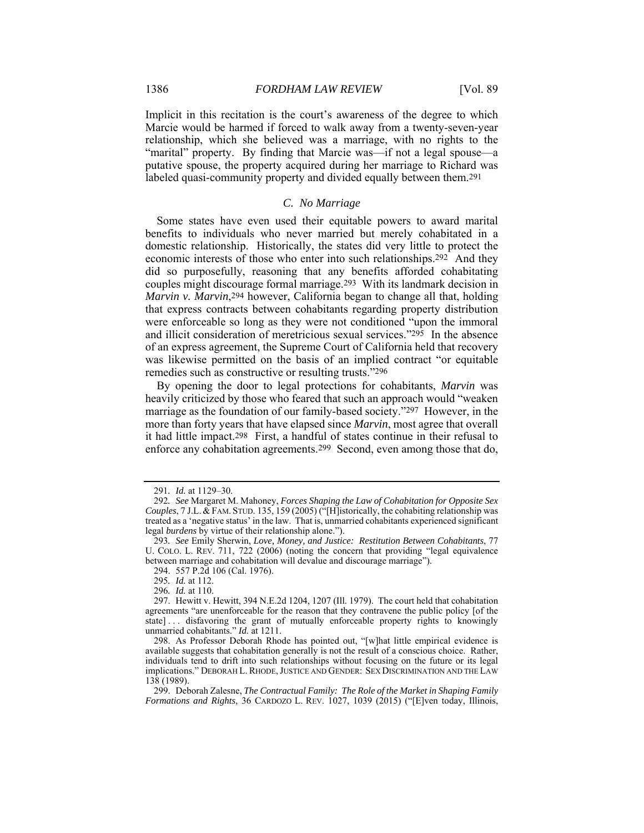Implicit in this recitation is the court's awareness of the degree to which Marcie would be harmed if forced to walk away from a twenty-seven-year relationship, which she believed was a marriage, with no rights to the "marital" property. By finding that Marcie was—if not a legal spouse—a putative spouse, the property acquired during her marriage to Richard was labeled quasi-community property and divided equally between them.291

# *C. No Marriage*

Some states have even used their equitable powers to award marital benefits to individuals who never married but merely cohabitated in a domestic relationship. Historically, the states did very little to protect the economic interests of those who enter into such relationships.292 And they did so purposefully, reasoning that any benefits afforded cohabitating couples might discourage formal marriage.293 With its landmark decision in *Marvin v. Marvin*<sup>294</sup> however, California began to change all that, holding that express contracts between cohabitants regarding property distribution were enforceable so long as they were not conditioned "upon the immoral and illicit consideration of meretricious sexual services."295 In the absence of an express agreement, the Supreme Court of California held that recovery was likewise permitted on the basis of an implied contract "or equitable remedies such as constructive or resulting trusts."296

By opening the door to legal protections for cohabitants, *Marvin* was heavily criticized by those who feared that such an approach would "weaken marriage as the foundation of our family-based society."297 However, in the more than forty years that have elapsed since *Marvin*, most agree that overall it had little impact.298 First, a handful of states continue in their refusal to enforce any cohabitation agreements.299 Second, even among those that do,

<sup>291</sup>*. Id.* at 1129–30.

<sup>292</sup>*. See* Margaret M. Mahoney, *Forces Shaping the Law of Cohabitation for Opposite Sex Couples*, 7 J.L.&FAM. STUD. 135, 159 (2005) ("[H]istorically, the cohabiting relationship was treated as a 'negative status' in the law. That is, unmarried cohabitants experienced significant legal *burdens* by virtue of their relationship alone.").

<sup>293</sup>*. See* Emily Sherwin, *Love, Money, and Justice: Restitution Between Cohabitants*, 77 U. COLO. L. REV. 711, 722 (2006) (noting the concern that providing "legal equivalence between marriage and cohabitation will devalue and discourage marriage").

 <sup>294. 557</sup> P.2d 106 (Cal. 1976).

<sup>295</sup>*. Id.* at 112.

<sup>296</sup>*. Id.* at 110.

 <sup>297.</sup> Hewitt v. Hewitt, 394 N.E.2d 1204, 1207 (Ill. 1979). The court held that cohabitation agreements "are unenforceable for the reason that they contravene the public policy [of the state]... disfavoring the grant of mutually enforceable property rights to knowingly unmarried cohabitants." *Id.* at 1211.

 <sup>298.</sup> As Professor Deborah Rhode has pointed out, "[w]hat little empirical evidence is available suggests that cohabitation generally is not the result of a conscious choice. Rather, individuals tend to drift into such relationships without focusing on the future or its legal implications." DEBORAH L. RHODE, JUSTICE AND GENDER: SEX DISCRIMINATION AND THE LAW 138 (1989).

 <sup>299.</sup> Deborah Zalesne, *The Contractual Family: The Role of the Market in Shaping Family Formations and Rights*, 36 CARDOZO L. REV. 1027, 1039 (2015) ("[E]ven today, Illinois,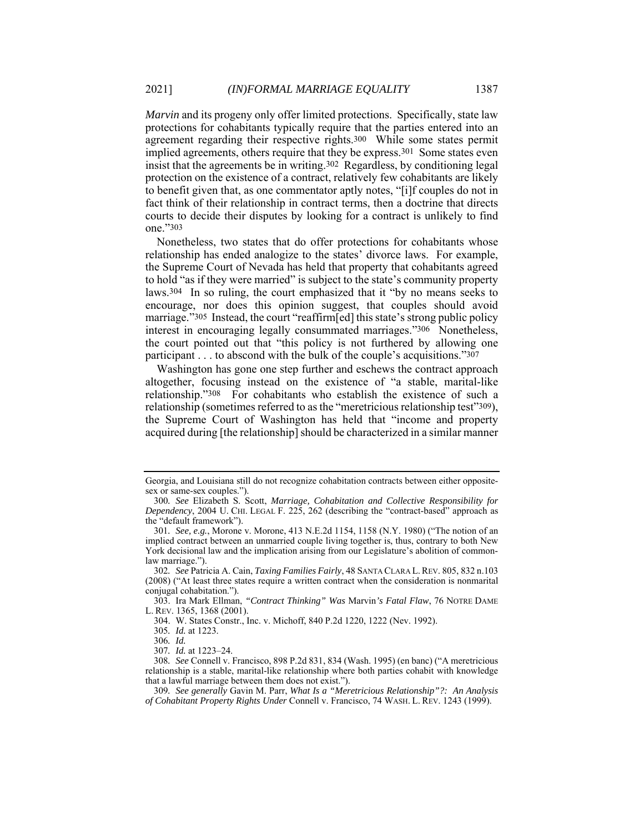*Marvin* and its progeny only offer limited protections. Specifically, state law protections for cohabitants typically require that the parties entered into an agreement regarding their respective rights.300 While some states permit implied agreements, others require that they be express.301 Some states even insist that the agreements be in writing.302 Regardless, by conditioning legal protection on the existence of a contract, relatively few cohabitants are likely to benefit given that, as one commentator aptly notes, "[i]f couples do not in fact think of their relationship in contract terms, then a doctrine that directs courts to decide their disputes by looking for a contract is unlikely to find one."303

Nonetheless, two states that do offer protections for cohabitants whose relationship has ended analogize to the states' divorce laws. For example, the Supreme Court of Nevada has held that property that cohabitants agreed to hold "as if they were married" is subject to the state's community property laws.304 In so ruling, the court emphasized that it "by no means seeks to encourage, nor does this opinion suggest, that couples should avoid marriage."305 Instead, the court "reaffirm[ed] this state's strong public policy interest in encouraging legally consummated marriages."306 Nonetheless, the court pointed out that "this policy is not furthered by allowing one participant . . . to abscond with the bulk of the couple's acquisitions."307

Washington has gone one step further and eschews the contract approach altogether, focusing instead on the existence of "a stable, marital-like relationship."308 For cohabitants who establish the existence of such a relationship (sometimes referred to as the "meretricious relationship test"309), the Supreme Court of Washington has held that "income and property acquired during [the relationship] should be characterized in a similar manner

Georgia, and Louisiana still do not recognize cohabitation contracts between either oppositesex or same-sex couples.").

<sup>300</sup>*. See* Elizabeth S. Scott, *Marriage, Cohabitation and Collective Responsibility for Dependency*, 2004 U. CHI. LEGAL F. 225, 262 (describing the "contract-based" approach as the "default framework").

<sup>301</sup>*. See, e.g.*, Morone v. Morone, 413 N.E.2d 1154, 1158 (N.Y. 1980) ("The notion of an implied contract between an unmarried couple living together is, thus, contrary to both New York decisional law and the implication arising from our Legislature's abolition of commonlaw marriage.").

<sup>302</sup>*. See* Patricia A. Cain, *Taxing Families Fairly*, 48 SANTA CLARA L.REV. 805, 832 n.103 (2008) ("At least three states require a written contract when the consideration is nonmarital conjugal cohabitation.").

 <sup>303.</sup> Ira Mark Ellman, *"Contract Thinking" Was* Marvin*'s Fatal Flaw*, 76 NOTRE DAME L. REV. 1365, 1368 (2001).

 <sup>304.</sup> W. States Constr., Inc. v. Michoff, 840 P.2d 1220, 1222 (Nev. 1992).

<sup>305</sup>*. Id.* at 1223.

<sup>306</sup>*. Id.*

<sup>307</sup>*. Id.* at 1223–24.

<sup>308</sup>*. See* Connell v. Francisco, 898 P.2d 831, 834 (Wash. 1995) (en banc) ("A meretricious relationship is a stable, marital-like relationship where both parties cohabit with knowledge that a lawful marriage between them does not exist.").

<sup>309</sup>*. See generally* Gavin M. Parr, *What Is a "Meretricious Relationship"?: An Analysis of Cohabitant Property Rights Under* Connell v. Francisco, 74 WASH. L. REV. 1243 (1999).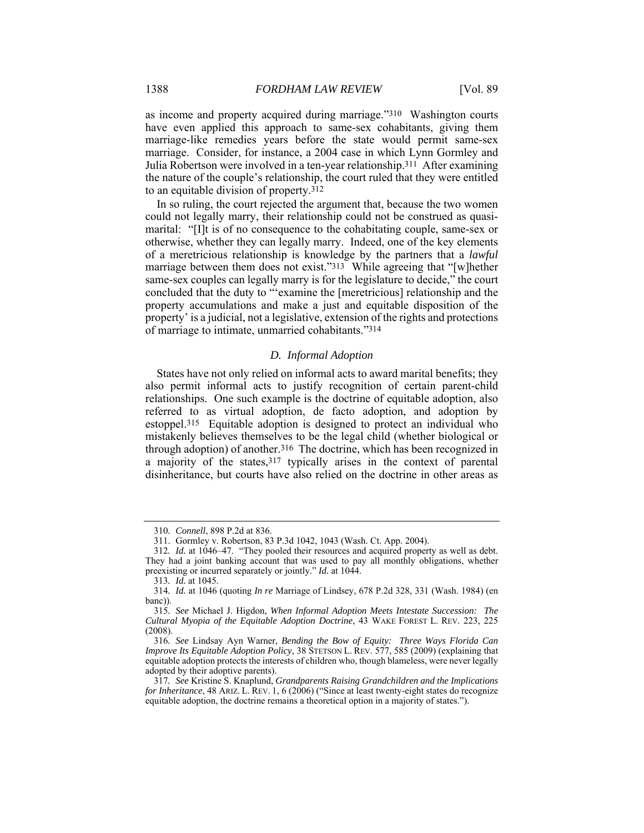as income and property acquired during marriage."310 Washington courts have even applied this approach to same-sex cohabitants, giving them marriage-like remedies years before the state would permit same-sex marriage. Consider, for instance, a 2004 case in which Lynn Gormley and Julia Robertson were involved in a ten-year relationship.311 After examining the nature of the couple's relationship, the court ruled that they were entitled to an equitable division of property.312

In so ruling, the court rejected the argument that, because the two women could not legally marry, their relationship could not be construed as quasimarital: "[I]t is of no consequence to the cohabitating couple, same-sex or otherwise, whether they can legally marry. Indeed, one of the key elements of a meretricious relationship is knowledge by the partners that a *lawful* marriage between them does not exist."313 While agreeing that "[w]hether same-sex couples can legally marry is for the legislature to decide," the court concluded that the duty to "'examine the [meretricious] relationship and the property accumulations and make a just and equitable disposition of the property' is a judicial, not a legislative, extension of the rights and protections of marriage to intimate, unmarried cohabitants."314

## *D. Informal Adoption*

States have not only relied on informal acts to award marital benefits; they also permit informal acts to justify recognition of certain parent-child relationships. One such example is the doctrine of equitable adoption, also referred to as virtual adoption, de facto adoption, and adoption by estoppel.315 Equitable adoption is designed to protect an individual who mistakenly believes themselves to be the legal child (whether biological or through adoption) of another.316 The doctrine, which has been recognized in a majority of the states,317 typically arises in the context of parental disinheritance, but courts have also relied on the doctrine in other areas as

<sup>310</sup>*. Connell*, 898 P.2d at 836.

 <sup>311.</sup> Gormley v. Robertson, 83 P.3d 1042, 1043 (Wash. Ct. App. 2004).

<sup>312</sup>*. Id.* at 1046–47. "They pooled their resources and acquired property as well as debt. They had a joint banking account that was used to pay all monthly obligations, whether preexisting or incurred separately or jointly." *Id.* at 1044.

<sup>313</sup>*. Id.* at 1045.

<sup>314</sup>*. Id.* at 1046 (quoting *In re* Marriage of Lindsey, 678 P.2d 328, 331 (Wash. 1984) (en banc)).

<sup>315</sup>*. See* Michael J. Higdon, *When Informal Adoption Meets Intestate Succession: The Cultural Myopia of the Equitable Adoption Doctrine*, 43 WAKE FOREST L. REV. 223, 225 (2008).

<sup>316</sup>*. See* Lindsay Ayn Warner, *Bending the Bow of Equity: Three Ways Florida Can Improve Its Equitable Adoption Policy*, 38 STETSON L. REV. 577, 585 (2009) (explaining that equitable adoption protects the interests of children who, though blameless, were never legally adopted by their adoptive parents).

<sup>317</sup>*. See* Kristine S. Knaplund, *Grandparents Raising Grandchildren and the Implications for Inheritance*, 48 ARIZ. L. REV. 1, 6 (2006) ("Since at least twenty-eight states do recognize equitable adoption, the doctrine remains a theoretical option in a majority of states.").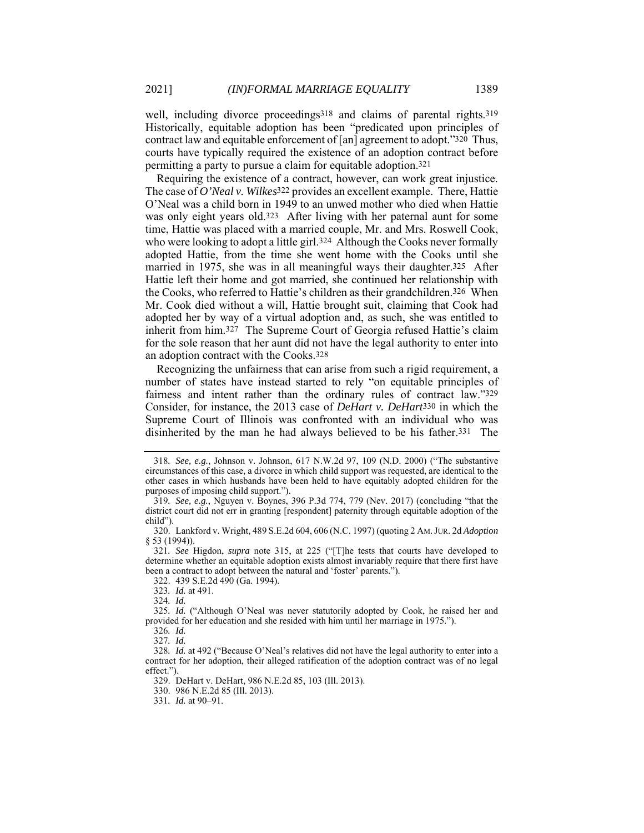well, including divorce proceedings<sup>318</sup> and claims of parental rights.<sup>319</sup> Historically, equitable adoption has been "predicated upon principles of contract law and equitable enforcement of [an] agreement to adopt."320 Thus, courts have typically required the existence of an adoption contract before permitting a party to pursue a claim for equitable adoption.321

Requiring the existence of a contract, however, can work great injustice. The case of *O'Neal v. Wilkes*322 provides an excellent example. There, Hattie O'Neal was a child born in 1949 to an unwed mother who died when Hattie was only eight years old.323 After living with her paternal aunt for some time, Hattie was placed with a married couple, Mr. and Mrs. Roswell Cook, who were looking to adopt a little girl.<sup>324</sup> Although the Cooks never formally adopted Hattie, from the time she went home with the Cooks until she married in 1975, she was in all meaningful ways their daughter.325 After Hattie left their home and got married, she continued her relationship with the Cooks, who referred to Hattie's children as their grandchildren.326 When Mr. Cook died without a will, Hattie brought suit, claiming that Cook had adopted her by way of a virtual adoption and, as such, she was entitled to inherit from him.327 The Supreme Court of Georgia refused Hattie's claim for the sole reason that her aunt did not have the legal authority to enter into an adoption contract with the Cooks.328

Recognizing the unfairness that can arise from such a rigid requirement, a number of states have instead started to rely "on equitable principles of fairness and intent rather than the ordinary rules of contract law."329 Consider, for instance, the 2013 case of *DeHart v. DeHart*330 in which the Supreme Court of Illinois was confronted with an individual who was disinherited by the man he had always believed to be his father.331 The

<sup>318</sup>*. See, e.g.*, Johnson v. Johnson, 617 N.W.2d 97, 109 (N.D. 2000) ("The substantive circumstances of this case, a divorce in which child support was requested, are identical to the other cases in which husbands have been held to have equitably adopted children for the purposes of imposing child support.").

<sup>319</sup>*. See, e.g.*, Nguyen v. Boynes, 396 P.3d 774, 779 (Nev. 2017) (concluding "that the district court did not err in granting [respondent] paternity through equitable adoption of the child").

 <sup>320.</sup> Lankford v. Wright, 489 S.E.2d 604, 606 (N.C. 1997) (quoting 2 AM.JUR. 2d *Adoption* § 53 (1994)).

<sup>321</sup>*. See* Higdon, *supra* note 315, at 225 ("[T]he tests that courts have developed to determine whether an equitable adoption exists almost invariably require that there first have been a contract to adopt between the natural and 'foster' parents.").

 <sup>322. 439</sup> S.E.2d 490 (Ga. 1994).

<sup>323</sup>*. Id.* at 491.

<sup>324</sup>*. Id.* 

<sup>325</sup>*. Id.* ("Although O'Neal was never statutorily adopted by Cook, he raised her and provided for her education and she resided with him until her marriage in 1975.").

<sup>326</sup>*. Id.* 

<sup>327</sup>*. Id.* 

<sup>328</sup>*. Id.* at 492 ("Because O'Neal's relatives did not have the legal authority to enter into a contract for her adoption, their alleged ratification of the adoption contract was of no legal effect.").

 <sup>329.</sup> DeHart v. DeHart, 986 N.E.2d 85, 103 (Ill. 2013).

 <sup>330. 986</sup> N.E.2d 85 (Ill. 2013).

<sup>331</sup>*. Id.* at 90–91.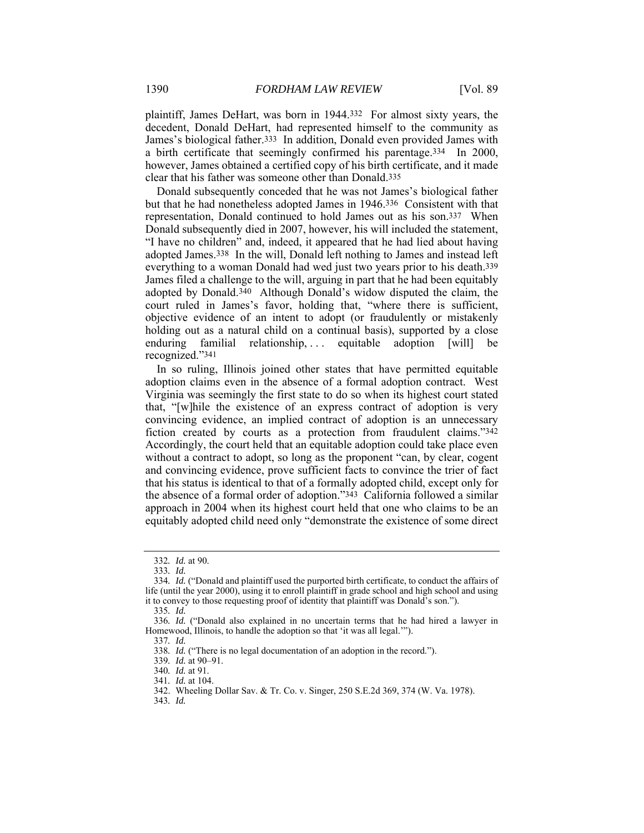plaintiff, James DeHart, was born in 1944.332 For almost sixty years, the decedent, Donald DeHart, had represented himself to the community as James's biological father.333 In addition, Donald even provided James with a birth certificate that seemingly confirmed his parentage.334 In 2000, however, James obtained a certified copy of his birth certificate, and it made clear that his father was someone other than Donald.335

Donald subsequently conceded that he was not James's biological father but that he had nonetheless adopted James in 1946.336 Consistent with that representation, Donald continued to hold James out as his son.337 When Donald subsequently died in 2007, however, his will included the statement, "I have no children" and, indeed, it appeared that he had lied about having adopted James.338 In the will, Donald left nothing to James and instead left everything to a woman Donald had wed just two years prior to his death.339 James filed a challenge to the will, arguing in part that he had been equitably adopted by Donald.340 Although Donald's widow disputed the claim, the court ruled in James's favor, holding that, "where there is sufficient, objective evidence of an intent to adopt (or fraudulently or mistakenly holding out as a natural child on a continual basis), supported by a close enduring familial relationship, ... equitable adoption [will] be recognized."341

In so ruling, Illinois joined other states that have permitted equitable adoption claims even in the absence of a formal adoption contract. West Virginia was seemingly the first state to do so when its highest court stated that, "[w]hile the existence of an express contract of adoption is very convincing evidence, an implied contract of adoption is an unnecessary fiction created by courts as a protection from fraudulent claims."342 Accordingly, the court held that an equitable adoption could take place even without a contract to adopt, so long as the proponent "can, by clear, cogent and convincing evidence, prove sufficient facts to convince the trier of fact that his status is identical to that of a formally adopted child, except only for the absence of a formal order of adoption."343 California followed a similar approach in 2004 when its highest court held that one who claims to be an equitably adopted child need only "demonstrate the existence of some direct

<sup>332</sup>*. Id.* at 90.

<sup>333</sup>*. Id.* 

<sup>334</sup>*. Id.* ("Donald and plaintiff used the purported birth certificate, to conduct the affairs of life (until the year 2000), using it to enroll plaintiff in grade school and high school and using it to convey to those requesting proof of identity that plaintiff was Donald's son.").

<sup>335</sup>*. Id.* 

<sup>336</sup>*. Id.* ("Donald also explained in no uncertain terms that he had hired a lawyer in Homewood, Illinois, to handle the adoption so that 'it was all legal.'").

<sup>337</sup>*. Id.* 

<sup>338</sup>*. Id.* ("There is no legal documentation of an adoption in the record.").

<sup>339</sup>*. Id.* at 90–91.

<sup>340</sup>*. Id.* at 91.

<sup>341</sup>*. Id.* at 104.

 <sup>342.</sup> Wheeling Dollar Sav. & Tr. Co. v. Singer, 250 S.E.2d 369, 374 (W. Va. 1978).

<sup>343</sup>*. Id.*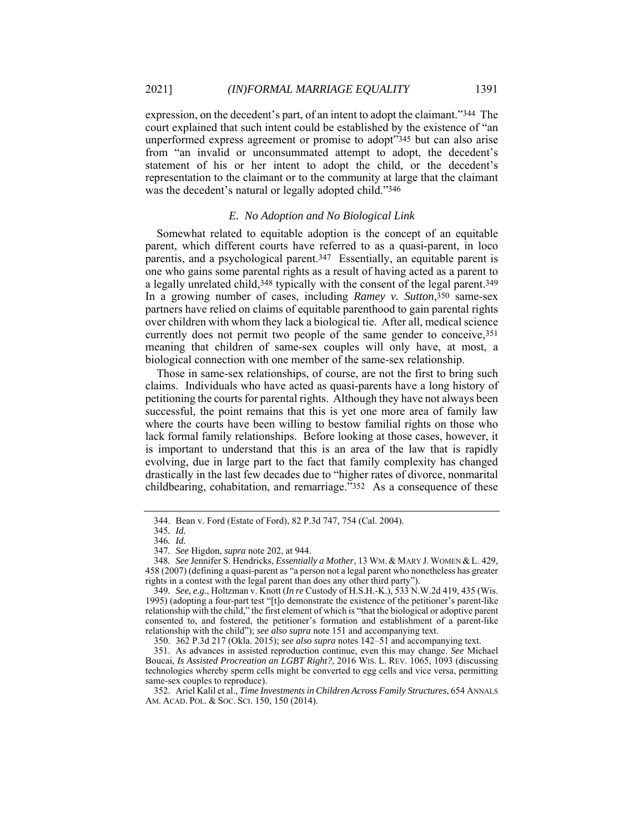expression, on the decedent's part, of an intent to adopt the claimant."344 The court explained that such intent could be established by the existence of "an unperformed express agreement or promise to adopt"345 but can also arise from "an invalid or unconsummated attempt to adopt, the decedent's statement of his or her intent to adopt the child, or the decedent's representation to the claimant or to the community at large that the claimant was the decedent's natural or legally adopted child."346

#### *E. No Adoption and No Biological Link*

Somewhat related to equitable adoption is the concept of an equitable parent, which different courts have referred to as a quasi-parent, in loco parentis, and a psychological parent.347 Essentially, an equitable parent is one who gains some parental rights as a result of having acted as a parent to a legally unrelated child,348 typically with the consent of the legal parent.349 In a growing number of cases, including *Ramey v. Sutton*,<sup>350</sup> same-sex partners have relied on claims of equitable parenthood to gain parental rights over children with whom they lack a biological tie. After all, medical science currently does not permit two people of the same gender to conceive, 351 meaning that children of same-sex couples will only have, at most, a biological connection with one member of the same-sex relationship.

Those in same-sex relationships, of course, are not the first to bring such claims. Individuals who have acted as quasi-parents have a long history of petitioning the courts for parental rights. Although they have not always been successful, the point remains that this is yet one more area of family law where the courts have been willing to bestow familial rights on those who lack formal family relationships. Before looking at those cases, however, it is important to understand that this is an area of the law that is rapidly evolving, due in large part to the fact that family complexity has changed drastically in the last few decades due to "higher rates of divorce, nonmarital childbearing, cohabitation, and remarriage."352 As a consequence of these

 <sup>344.</sup> Bean v. Ford (Estate of Ford), 82 P.3d 747, 754 (Cal. 2004).

<sup>345</sup>*. Id.* 

<sup>346</sup>*. Id.* 

<sup>347</sup>*. See* Higdon, *supra* note 202, at 944.

<sup>348</sup>*. See* Jennifer S. Hendricks, *Essentially a Mother*, 13 WM. & MARY J. WOMEN &L. 429, 458 (2007) (defining a quasi-parent as "a person not a legal parent who nonetheless has greater rights in a contest with the legal parent than does any other third party").

<sup>349</sup>*. See, e.g.*, Holtzman v. Knott (*In re* Custody of H.S.H.-K.), 533 N.W.2d 419, 435 (Wis. 1995) (adopting a four-part test "[t]o demonstrate the existence of the petitioner's parent-like relationship with the child," the first element of which is "that the biological or adoptive parent consented to, and fostered, the petitioner's formation and establishment of a parent-like relationship with the child"); *see also supra* note 151 and accompanying text.

 <sup>350. 362</sup> P.3d 217 (Okla. 2015); *see also supra* notes 142–51 and accompanying text.

 <sup>351.</sup> As advances in assisted reproduction continue, even this may change. *See* Michael Boucai, *Is Assisted Procreation an LGBT Right?*, 2016 WIS. L. REV. 1065, 1093 (discussing technologies whereby sperm cells might be converted to egg cells and vice versa, permitting same-sex couples to reproduce).

 <sup>352.</sup> Ariel Kalil et al., *Time Investments in Children Across Family Structures*, 654 ANNALS AM. ACAD. POL. & SOC. SCI. 150, 150 (2014).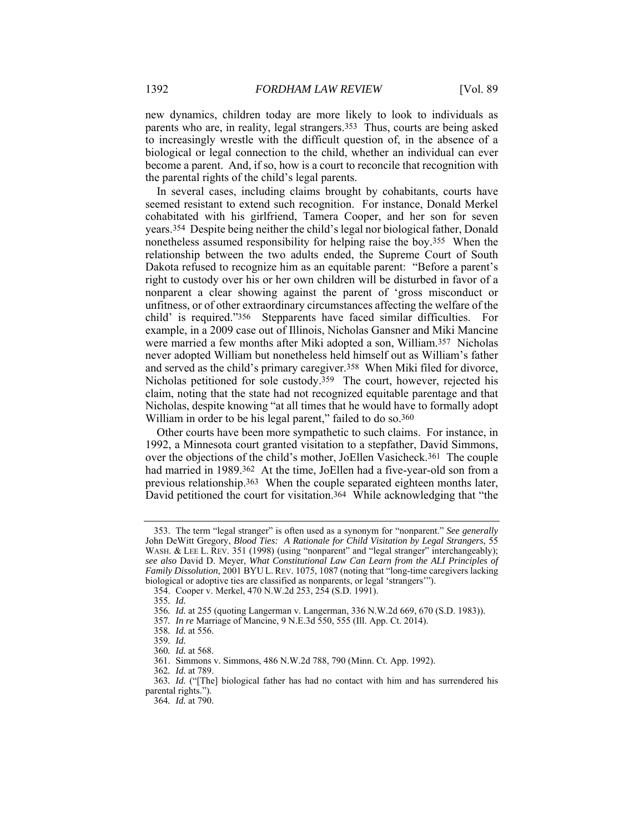new dynamics, children today are more likely to look to individuals as parents who are, in reality, legal strangers.353 Thus, courts are being asked to increasingly wrestle with the difficult question of, in the absence of a biological or legal connection to the child, whether an individual can ever become a parent. And, if so, how is a court to reconcile that recognition with the parental rights of the child's legal parents.

In several cases, including claims brought by cohabitants, courts have seemed resistant to extend such recognition. For instance, Donald Merkel cohabitated with his girlfriend, Tamera Cooper, and her son for seven years.354 Despite being neither the child's legal nor biological father, Donald nonetheless assumed responsibility for helping raise the boy.355 When the relationship between the two adults ended, the Supreme Court of South Dakota refused to recognize him as an equitable parent: "Before a parent's right to custody over his or her own children will be disturbed in favor of a nonparent a clear showing against the parent of 'gross misconduct or unfitness, or of other extraordinary circumstances affecting the welfare of the child' is required."356 Stepparents have faced similar difficulties. For example, in a 2009 case out of Illinois, Nicholas Gansner and Miki Mancine were married a few months after Miki adopted a son, William.357 Nicholas never adopted William but nonetheless held himself out as William's father and served as the child's primary caregiver.358 When Miki filed for divorce, Nicholas petitioned for sole custody.359 The court, however, rejected his claim, noting that the state had not recognized equitable parentage and that Nicholas, despite knowing "at all times that he would have to formally adopt William in order to be his legal parent," failed to do so.<sup>360</sup>

Other courts have been more sympathetic to such claims. For instance, in 1992, a Minnesota court granted visitation to a stepfather, David Simmons, over the objections of the child's mother, JoEllen Vasicheck.361 The couple had married in 1989.362 At the time, JoEllen had a five-year-old son from a previous relationship.363 When the couple separated eighteen months later, David petitioned the court for visitation.<sup>364</sup> While acknowledging that "the

 <sup>353.</sup> The term "legal stranger" is often used as a synonym for "nonparent." *See generally* John DeWitt Gregory, *Blood Ties: A Rationale for Child Visitation by Legal Strangers*, 55 WASH. & LEE L. REV. 351 (1998) (using "nonparent" and "legal stranger" interchangeably); *see also* David D. Meyer, *What Constitutional Law Can Learn from the ALI Principles of Family Dissolution*, 2001 BYU L. REV. 1075, 1087 (noting that "long-time caregivers lacking biological or adoptive ties are classified as nonparents, or legal 'strangers'").

 <sup>354.</sup> Cooper v. Merkel, 470 N.W.2d 253, 254 (S.D. 1991).

<sup>355</sup>*. Id.*

<sup>356</sup>*. Id.* at 255 (quoting Langerman v. Langerman, 336 N.W.2d 669, 670 (S.D. 1983)).

<sup>357</sup>*. In re* Marriage of Mancine, 9 N.E.3d 550, 555 (Ill. App. Ct. 2014).

<sup>358</sup>*. Id.* at 556.

<sup>359</sup>*. Id.* 

<sup>360</sup>*. Id.* at 568.

 <sup>361.</sup> Simmons v. Simmons, 486 N.W.2d 788, 790 (Minn. Ct. App. 1992).

<sup>362</sup>*. Id.* at 789.

<sup>363</sup>*. Id.* ("[The] biological father has had no contact with him and has surrendered his parental rights.").

<sup>364</sup>*. Id.* at 790.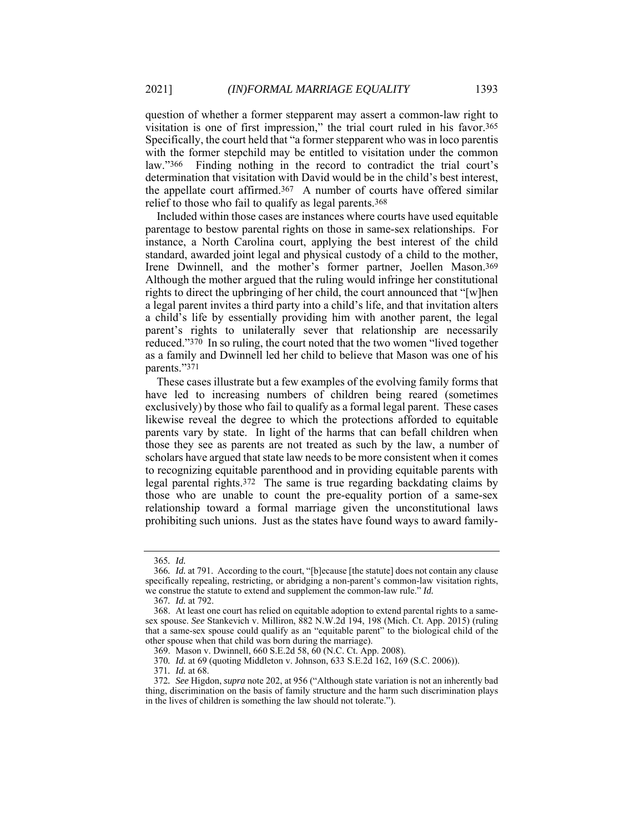question of whether a former stepparent may assert a common-law right to visitation is one of first impression," the trial court ruled in his favor.365 Specifically, the court held that "a former stepparent who was in loco parentis with the former stepchild may be entitled to visitation under the common law."366 Finding nothing in the record to contradict the trial court's determination that visitation with David would be in the child's best interest, the appellate court affirmed.367 A number of courts have offered similar relief to those who fail to qualify as legal parents.368

Included within those cases are instances where courts have used equitable parentage to bestow parental rights on those in same-sex relationships. For instance, a North Carolina court, applying the best interest of the child standard, awarded joint legal and physical custody of a child to the mother, Irene Dwinnell, and the mother's former partner, Joellen Mason.369 Although the mother argued that the ruling would infringe her constitutional rights to direct the upbringing of her child, the court announced that "[w]hen a legal parent invites a third party into a child's life, and that invitation alters a child's life by essentially providing him with another parent, the legal parent's rights to unilaterally sever that relationship are necessarily reduced."370 In so ruling, the court noted that the two women "lived together as a family and Dwinnell led her child to believe that Mason was one of his parents."371

These cases illustrate but a few examples of the evolving family forms that have led to increasing numbers of children being reared (sometimes exclusively) by those who fail to qualify as a formal legal parent. These cases likewise reveal the degree to which the protections afforded to equitable parents vary by state. In light of the harms that can befall children when those they see as parents are not treated as such by the law, a number of scholars have argued that state law needs to be more consistent when it comes to recognizing equitable parenthood and in providing equitable parents with legal parental rights.372 The same is true regarding backdating claims by those who are unable to count the pre-equality portion of a same-sex relationship toward a formal marriage given the unconstitutional laws prohibiting such unions. Just as the states have found ways to award family-

<sup>365</sup>*. Id.*

<sup>366</sup>*. Id.* at 791. According to the court, "[b]ecause [the statute] does not contain any clause specifically repealing, restricting, or abridging a non-parent's common-law visitation rights, we construe the statute to extend and supplement the common-law rule." *Id.*

<sup>367</sup>*. Id.* at 792.

 <sup>368.</sup> At least one court has relied on equitable adoption to extend parental rights to a samesex spouse. *See* Stankevich v. Milliron, 882 N.W.2d 194, 198 (Mich. Ct. App. 2015) (ruling that a same-sex spouse could qualify as an "equitable parent" to the biological child of the other spouse when that child was born during the marriage).

 <sup>369.</sup> Mason v. Dwinnell, 660 S.E.2d 58, 60 (N.C. Ct. App. 2008).

<sup>370</sup>*. Id.* at 69 (quoting Middleton v. Johnson, 633 S.E.2d 162, 169 (S.C. 2006)).

<sup>371</sup>*. Id.* at 68.

<sup>372</sup>*. See* Higdon, *supra* note 202, at 956 ("Although state variation is not an inherently bad thing, discrimination on the basis of family structure and the harm such discrimination plays in the lives of children is something the law should not tolerate.").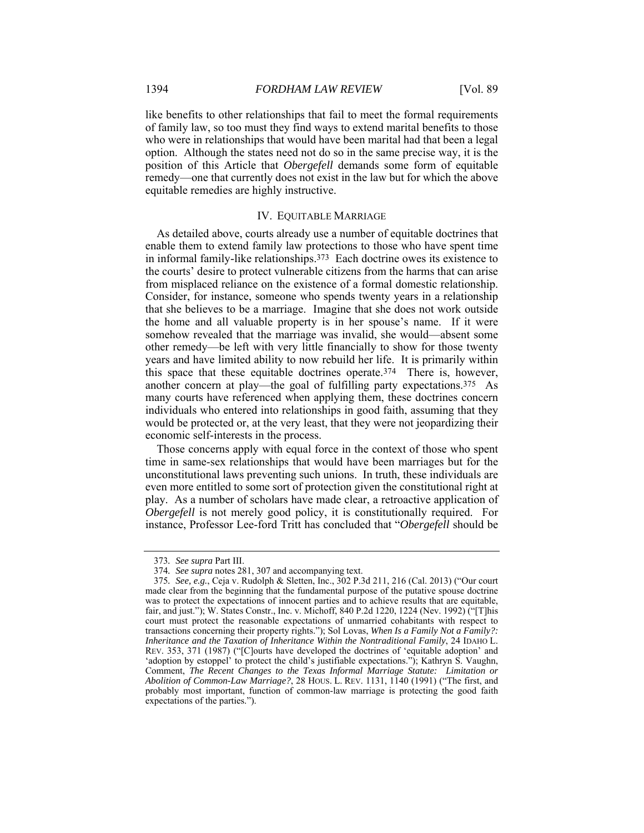like benefits to other relationships that fail to meet the formal requirements of family law, so too must they find ways to extend marital benefits to those who were in relationships that would have been marital had that been a legal option. Although the states need not do so in the same precise way, it is the position of this Article that *Obergefell* demands some form of equitable remedy—one that currently does not exist in the law but for which the above equitable remedies are highly instructive.

#### IV. EQUITABLE MARRIAGE

As detailed above, courts already use a number of equitable doctrines that enable them to extend family law protections to those who have spent time in informal family-like relationships.373 Each doctrine owes its existence to the courts' desire to protect vulnerable citizens from the harms that can arise from misplaced reliance on the existence of a formal domestic relationship. Consider, for instance, someone who spends twenty years in a relationship that she believes to be a marriage. Imagine that she does not work outside the home and all valuable property is in her spouse's name. If it were somehow revealed that the marriage was invalid, she would—absent some other remedy—be left with very little financially to show for those twenty years and have limited ability to now rebuild her life. It is primarily within this space that these equitable doctrines operate.374 There is, however, another concern at play—the goal of fulfilling party expectations.375 As many courts have referenced when applying them, these doctrines concern individuals who entered into relationships in good faith, assuming that they would be protected or, at the very least, that they were not jeopardizing their economic self-interests in the process.

Those concerns apply with equal force in the context of those who spent time in same-sex relationships that would have been marriages but for the unconstitutional laws preventing such unions. In truth, these individuals are even more entitled to some sort of protection given the constitutional right at play.As a number of scholars have made clear, a retroactive application of *Obergefell* is not merely good policy, it is constitutionally required. For instance, Professor Lee-ford Tritt has concluded that "*Obergefell* should be

<sup>373</sup>*. See supra* Part III.

<sup>374</sup>*. See supra* notes 281, 307 and accompanying text.

<sup>375</sup>*. See, e.g.*, Ceja v. Rudolph & Sletten, Inc., 302 P.3d 211, 216 (Cal. 2013) ("Our court made clear from the beginning that the fundamental purpose of the putative spouse doctrine was to protect the expectations of innocent parties and to achieve results that are equitable, fair, and just."); W. States Constr., Inc. v. Michoff, 840 P.2d 1220, 1224 (Nev. 1992) ("[T]his court must protect the reasonable expectations of unmarried cohabitants with respect to transactions concerning their property rights."); Sol Lovas, *When Is a Family Not a Family?: Inheritance and the Taxation of Inheritance Within the Nontraditional Family*, 24 IDAHO L. REV. 353, 371 (1987) ("[C]ourts have developed the doctrines of 'equitable adoption' and 'adoption by estoppel' to protect the child's justifiable expectations."); Kathryn S. Vaughn, Comment, *The Recent Changes to the Texas Informal Marriage Statute: Limitation or Abolition of Common-Law Marriage?*, 28 HOUS. L. REV. 1131, 1140 (1991) ("The first, and probably most important, function of common-law marriage is protecting the good faith expectations of the parties.").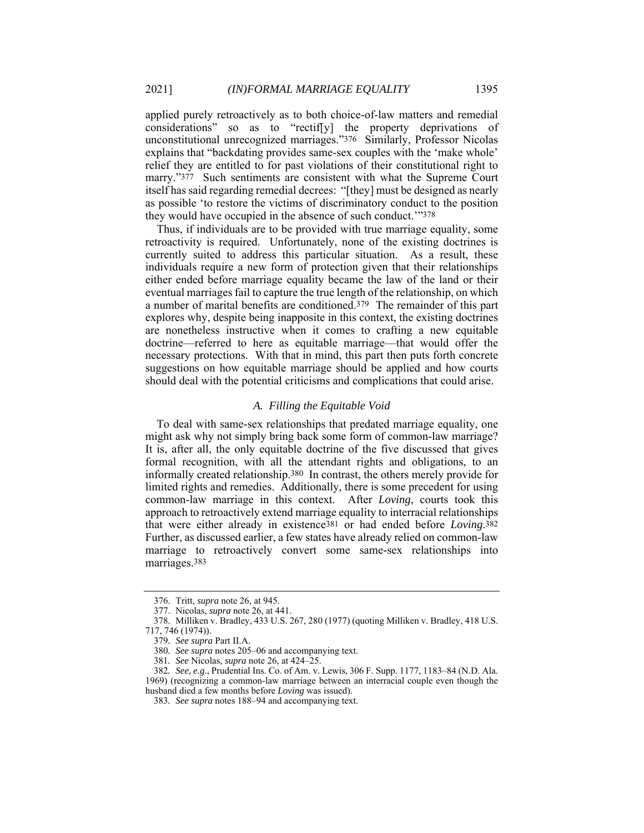applied purely retroactively as to both choice-of-law matters and remedial considerations" so as to "rectif[y] the property deprivations of unconstitutional unrecognized marriages."376 Similarly, Professor Nicolas explains that "backdating provides same-sex couples with the 'make whole' relief they are entitled to for past violations of their constitutional right to marry."377 Such sentiments are consistent with what the Supreme Court itself has said regarding remedial decrees: "[they] must be designed as nearly as possible 'to restore the victims of discriminatory conduct to the position they would have occupied in the absence of such conduct.'"378

Thus, if individuals are to be provided with true marriage equality, some retroactivity is required. Unfortunately, none of the existing doctrines is currently suited to address this particular situation. As a result, these individuals require a new form of protection given that their relationships either ended before marriage equality became the law of the land or their eventual marriages fail to capture the true length of the relationship, on which a number of marital benefits are conditioned.379 The remainder of this part explores why, despite being inapposite in this context, the existing doctrines are nonetheless instructive when it comes to crafting a new equitable doctrine—referred to here as equitable marriage—that would offer the necessary protections. With that in mind, this part then puts forth concrete suggestions on how equitable marriage should be applied and how courts should deal with the potential criticisms and complications that could arise.

### *A. Filling the Equitable Void*

To deal with same-sex relationships that predated marriage equality, one might ask why not simply bring back some form of common-law marriage? It is, after all, the only equitable doctrine of the five discussed that gives formal recognition, with all the attendant rights and obligations, to an informally created relationship.380 In contrast, the others merely provide for limited rights and remedies. Additionally, there is some precedent for using common-law marriage in this context. After *Loving*, courts took this approach to retroactively extend marriage equality to interracial relationships that were either already in existence381 or had ended before *Loving*.382 Further, as discussed earlier, a few states have already relied on common-law marriage to retroactively convert some same-sex relationships into marriages.383

1969) (recognizing a common-law marriage between an interracial couple even though the husband died a few months before *Loving* was issued).

 <sup>376.</sup> Tritt, *supra* note 26, at 945.

 <sup>377.</sup> Nicolas, *supra* note 26, at 441.

 <sup>378.</sup> Milliken v. Bradley, 433 U.S. 267, 280 (1977) (quoting Milliken v. Bradley, 418 U.S. 717, 746 (1974)).

<sup>379</sup>*. See supra* Part II.A.

<sup>380</sup>*. See supra* notes 205–06 and accompanying text.

<sup>381</sup>*. See* Nicolas, *supra* note 26, at 424–25.

<sup>382</sup>*. See, e.g.*, Prudential Ins. Co. of Am. v. Lewis, 306 F. Supp. 1177, 1183–84 (N.D. Ala.

<sup>383</sup>*. See supra* notes 188–94 and accompanying text.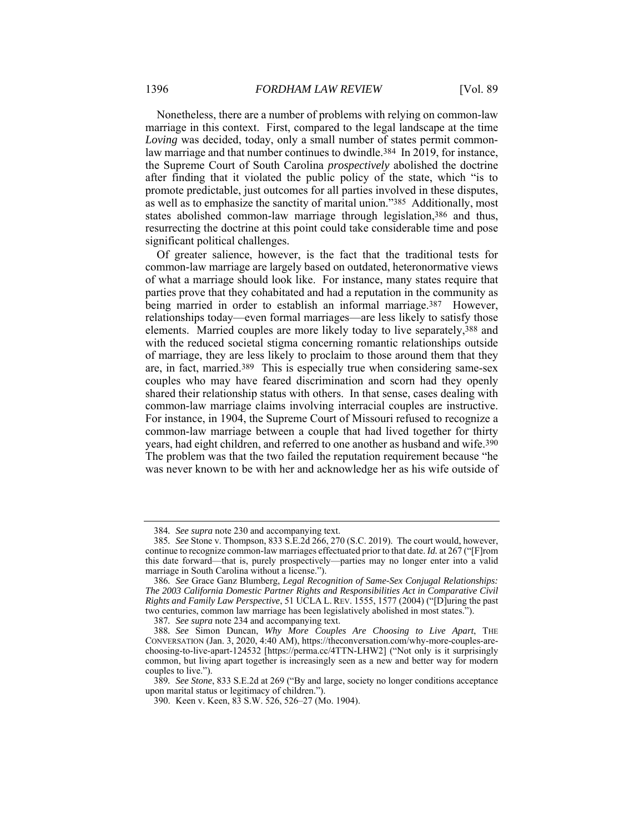Nonetheless, there are a number of problems with relying on common-law marriage in this context. First, compared to the legal landscape at the time *Loving* was decided, today, only a small number of states permit commonlaw marriage and that number continues to dwindle.384 In 2019, for instance, the Supreme Court of South Carolina *prospectively* abolished the doctrine after finding that it violated the public policy of the state, which "is to promote predictable, just outcomes for all parties involved in these disputes, as well as to emphasize the sanctity of marital union."385 Additionally, most states abolished common-law marriage through legislation,386 and thus, resurrecting the doctrine at this point could take considerable time and pose significant political challenges.

Of greater salience, however, is the fact that the traditional tests for common-law marriage are largely based on outdated, heteronormative views of what a marriage should look like. For instance, many states require that parties prove that they cohabitated and had a reputation in the community as being married in order to establish an informal marriage.<sup>387</sup> However, relationships today—even formal marriages—are less likely to satisfy those elements. Married couples are more likely today to live separately,388 and with the reduced societal stigma concerning romantic relationships outside of marriage, they are less likely to proclaim to those around them that they are, in fact, married.389 This is especially true when considering same-sex couples who may have feared discrimination and scorn had they openly shared their relationship status with others. In that sense, cases dealing with common-law marriage claims involving interracial couples are instructive. For instance, in 1904, the Supreme Court of Missouri refused to recognize a common-law marriage between a couple that had lived together for thirty years, had eight children, and referred to one another as husband and wife.390 The problem was that the two failed the reputation requirement because "he was never known to be with her and acknowledge her as his wife outside of

<sup>384</sup>*. See supra* note 230 and accompanying text.

<sup>385</sup>*. See* Stone v. Thompson, 833 S.E.2d 266, 270 (S.C. 2019). The court would, however, continue to recognize common-law marriages effectuated prior to that date. *Id.* at 267 ("[F]rom this date forward—that is, purely prospectively—parties may no longer enter into a valid marriage in South Carolina without a license.").

<sup>386</sup>*. See* Grace Ganz Blumberg, *Legal Recognition of Same-Sex Conjugal Relationships: The 2003 California Domestic Partner Rights and Responsibilities Act in Comparative Civil Rights and Family Law Perspective*, 51 UCLA L. REV. 1555, 1577 (2004) ("[D]uring the past two centuries, common law marriage has been legislatively abolished in most states.").

<sup>387</sup>*. See supra* note 234 and accompanying text.

<sup>388</sup>*. See* Simon Duncan, *Why More Couples Are Choosing to Live Apart*, THE CONVERSATION (Jan. 3, 2020, 4:40 AM), https://theconversation.com/why-more-couples-arechoosing-to-live-apart-124532 [https://perma.cc/4TTN-LHW2] ("Not only is it surprisingly common, but living apart together is increasingly seen as a new and better way for modern couples to live.").

<sup>389</sup>*. See Stone*, 833 S.E.2d at 269 ("By and large, society no longer conditions acceptance upon marital status or legitimacy of children.").

 <sup>390.</sup> Keen v. Keen, 83 S.W. 526, 526–27 (Mo. 1904).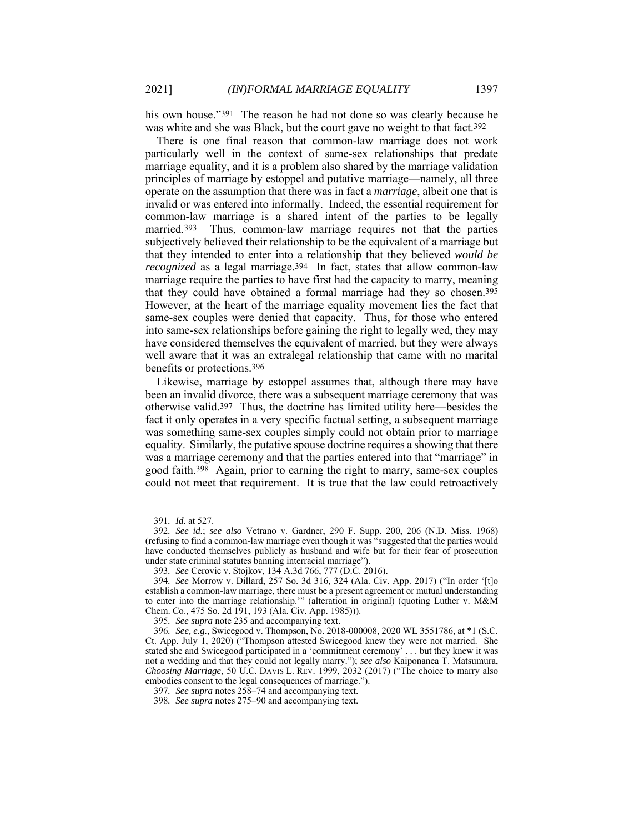his own house."391 The reason he had not done so was clearly because he was white and she was Black, but the court gave no weight to that fact.392

There is one final reason that common-law marriage does not work particularly well in the context of same-sex relationships that predate marriage equality, and it is a problem also shared by the marriage validation principles of marriage by estoppel and putative marriage—namely, all three operate on the assumption that there was in fact a *marriage*, albeit one that is invalid or was entered into informally. Indeed, the essential requirement for common-law marriage is a shared intent of the parties to be legally married.393 Thus, common-law marriage requires not that the parties subjectively believed their relationship to be the equivalent of a marriage but that they intended to enter into a relationship that they believed *would be recognized* as a legal marriage.<sup>394</sup> In fact, states that allow common-law marriage require the parties to have first had the capacity to marry, meaning that they could have obtained a formal marriage had they so chosen.395 However, at the heart of the marriage equality movement lies the fact that same-sex couples were denied that capacity. Thus, for those who entered into same-sex relationships before gaining the right to legally wed, they may have considered themselves the equivalent of married, but they were always well aware that it was an extralegal relationship that came with no marital benefits or protections.396

Likewise, marriage by estoppel assumes that, although there may have been an invalid divorce, there was a subsequent marriage ceremony that was otherwise valid.397 Thus, the doctrine has limited utility here—besides the fact it only operates in a very specific factual setting, a subsequent marriage was something same-sex couples simply could not obtain prior to marriage equality. Similarly, the putative spouse doctrine requires a showing that there was a marriage ceremony and that the parties entered into that "marriage" in good faith.398 Again, prior to earning the right to marry, same-sex couples could not meet that requirement. It is true that the law could retroactively

<sup>391</sup>*. Id.* at 527.

<sup>392</sup>*. See id.*; *see also* Vetrano v. Gardner, 290 F. Supp. 200, 206 (N.D. Miss. 1968) (refusing to find a common-law marriage even though it was "suggested that the parties would have conducted themselves publicly as husband and wife but for their fear of prosecution under state criminal statutes banning interracial marriage").

<sup>393</sup>*. See* Cerovic v. Stojkov, 134 A.3d 766, 777 (D.C. 2016).

<sup>394</sup>*. See* Morrow v. Dillard, 257 So. 3d 316, 324 (Ala. Civ. App. 2017) ("In order '[t]o establish a common-law marriage, there must be a present agreement or mutual understanding to enter into the marriage relationship.'" (alteration in original) (quoting Luther v. M&M Chem. Co., 475 So. 2d 191, 193 (Ala. Civ. App. 1985))).

<sup>395</sup>*. See supra* note 235 and accompanying text.

<sup>396</sup>*. See, e.g.*, Swicegood v. Thompson, No. 2018-000008, 2020 WL 3551786, at \*1 (S.C. Ct. App. July 1, 2020) ("Thompson attested Swicegood knew they were not married. She stated she and Swicegood participated in a 'commitment ceremony' . . . but they knew it was not a wedding and that they could not legally marry."); *see also* Kaiponanea T. Matsumura, *Choosing Marriage*, 50 U.C. DAVIS L. REV. 1999, 2032 (2017) ("The choice to marry also embodies consent to the legal consequences of marriage.").

<sup>397</sup>*. See supra* notes 258–74 and accompanying text.

<sup>398</sup>*. See supra* notes 275–90 and accompanying text.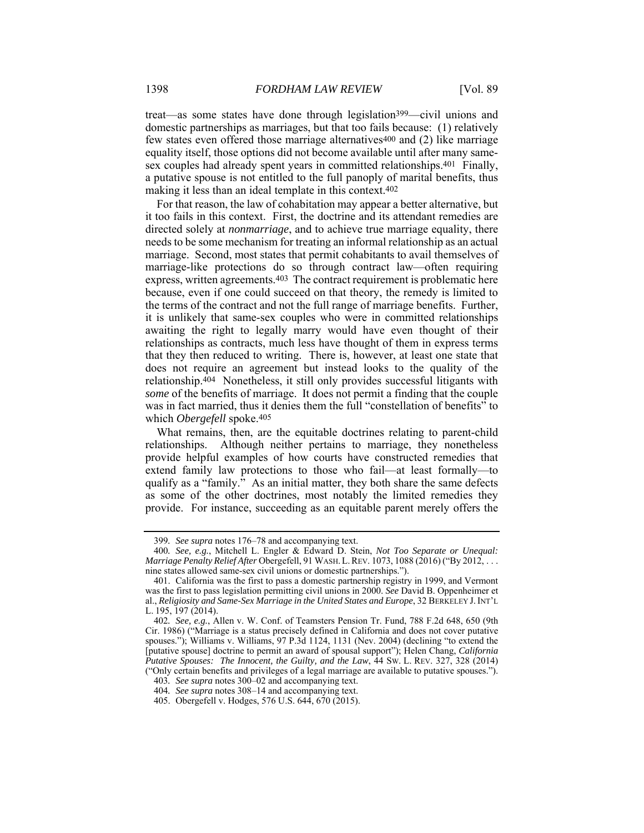treat—as some states have done through legislation399—civil unions and domestic partnerships as marriages, but that too fails because: (1) relatively few states even offered those marriage alternatives400 and (2) like marriage equality itself, those options did not become available until after many samesex couples had already spent years in committed relationships.401 Finally, a putative spouse is not entitled to the full panoply of marital benefits, thus making it less than an ideal template in this context.402

For that reason, the law of cohabitation may appear a better alternative, but it too fails in this context. First, the doctrine and its attendant remedies are directed solely at *nonmarriage*, and to achieve true marriage equality, there needs to be some mechanism for treating an informal relationship as an actual marriage. Second, most states that permit cohabitants to avail themselves of marriage-like protections do so through contract law—often requiring express, written agreements.403 The contract requirement is problematic here because, even if one could succeed on that theory, the remedy is limited to the terms of the contract and not the full range of marriage benefits. Further, it is unlikely that same-sex couples who were in committed relationships awaiting the right to legally marry would have even thought of their relationships as contracts, much less have thought of them in express terms that they then reduced to writing. There is, however, at least one state that does not require an agreement but instead looks to the quality of the relationship.404 Nonetheless, it still only provides successful litigants with *some* of the benefits of marriage. It does not permit a finding that the couple was in fact married, thus it denies them the full "constellation of benefits" to which *Obergefell* spoke.405

What remains, then, are the equitable doctrines relating to parent-child relationships. Although neither pertains to marriage, they nonetheless provide helpful examples of how courts have constructed remedies that extend family law protections to those who fail—at least formally—to qualify as a "family." As an initial matter, they both share the same defects as some of the other doctrines, most notably the limited remedies they provide. For instance, succeeding as an equitable parent merely offers the

<sup>399</sup>*. See supra* notes 176–78 and accompanying text.

<sup>400</sup>*. See, e.g.*, Mitchell L. Engler & Edward D. Stein, *Not Too Separate or Unequal: Marriage Penalty Relief After* Obergefell, 91 WASH.L.REV. 1073, 1088 (2016) ("By 2012, . . . nine states allowed same-sex civil unions or domestic partnerships.").

 <sup>401.</sup> California was the first to pass a domestic partnership registry in 1999, and Vermont was the first to pass legislation permitting civil unions in 2000. *See* David B. Oppenheimer et al., *Religiosity and Same-Sex Marriage in the United States and Europe*, 32 BERKELEY J.INT'L L. 195, 197 (2014).

<sup>402</sup>*. See, e.g.*, Allen v. W. Conf. of Teamsters Pension Tr. Fund, 788 F.2d 648, 650 (9th Cir. 1986) ("Marriage is a status precisely defined in California and does not cover putative spouses."); Williams v. Williams, 97 P.3d 1124, 1131 (Nev. 2004) (declining "to extend the [putative spouse] doctrine to permit an award of spousal support"); Helen Chang, *California Putative Spouses: The Innocent, the Guilty, and the Law*, 44 SW. L. REV. 327, 328 (2014) ("Only certain benefits and privileges of a legal marriage are available to putative spouses.").

<sup>403</sup>*. See supra* notes 300–02 and accompanying text.

<sup>404</sup>*. See supra* notes 308–14 and accompanying text.

 <sup>405.</sup> Obergefell v. Hodges, 576 U.S. 644, 670 (2015).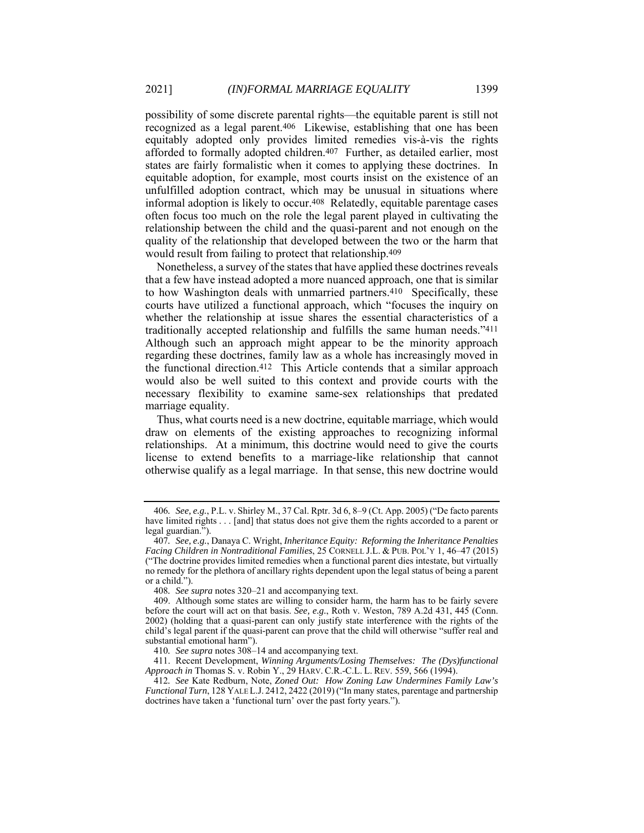possibility of some discrete parental rights—the equitable parent is still not recognized as a legal parent.406 Likewise, establishing that one has been equitably adopted only provides limited remedies vis-à-vis the rights afforded to formally adopted children.407 Further, as detailed earlier, most states are fairly formalistic when it comes to applying these doctrines. In equitable adoption, for example, most courts insist on the existence of an unfulfilled adoption contract, which may be unusual in situations where informal adoption is likely to occur.408 Relatedly, equitable parentage cases often focus too much on the role the legal parent played in cultivating the relationship between the child and the quasi-parent and not enough on the quality of the relationship that developed between the two or the harm that would result from failing to protect that relationship.409

Nonetheless, a survey of the states that have applied these doctrines reveals that a few have instead adopted a more nuanced approach, one that is similar to how Washington deals with unmarried partners.410 Specifically, these courts have utilized a functional approach, which "focuses the inquiry on whether the relationship at issue shares the essential characteristics of a traditionally accepted relationship and fulfills the same human needs."411 Although such an approach might appear to be the minority approach regarding these doctrines, family law as a whole has increasingly moved in the functional direction.412 This Article contends that a similar approach would also be well suited to this context and provide courts with the necessary flexibility to examine same-sex relationships that predated marriage equality.

Thus, what courts need is a new doctrine, equitable marriage, which would draw on elements of the existing approaches to recognizing informal relationships. At a minimum, this doctrine would need to give the courts license to extend benefits to a marriage-like relationship that cannot otherwise qualify as a legal marriage. In that sense, this new doctrine would

<sup>406</sup>*. See, e.g.*, P.L. v. Shirley M., 37 Cal. Rptr. 3d 6, 8–9 (Ct. App. 2005) ("De facto parents have limited rights . . . [and] that status does not give them the rights accorded to a parent or legal guardian.").

<sup>407</sup>*. See, e.g.*, Danaya C. Wright, *Inheritance Equity: Reforming the Inheritance Penalties Facing Children in Nontraditional Families*, 25 CORNELL J.L. & PUB. POL'Y 1, 46–47 (2015) ("The doctrine provides limited remedies when a functional parent dies intestate, but virtually no remedy for the plethora of ancillary rights dependent upon the legal status of being a parent or a child.").

<sup>408</sup>*. See supra* notes 320–21 and accompanying text.

 <sup>409.</sup> Although some states are willing to consider harm, the harm has to be fairly severe before the court will act on that basis. *See, e.g.*, Roth v. Weston, 789 A.2d 431, 445 (Conn. 2002) (holding that a quasi-parent can only justify state interference with the rights of the child's legal parent if the quasi-parent can prove that the child will otherwise "suffer real and substantial emotional harm").

<sup>410</sup>*. See supra* notes 308–14 and accompanying text.

 <sup>411.</sup> Recent Development, *Winning Arguments/Losing Themselves: The (Dys)functional Approach in* Thomas S. v. Robin Y., 29 HARV. C.R.-C.L. L. REV. 559, 566 (1994).

<sup>412</sup>*. See* Kate Redburn, Note, *Zoned Out: How Zoning Law Undermines Family Law's Functional Turn*, 128 YALE L.J. 2412, 2422 (2019) ("In many states, parentage and partnership doctrines have taken a 'functional turn' over the past forty years.").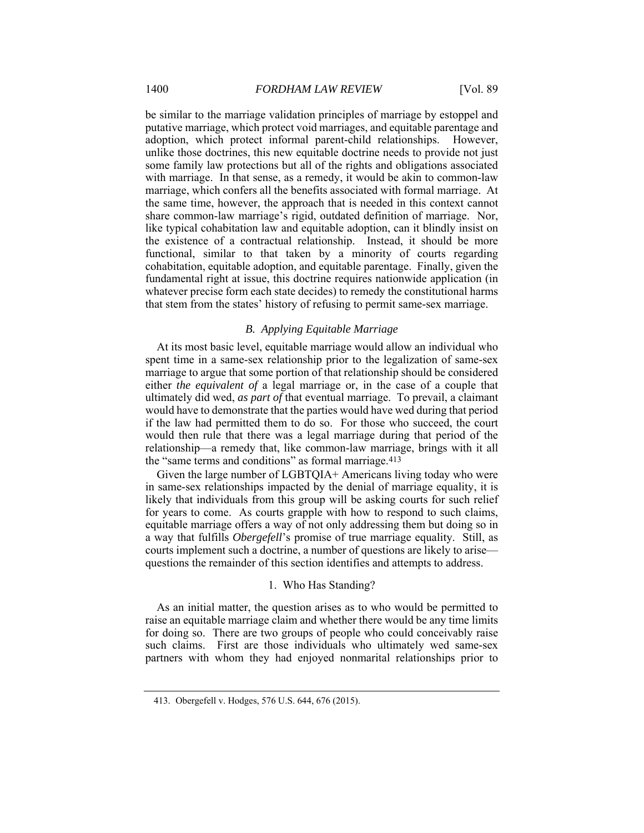be similar to the marriage validation principles of marriage by estoppel and putative marriage, which protect void marriages, and equitable parentage and adoption, which protect informal parent-child relationships. However, unlike those doctrines, this new equitable doctrine needs to provide not just some family law protections but all of the rights and obligations associated with marriage. In that sense, as a remedy, it would be akin to common-law marriage, which confers all the benefits associated with formal marriage. At the same time, however, the approach that is needed in this context cannot share common-law marriage's rigid, outdated definition of marriage. Nor, like typical cohabitation law and equitable adoption, can it blindly insist on the existence of a contractual relationship. Instead, it should be more functional, similar to that taken by a minority of courts regarding cohabitation, equitable adoption, and equitable parentage. Finally, given the fundamental right at issue, this doctrine requires nationwide application (in whatever precise form each state decides) to remedy the constitutional harms that stem from the states' history of refusing to permit same-sex marriage.

# *B. Applying Equitable Marriage*

At its most basic level, equitable marriage would allow an individual who spent time in a same-sex relationship prior to the legalization of same-sex marriage to argue that some portion of that relationship should be considered either *the equivalent of* a legal marriage or, in the case of a couple that ultimately did wed, *as part of* that eventual marriage. To prevail, a claimant would have to demonstrate that the parties would have wed during that period if the law had permitted them to do so. For those who succeed, the court would then rule that there was a legal marriage during that period of the relationship—a remedy that, like common-law marriage, brings with it all the "same terms and conditions" as formal marriage.<sup>413</sup>

Given the large number of LGBTQIA+ Americans living today who were in same-sex relationships impacted by the denial of marriage equality, it is likely that individuals from this group will be asking courts for such relief for years to come. As courts grapple with how to respond to such claims, equitable marriage offers a way of not only addressing them but doing so in a way that fulfills *Obergefell*'s promise of true marriage equality. Still, as courts implement such a doctrine, a number of questions are likely to arise questions the remainder of this section identifies and attempts to address.

## 1. Who Has Standing?

As an initial matter, the question arises as to who would be permitted to raise an equitable marriage claim and whether there would be any time limits for doing so. There are two groups of people who could conceivably raise such claims. First are those individuals who ultimately wed same-sex partners with whom they had enjoyed nonmarital relationships prior to

 <sup>413.</sup> Obergefell v. Hodges, 576 U.S. 644, 676 (2015).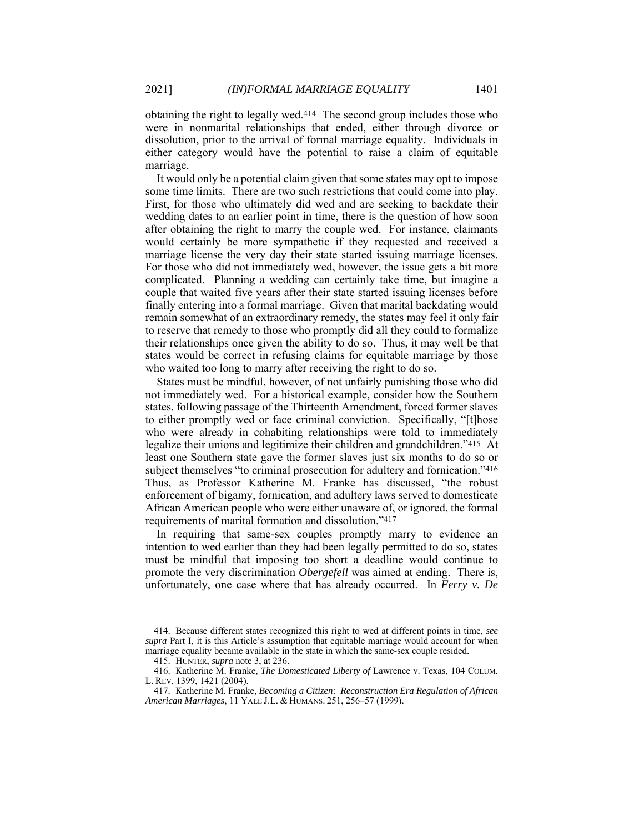obtaining the right to legally wed.414 The second group includes those who were in nonmarital relationships that ended, either through divorce or dissolution, prior to the arrival of formal marriage equality. Individuals in either category would have the potential to raise a claim of equitable marriage.

It would only be a potential claim given that some states may opt to impose some time limits. There are two such restrictions that could come into play. First, for those who ultimately did wed and are seeking to backdate their wedding dates to an earlier point in time, there is the question of how soon after obtaining the right to marry the couple wed. For instance, claimants would certainly be more sympathetic if they requested and received a marriage license the very day their state started issuing marriage licenses. For those who did not immediately wed, however, the issue gets a bit more complicated. Planning a wedding can certainly take time, but imagine a couple that waited five years after their state started issuing licenses before finally entering into a formal marriage. Given that marital backdating would remain somewhat of an extraordinary remedy, the states may feel it only fair to reserve that remedy to those who promptly did all they could to formalize their relationships once given the ability to do so. Thus, it may well be that states would be correct in refusing claims for equitable marriage by those who waited too long to marry after receiving the right to do so.

States must be mindful, however, of not unfairly punishing those who did not immediately wed. For a historical example, consider how the Southern states, following passage of the Thirteenth Amendment, forced former slaves to either promptly wed or face criminal conviction. Specifically, "[t]hose who were already in cohabiting relationships were told to immediately legalize their unions and legitimize their children and grandchildren."415 At least one Southern state gave the former slaves just six months to do so or subject themselves "to criminal prosecution for adultery and fornication."416 Thus, as Professor Katherine M. Franke has discussed, "the robust enforcement of bigamy, fornication, and adultery laws served to domesticate African American people who were either unaware of, or ignored, the formal requirements of marital formation and dissolution."417

In requiring that same-sex couples promptly marry to evidence an intention to wed earlier than they had been legally permitted to do so, states must be mindful that imposing too short a deadline would continue to promote the very discrimination *Obergefell* was aimed at ending. There is, unfortunately, one case where that has already occurred. In *Ferry v. De* 

 <sup>414.</sup> Because different states recognized this right to wed at different points in time, *see supra* Part I, it is this Article's assumption that equitable marriage would account for when marriage equality became available in the state in which the same-sex couple resided.

 <sup>415.</sup> HUNTER, *supra* note 3, at 236.

 <sup>416.</sup> Katherine M. Franke, *The Domesticated Liberty of* Lawrence v. Texas, 104 COLUM. L. REV. 1399, 1421 (2004).

 <sup>417.</sup> Katherine M. Franke, *Becoming a Citizen: Reconstruction Era Regulation of African American Marriages*, 11 YALE J.L. & HUMANS. 251, 256–57 (1999).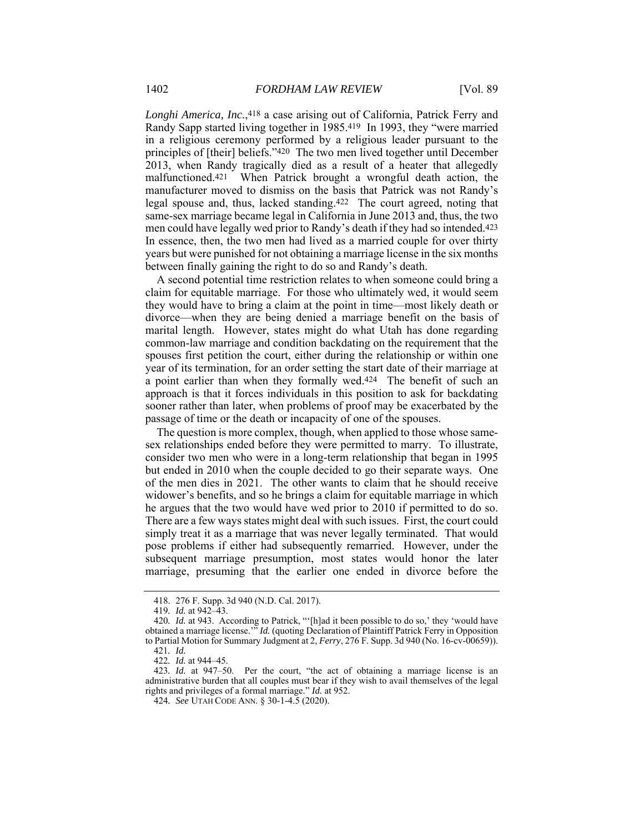*Longhi America, Inc.*,418 a case arising out of California, Patrick Ferry and Randy Sapp started living together in 1985.419 In 1993, they "were married in a religious ceremony performed by a religious leader pursuant to the principles of [their] beliefs."420 The two men lived together until December 2013, when Randy tragically died as a result of a heater that allegedly malfunctioned.421 When Patrick brought a wrongful death action, the manufacturer moved to dismiss on the basis that Patrick was not Randy's legal spouse and, thus, lacked standing.422 The court agreed, noting that same-sex marriage became legal in California in June 2013 and, thus, the two men could have legally wed prior to Randy's death if they had so intended.423 In essence, then, the two men had lived as a married couple for over thirty years but were punished for not obtaining a marriage license in the six months between finally gaining the right to do so and Randy's death.

A second potential time restriction relates to when someone could bring a claim for equitable marriage. For those who ultimately wed, it would seem they would have to bring a claim at the point in time—most likely death or divorce—when they are being denied a marriage benefit on the basis of marital length. However, states might do what Utah has done regarding common-law marriage and condition backdating on the requirement that the spouses first petition the court, either during the relationship or within one year of its termination, for an order setting the start date of their marriage at a point earlier than when they formally wed.424 The benefit of such an approach is that it forces individuals in this position to ask for backdating sooner rather than later, when problems of proof may be exacerbated by the passage of time or the death or incapacity of one of the spouses.

The question is more complex, though, when applied to those whose samesex relationships ended before they were permitted to marry. To illustrate, consider two men who were in a long-term relationship that began in 1995 but ended in 2010 when the couple decided to go their separate ways. One of the men dies in 2021. The other wants to claim that he should receive widower's benefits, and so he brings a claim for equitable marriage in which he argues that the two would have wed prior to 2010 if permitted to do so. There are a few ways states might deal with such issues. First, the court could simply treat it as a marriage that was never legally terminated. That would pose problems if either had subsequently remarried. However, under the subsequent marriage presumption, most states would honor the later marriage, presuming that the earlier one ended in divorce before the

 <sup>418. 276</sup> F. Supp. 3d 940 (N.D. Cal. 2017).

<sup>419</sup>*. Id.* at 942–43.

<sup>420</sup>*. Id.* at 943. According to Patrick, "'[h]ad it been possible to do so,' they 'would have obtained a marriage license.'" *Id.* (quoting Declaration of Plaintiff Patrick Ferry in Opposition to Partial Motion for Summary Judgment at 2, *Ferry*, 276 F. Supp. 3d 940 (No. 16-cv-00659)).

<sup>421</sup>*. Id.* 

<sup>422</sup>*. Id.* at 944–45.

<sup>423</sup>*. Id.* at 947–50. Per the court, "the act of obtaining a marriage license is an administrative burden that all couples must bear if they wish to avail themselves of the legal rights and privileges of a formal marriage." *Id.* at 952.

<sup>424</sup>*. See* UTAH CODE ANN. § 30-1-4.5 (2020).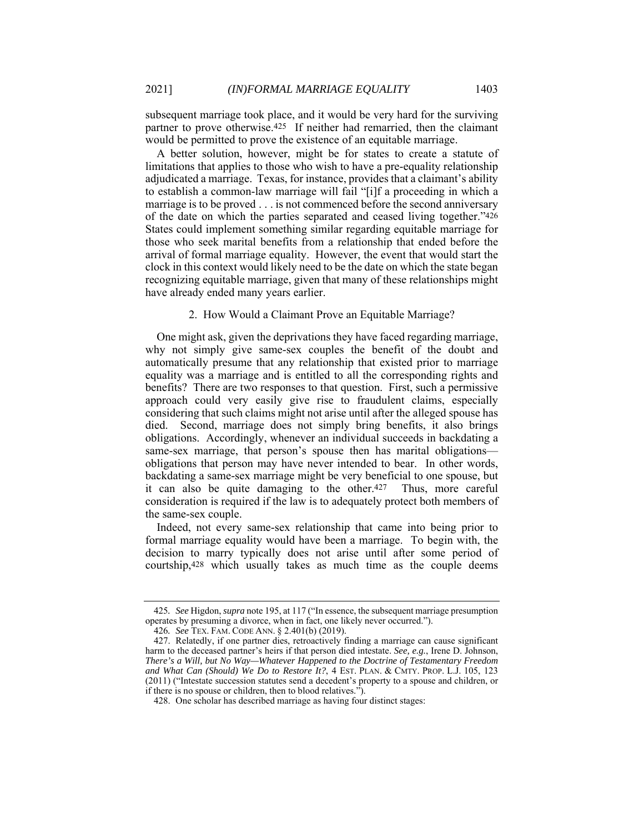subsequent marriage took place, and it would be very hard for the surviving partner to prove otherwise.425 If neither had remarried, then the claimant would be permitted to prove the existence of an equitable marriage.

A better solution, however, might be for states to create a statute of limitations that applies to those who wish to have a pre-equality relationship adjudicated a marriage. Texas, for instance, provides that a claimant's ability to establish a common-law marriage will fail "[i]f a proceeding in which a marriage is to be proved . . . is not commenced before the second anniversary of the date on which the parties separated and ceased living together."426 States could implement something similar regarding equitable marriage for those who seek marital benefits from a relationship that ended before the arrival of formal marriage equality. However, the event that would start the clock in this context would likely need to be the date on which the state began recognizing equitable marriage, given that many of these relationships might have already ended many years earlier.

#### 2. How Would a Claimant Prove an Equitable Marriage?

One might ask, given the deprivations they have faced regarding marriage, why not simply give same-sex couples the benefit of the doubt and automatically presume that any relationship that existed prior to marriage equality was a marriage and is entitled to all the corresponding rights and benefits? There are two responses to that question. First, such a permissive approach could very easily give rise to fraudulent claims, especially considering that such claims might not arise until after the alleged spouse has died. Second, marriage does not simply bring benefits, it also brings obligations. Accordingly, whenever an individual succeeds in backdating a same-sex marriage, that person's spouse then has marital obligations obligations that person may have never intended to bear. In other words, backdating a same-sex marriage might be very beneficial to one spouse, but it can also be quite damaging to the other.427 Thus, more careful consideration is required if the law is to adequately protect both members of the same-sex couple.

Indeed, not every same-sex relationship that came into being prior to formal marriage equality would have been a marriage. To begin with, the decision to marry typically does not arise until after some period of courtship,428 which usually takes as much time as the couple deems

<sup>425</sup>*. See* Higdon, *supra* note 195, at 117 ("In essence, the subsequent marriage presumption operates by presuming a divorce, when in fact, one likely never occurred.").

<sup>426</sup>*. See* TEX. FAM. CODE ANN. § 2.401(b) (2019).

 <sup>427.</sup> Relatedly, if one partner dies, retroactively finding a marriage can cause significant harm to the deceased partner's heirs if that person died intestate. *See, e.g.*, Irene D. Johnson, *There's a Will, but No Way—Whatever Happened to the Doctrine of Testamentary Freedom*  and What Can (Should) We Do to Restore It?, 4 EST. PLAN. & CMTY. PROP. L.J. 105, 123 (2011) ("Intestate succession statutes send a decedent's property to a spouse and children, or if there is no spouse or children, then to blood relatives.").

 <sup>428.</sup> One scholar has described marriage as having four distinct stages: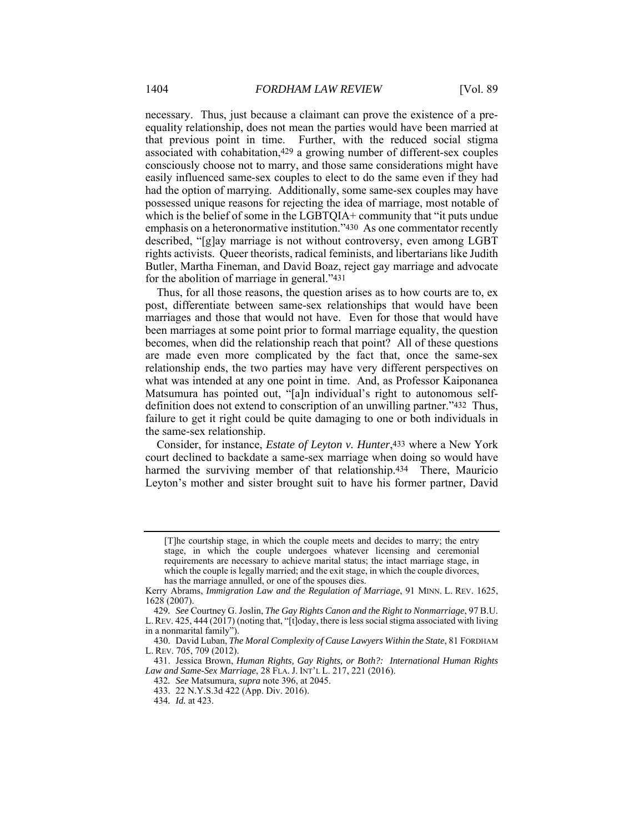necessary. Thus, just because a claimant can prove the existence of a preequality relationship, does not mean the parties would have been married at that previous point in time. Further, with the reduced social stigma associated with cohabitation,429 a growing number of different-sex couples consciously choose not to marry, and those same considerations might have easily influenced same-sex couples to elect to do the same even if they had had the option of marrying. Additionally, some same-sex couples may have possessed unique reasons for rejecting the idea of marriage, most notable of which is the belief of some in the LGBTQIA+ community that "it puts undue emphasis on a heteronormative institution."430 As one commentator recently described, "[g]ay marriage is not without controversy, even among LGBT rights activists. Queer theorists, radical feminists, and libertarians like Judith Butler, Martha Fineman, and David Boaz, reject gay marriage and advocate for the abolition of marriage in general."431

Thus, for all those reasons, the question arises as to how courts are to, ex post, differentiate between same-sex relationships that would have been marriages and those that would not have. Even for those that would have been marriages at some point prior to formal marriage equality, the question becomes, when did the relationship reach that point? All of these questions are made even more complicated by the fact that, once the same-sex relationship ends, the two parties may have very different perspectives on what was intended at any one point in time. And, as Professor Kaiponanea Matsumura has pointed out, "[a]n individual's right to autonomous selfdefinition does not extend to conscription of an unwilling partner."432 Thus, failure to get it right could be quite damaging to one or both individuals in the same-sex relationship.

Consider, for instance, *Estate of Leyton v. Hunter*,433 where a New York court declined to backdate a same-sex marriage when doing so would have harmed the surviving member of that relationship.<sup>434</sup> There, Mauricio Leyton's mother and sister brought suit to have his former partner, David

<sup>[</sup>T]he courtship stage, in which the couple meets and decides to marry; the entry stage, in which the couple undergoes whatever licensing and ceremonial requirements are necessary to achieve marital status; the intact marriage stage, in which the couple is legally married; and the exit stage, in which the couple divorces, has the marriage annulled, or one of the spouses dies.

Kerry Abrams, *Immigration Law and the Regulation of Marriage*, 91 MINN. L. REV. 1625, 1628 (2007).

<sup>429</sup>*. See* Courtney G. Joslin, *The Gay Rights Canon and the Right to Nonmarriage*, 97 B.U. L.REV. 425, 444 (2017) (noting that, "[t]oday, there is less social stigma associated with living in a nonmarital family").

 <sup>430.</sup> David Luban, *The Moral Complexity of Cause Lawyers Within the State*, 81 FORDHAM L. REV. 705, 709 (2012).

 <sup>431.</sup> Jessica Brown, *Human Rights, Gay Rights, or Both?: International Human Rights Law and Same-Sex Marriage*, 28 FLA. J. INT'L L. 217, 221 (2016).

<sup>432</sup>*. See* Matsumura, *supra* note 396, at 2045.

 <sup>433. 22</sup> N.Y.S.3d 422 (App. Div. 2016).

<sup>434</sup>*. Id.* at 423.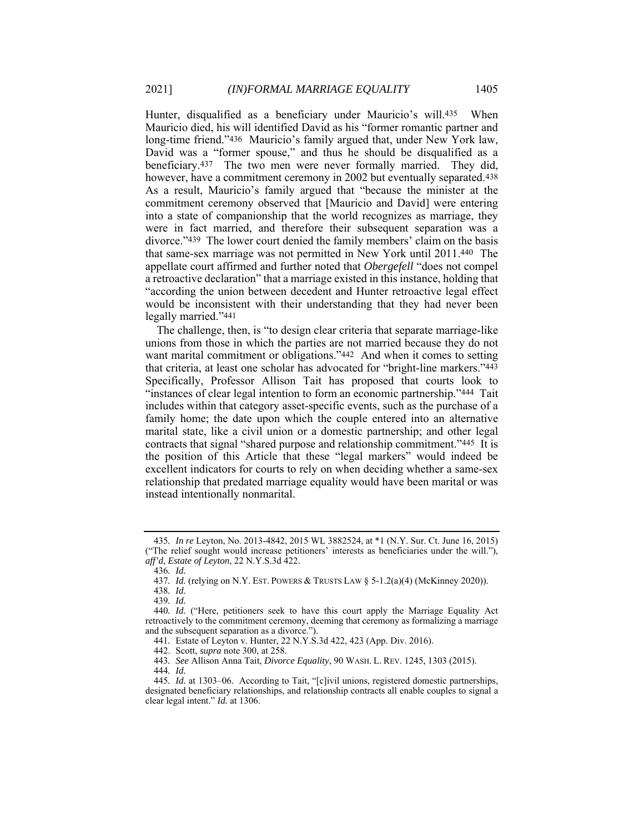Hunter, disqualified as a beneficiary under Mauricio's will.435 When Mauricio died, his will identified David as his "former romantic partner and long-time friend."436 Mauricio's family argued that, under New York law, David was a "former spouse," and thus he should be disqualified as a beneficiary.437 The two men were never formally married. They did, however, have a commitment ceremony in 2002 but eventually separated.<sup>438</sup> As a result, Mauricio's family argued that "because the minister at the commitment ceremony observed that [Mauricio and David] were entering into a state of companionship that the world recognizes as marriage, they were in fact married, and therefore their subsequent separation was a divorce."439 The lower court denied the family members' claim on the basis that same-sex marriage was not permitted in New York until 2011.440 The appellate court affirmed and further noted that *Obergefell* "does not compel a retroactive declaration" that a marriage existed in this instance, holding that "according the union between decedent and Hunter retroactive legal effect would be inconsistent with their understanding that they had never been legally married."441

The challenge, then, is "to design clear criteria that separate marriage-like unions from those in which the parties are not married because they do not want marital commitment or obligations."442 And when it comes to setting that criteria, at least one scholar has advocated for "bright-line markers."443 Specifically, Professor Allison Tait has proposed that courts look to "instances of clear legal intention to form an economic partnership."444 Tait includes within that category asset-specific events, such as the purchase of a family home; the date upon which the couple entered into an alternative marital state, like a civil union or a domestic partnership; and other legal contracts that signal "shared purpose and relationship commitment."445 It is the position of this Article that these "legal markers" would indeed be excellent indicators for courts to rely on when deciding whether a same-sex relationship that predated marriage equality would have been marital or was instead intentionally nonmarital.

<sup>435</sup>*. In re* Leyton, No. 2013-4842, 2015 WL 3882524, at \*1 (N.Y. Sur. Ct. June 16, 2015) ("The relief sought would increase petitioners' interests as beneficiaries under the will."), *aff'd*, *Estate of Leyton*, 22 N.Y.S.3d 422.

<sup>436</sup>*. Id.* 

<sup>437</sup>*. Id.* (relying on N.Y. EST. POWERS & TRUSTS LAW § 5-1.2(a)(4) (McKinney 2020)).

<sup>438</sup>*. Id.* 

<sup>439</sup>*. Id.* 

<sup>440</sup>*. Id.* ("Here, petitioners seek to have this court apply the Marriage Equality Act retroactively to the commitment ceremony, deeming that ceremony as formalizing a marriage and the subsequent separation as a divorce.").

<sup>441</sup>*.* Estate of Leyton v. Hunter, 22 N.Y.S.3d 422, 423 (App. Div. 2016).

 <sup>442.</sup> Scott, *supra* note 300, at 258.

<sup>443</sup>*. See* Allison Anna Tait, *Divorce Equality*, 90 WASH. L. REV. 1245, 1303 (2015).

<sup>444</sup>*. Id.* 

<sup>445</sup>*. Id.* at 1303–06. According to Tait, "[c]ivil unions, registered domestic partnerships, designated beneficiary relationships, and relationship contracts all enable couples to signal a clear legal intent." *Id.* at 1306.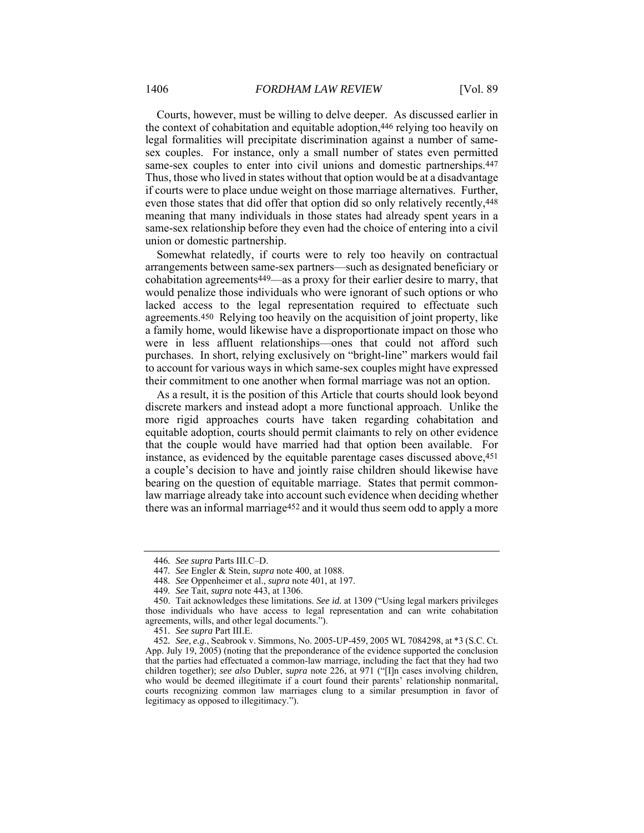Courts, however, must be willing to delve deeper. As discussed earlier in the context of cohabitation and equitable adoption,446 relying too heavily on legal formalities will precipitate discrimination against a number of samesex couples. For instance, only a small number of states even permitted same-sex couples to enter into civil unions and domestic partnerships.<sup>447</sup> Thus, those who lived in states without that option would be at a disadvantage if courts were to place undue weight on those marriage alternatives. Further, even those states that did offer that option did so only relatively recently,448 meaning that many individuals in those states had already spent years in a same-sex relationship before they even had the choice of entering into a civil union or domestic partnership.

Somewhat relatedly, if courts were to rely too heavily on contractual arrangements between same-sex partners—such as designated beneficiary or cohabitation agreements449—as a proxy for their earlier desire to marry, that would penalize those individuals who were ignorant of such options or who lacked access to the legal representation required to effectuate such agreements.450 Relying too heavily on the acquisition of joint property, like a family home, would likewise have a disproportionate impact on those who were in less affluent relationships—ones that could not afford such purchases. In short, relying exclusively on "bright-line" markers would fail to account for various ways in which same-sex couples might have expressed their commitment to one another when formal marriage was not an option.

As a result, it is the position of this Article that courts should look beyond discrete markers and instead adopt a more functional approach. Unlike the more rigid approaches courts have taken regarding cohabitation and equitable adoption, courts should permit claimants to rely on other evidence that the couple would have married had that option been available. For instance, as evidenced by the equitable parentage cases discussed above,451 a couple's decision to have and jointly raise children should likewise have bearing on the question of equitable marriage. States that permit commonlaw marriage already take into account such evidence when deciding whether there was an informal marriage452 and it would thus seem odd to apply a more

<sup>446</sup>*. See supra* Parts III.C–D.

<sup>447</sup>*. See* Engler & Stein, *supra* note 400, at 1088.

<sup>448</sup>*. See* Oppenheimer et al., *supra* note 401, at 197.

<sup>449</sup>*. See* Tait, *supra* note 443, at 1306.

 <sup>450.</sup> Tait acknowledges these limitations. *See id.* at 1309 ("Using legal markers privileges those individuals who have access to legal representation and can write cohabitation agreements, wills, and other legal documents.").

<sup>451</sup>*. See supra* Part III.E.

<sup>452</sup>*. See, e.g.*, Seabrook v. Simmons, No. 2005-UP-459, 2005 WL 7084298, at \*3 (S.C. Ct. App. July 19, 2005) (noting that the preponderance of the evidence supported the conclusion that the parties had effectuated a common-law marriage, including the fact that they had two children together); *see also* Dubler, *supra* note 226, at 971 ("[I]n cases involving children, who would be deemed illegitimate if a court found their parents' relationship nonmarital, courts recognizing common law marriages clung to a similar presumption in favor of legitimacy as opposed to illegitimacy.").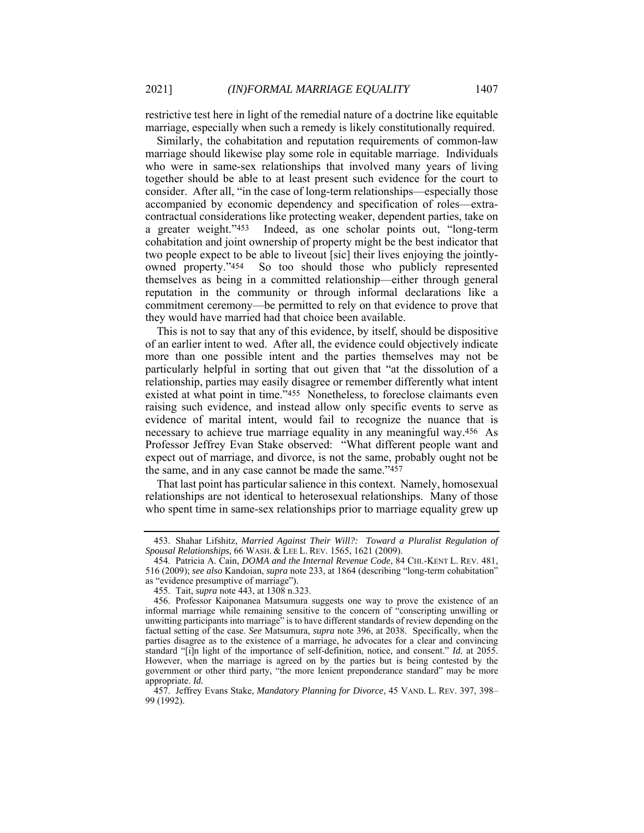restrictive test here in light of the remedial nature of a doctrine like equitable marriage, especially when such a remedy is likely constitutionally required.

Similarly, the cohabitation and reputation requirements of common-law marriage should likewise play some role in equitable marriage. Individuals who were in same-sex relationships that involved many years of living together should be able to at least present such evidence for the court to consider. After all, "in the case of long-term relationships—especially those accompanied by economic dependency and specification of roles—extracontractual considerations like protecting weaker, dependent parties, take on a greater weight."453 Indeed, as one scholar points out, "long-term cohabitation and joint ownership of property might be the best indicator that two people expect to be able to liveout [sic] their lives enjoying the jointlyowned property."454 So too should those who publicly represented themselves as being in a committed relationship—either through general reputation in the community or through informal declarations like a commitment ceremony—be permitted to rely on that evidence to prove that they would have married had that choice been available.

This is not to say that any of this evidence, by itself, should be dispositive of an earlier intent to wed. After all, the evidence could objectively indicate more than one possible intent and the parties themselves may not be particularly helpful in sorting that out given that "at the dissolution of a relationship, parties may easily disagree or remember differently what intent existed at what point in time."455 Nonetheless, to foreclose claimants even raising such evidence, and instead allow only specific events to serve as evidence of marital intent, would fail to recognize the nuance that is necessary to achieve true marriage equality in any meaningful way.456 As Professor Jeffrey Evan Stake observed: "What different people want and expect out of marriage, and divorce, is not the same, probably ought not be the same, and in any case cannot be made the same."457

That last point has particular salience in this context. Namely, homosexual relationships are not identical to heterosexual relationships. Many of those who spent time in same-sex relationships prior to marriage equality grew up

 <sup>453.</sup> Shahar Lifshitz, *Married Against Their Will?: Toward a Pluralist Regulation of Spousal Relationships*, 66 WASH. & LEE L. REV. 1565, 1621 (2009).

 <sup>454.</sup> Patricia A. Cain, *DOMA and the Internal Revenue Code*, 84 CHI.-KENT L. REV. 481, 516 (2009); *see also* Kandoian, *supra* note 233, at 1864 (describing "long-term cohabitation" as "evidence presumptive of marriage").

 <sup>455.</sup> Tait, *supra* note 443, at 1308 n.323.

 <sup>456.</sup> Professor Kaiponanea Matsumura suggests one way to prove the existence of an informal marriage while remaining sensitive to the concern of "conscripting unwilling or unwitting participants into marriage" is to have different standards of review depending on the factual setting of the case. *See* Matsumura, *supra* note 396, at 2038. Specifically, when the parties disagree as to the existence of a marriage, he advocates for a clear and convincing standard "[i]n light of the importance of self-definition, notice, and consent." *Id.* at 2055. However, when the marriage is agreed on by the parties but is being contested by the government or other third party, "the more lenient preponderance standard" may be more appropriate. *Id.* 

 <sup>457.</sup> Jeffrey Evans Stake, *Mandatory Planning for Divorce*, 45 VAND. L. REV. 397, 398– 99 (1992).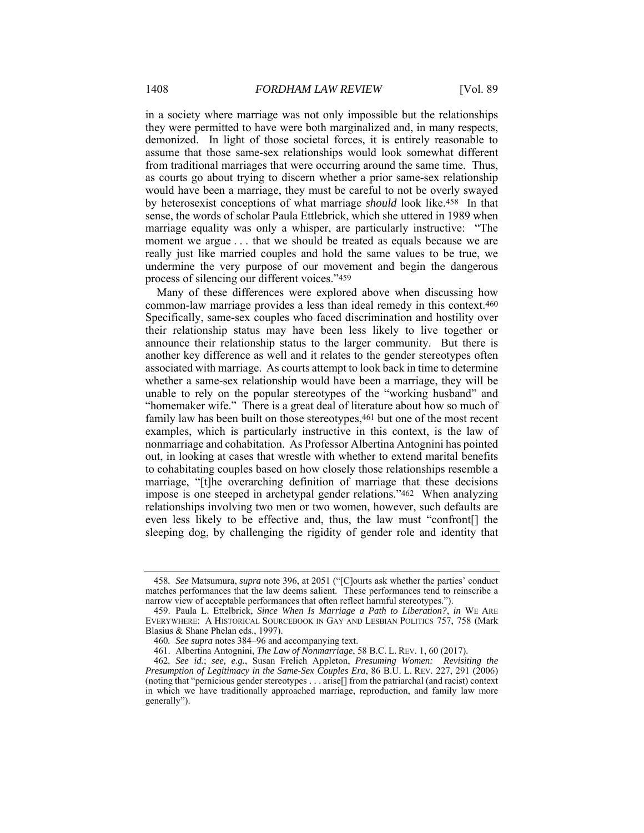in a society where marriage was not only impossible but the relationships they were permitted to have were both marginalized and, in many respects, demonized. In light of those societal forces, it is entirely reasonable to assume that those same-sex relationships would look somewhat different from traditional marriages that were occurring around the same time. Thus, as courts go about trying to discern whether a prior same-sex relationship would have been a marriage, they must be careful to not be overly swayed by heterosexist conceptions of what marriage *should* look like.458 In that sense, the words of scholar Paula Ettlebrick, which she uttered in 1989 when marriage equality was only a whisper, are particularly instructive: "The moment we argue . . . that we should be treated as equals because we are really just like married couples and hold the same values to be true, we undermine the very purpose of our movement and begin the dangerous process of silencing our different voices."459

Many of these differences were explored above when discussing how common-law marriage provides a less than ideal remedy in this context.460 Specifically, same-sex couples who faced discrimination and hostility over their relationship status may have been less likely to live together or announce their relationship status to the larger community. But there is another key difference as well and it relates to the gender stereotypes often associated with marriage. As courts attempt to look back in time to determine whether a same-sex relationship would have been a marriage, they will be unable to rely on the popular stereotypes of the "working husband" and "homemaker wife." There is a great deal of literature about how so much of family law has been built on those stereotypes,461 but one of the most recent examples, which is particularly instructive in this context, is the law of nonmarriage and cohabitation. As Professor Albertina Antognini has pointed out, in looking at cases that wrestle with whether to extend marital benefits to cohabitating couples based on how closely those relationships resemble a marriage, "[t]he overarching definition of marriage that these decisions impose is one steeped in archetypal gender relations."462 When analyzing relationships involving two men or two women, however, such defaults are even less likely to be effective and, thus, the law must "confront[] the sleeping dog, by challenging the rigidity of gender role and identity that

<sup>458</sup>*. See* Matsumura, *supra* note 396, at 2051 ("[C]ourts ask whether the parties' conduct matches performances that the law deems salient. These performances tend to reinscribe a narrow view of acceptable performances that often reflect harmful stereotypes.").

 <sup>459.</sup> Paula L. Ettelbrick, *Since When Is Marriage a Path to Liberation?*, *in* WE ARE EVERYWHERE: A HISTORICAL SOURCEBOOK IN GAY AND LESBIAN POLITICS 757, 758 (Mark Blasius & Shane Phelan eds., 1997).

<sup>460</sup>*. See supra* notes 384–96 and accompanying text.

 <sup>461.</sup> Albertina Antognini, *The Law of Nonmarriage*, 58 B.C. L. REV. 1, 60 (2017).

<sup>462</sup>*. See id.*; *see, e.g.*, Susan Frelich Appleton, *Presuming Women: Revisiting the Presumption of Legitimacy in the Same-Sex Couples Era*, 86 B.U. L. REV. 227, 291 (2006) (noting that "pernicious gender stereotypes . . . arise[] from the patriarchal (and racist) context in which we have traditionally approached marriage, reproduction, and family law more generally").